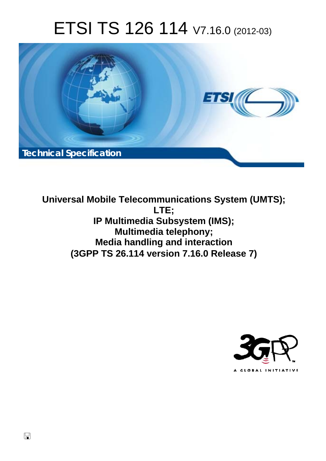# ETSI TS 126 114 V7.16.0 (2012-03)



**Universal Mobile Telecommunications System (UMTS); LTE; IP Multimedia Subsystem (IMS); Multimedia telephony; Media handling and interaction (3GPP TS 26.114 version 7.16.0 Release 7)** 

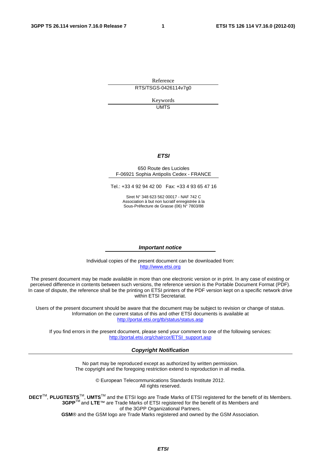Reference RTS/TSGS-0426114v7g0

> Keywords UMTS

#### *ETSI*

#### 650 Route des Lucioles F-06921 Sophia Antipolis Cedex - FRANCE

Tel.: +33 4 92 94 42 00 Fax: +33 4 93 65 47 16

Siret N° 348 623 562 00017 - NAF 742 C Association à but non lucratif enregistrée à la Sous-Préfecture de Grasse (06) N° 7803/88

#### *Important notice*

Individual copies of the present document can be downloaded from: [http://www.etsi.org](http://www.etsi.org/)

The present document may be made available in more than one electronic version or in print. In any case of existing or perceived difference in contents between such versions, the reference version is the Portable Document Format (PDF). In case of dispute, the reference shall be the printing on ETSI printers of the PDF version kept on a specific network drive within ETSI Secretariat.

Users of the present document should be aware that the document may be subject to revision or change of status. Information on the current status of this and other ETSI documents is available at <http://portal.etsi.org/tb/status/status.asp>

If you find errors in the present document, please send your comment to one of the following services: [http://portal.etsi.org/chaircor/ETSI\\_support.asp](http://portal.etsi.org/chaircor/ETSI_support.asp)

#### *Copyright Notification*

No part may be reproduced except as authorized by written permission. The copyright and the foregoing restriction extend to reproduction in all media.

> © European Telecommunications Standards Institute 2012. All rights reserved.

DECT<sup>™</sup>, PLUGTESTS<sup>™</sup>, UMTS<sup>™</sup> and the ETSI logo are Trade Marks of ETSI registered for the benefit of its Members. **3GPP**TM and **LTE**™ are Trade Marks of ETSI registered for the benefit of its Members and of the 3GPP Organizational Partners.

**GSM**® and the GSM logo are Trade Marks registered and owned by the GSM Association.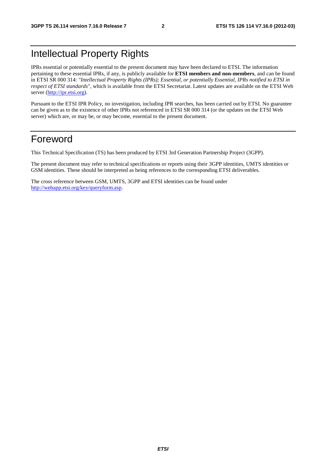# Intellectual Property Rights

IPRs essential or potentially essential to the present document may have been declared to ETSI. The information pertaining to these essential IPRs, if any, is publicly available for **ETSI members and non-members**, and can be found in ETSI SR 000 314: *"Intellectual Property Rights (IPRs); Essential, or potentially Essential, IPRs notified to ETSI in respect of ETSI standards"*, which is available from the ETSI Secretariat. Latest updates are available on the ETSI Web server ([http://ipr.etsi.org\)](http://webapp.etsi.org/IPR/home.asp).

Pursuant to the ETSI IPR Policy, no investigation, including IPR searches, has been carried out by ETSI. No guarantee can be given as to the existence of other IPRs not referenced in ETSI SR 000 314 (or the updates on the ETSI Web server) which are, or may be, or may become, essential to the present document.

# Foreword

This Technical Specification (TS) has been produced by ETSI 3rd Generation Partnership Project (3GPP).

The present document may refer to technical specifications or reports using their 3GPP identities, UMTS identities or GSM identities. These should be interpreted as being references to the corresponding ETSI deliverables.

The cross reference between GSM, UMTS, 3GPP and ETSI identities can be found under [http://webapp.etsi.org/key/queryform.asp.](http://webapp.etsi.org/key/queryform.asp)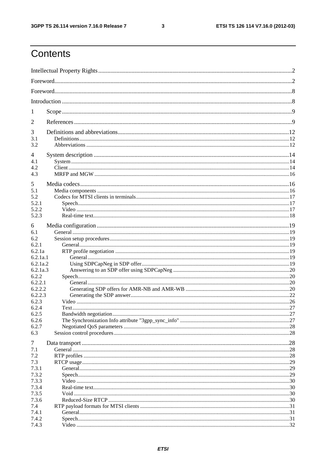$\mathbf{3}$ 

# Contents

| 1              |  |  |
|----------------|--|--|
| 2              |  |  |
| 3              |  |  |
| 3.1<br>3.2     |  |  |
| 4              |  |  |
| 4.1            |  |  |
| 4.2            |  |  |
| 4.3            |  |  |
|                |  |  |
| 5              |  |  |
| 5.1            |  |  |
| 5.2            |  |  |
| 5.2.1          |  |  |
| 5.2.2<br>5.2.3 |  |  |
|                |  |  |
| 6              |  |  |
| 6.1            |  |  |
| 6.2            |  |  |
| 6.2.1          |  |  |
| 6.2.1a         |  |  |
| 6.2.1a.1       |  |  |
| 6.2.1a.2       |  |  |
| 6.2.1a.3       |  |  |
| 6.2.2          |  |  |
| 6.2.2.1        |  |  |
| 6.2.2.2        |  |  |
| 6.2.2.3        |  |  |
| 6.2.3          |  |  |
| 6.2.4          |  |  |
| 6.2.5          |  |  |
| 6.2.6          |  |  |
| 6.2.7          |  |  |
| 6.3            |  |  |
| $\overline{7}$ |  |  |
| 7.1            |  |  |
| 7.2            |  |  |
| 7.3            |  |  |
| 7.3.1          |  |  |
| 7.3.2          |  |  |
| 7.3.3          |  |  |
| 7.3.4          |  |  |
| 7.3.5          |  |  |
| 7.3.6          |  |  |
| 7.4            |  |  |
| 7.4.1          |  |  |
| 7.4.2          |  |  |
| 7.4.3          |  |  |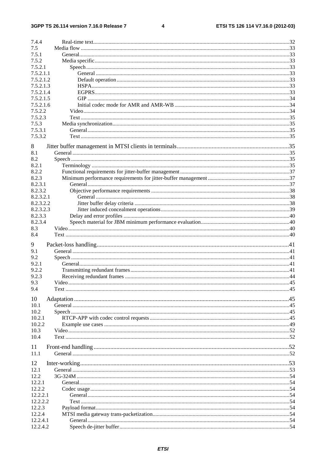$\overline{\mathbf{4}}$ 

| 7.4.4                |        |  |
|----------------------|--------|--|
| 7.5                  |        |  |
| 7.5.1                |        |  |
| 7.5.2                |        |  |
| 7.5.2.1              |        |  |
| 7.5.2.1.1            |        |  |
| 7.5.2.1.2            |        |  |
| 7.5.2.1.3            |        |  |
| 7.5.2.1.4            |        |  |
| 7.5.2.1.5            |        |  |
| 7.5.2.1.6            |        |  |
| 7.5.2.2              |        |  |
| 7.5.2.3              |        |  |
| 7.5.3                |        |  |
| 7.5.3.1              |        |  |
| 7.5.3.2              |        |  |
|                      |        |  |
| 8                    |        |  |
| 8.1                  |        |  |
| 8.2                  |        |  |
| 8.2.1                |        |  |
| 8.2.2                |        |  |
| 8.2.3                |        |  |
| 8.2.3.1              |        |  |
| 8.2.3.2              |        |  |
| 8.2.3.2.1            |        |  |
| 8.2.3.2.2            |        |  |
| 8.2.3.2.3            |        |  |
| 8.2.3.3              |        |  |
| 8.2.3.4              |        |  |
| 8.3                  |        |  |
|                      |        |  |
| 8.4                  |        |  |
|                      |        |  |
| 9                    |        |  |
| 9.1                  |        |  |
| 9.2                  |        |  |
| 9.2.1                |        |  |
| 9.2.2                |        |  |
| 9.2.3                |        |  |
| 9.3                  | Video. |  |
| 9.4                  |        |  |
|                      |        |  |
| 10                   |        |  |
| 10.1                 |        |  |
| 10.2                 |        |  |
| 10.2.1               |        |  |
| 10.2.2               |        |  |
| 10.3                 |        |  |
| 10.4                 |        |  |
|                      |        |  |
| 11                   |        |  |
| 11.1                 |        |  |
| 12                   |        |  |
| 12.1                 |        |  |
| 12.2                 |        |  |
| 12.2.1               |        |  |
|                      |        |  |
| 12.2.2               |        |  |
| 12.2.2.1             |        |  |
| 12.2.2.2             |        |  |
| 12.2.3               |        |  |
| 12.2.4               |        |  |
| 12.2.4.1<br>12.2.4.2 |        |  |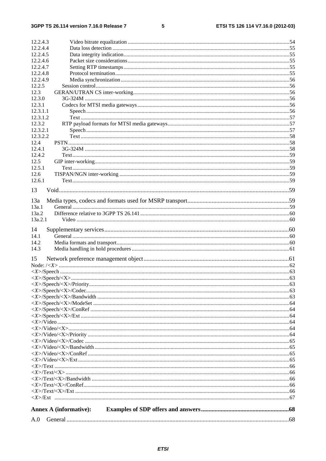#### $5\phantom{a}$

| 12.2.4.3               |  |
|------------------------|--|
| 12.2.4.4               |  |
| 12.2.4.5               |  |
| 12.2.4.6               |  |
| 12.2.4.7               |  |
| 12.2.4.8<br>12.2.4.9   |  |
| 12.2.5                 |  |
| 12.3                   |  |
| 12.3.0                 |  |
| 12.3.1                 |  |
| 12.3.1.1               |  |
| 12.3.1.2               |  |
| 12.3.2                 |  |
| 12.3.2.1               |  |
| 12.3.2.2               |  |
| 12.4                   |  |
| 12.4.1                 |  |
| 12.4.2<br>12.5         |  |
| 12.5.1                 |  |
| 12.6                   |  |
| 12.6.1                 |  |
|                        |  |
| 13                     |  |
| 13a                    |  |
| 13a.1                  |  |
| 13a.2                  |  |
| 13a.2.1                |  |
|                        |  |
| 14                     |  |
| 14.1<br>14.2           |  |
| 14.3                   |  |
|                        |  |
| 15                     |  |
|                        |  |
|                        |  |
|                        |  |
|                        |  |
|                        |  |
|                        |  |
|                        |  |
|                        |  |
|                        |  |
|                        |  |
|                        |  |
|                        |  |
|                        |  |
|                        |  |
|                        |  |
|                        |  |
|                        |  |
|                        |  |
|                        |  |
|                        |  |
|                        |  |
| Annex A (informative): |  |
|                        |  |
|                        |  |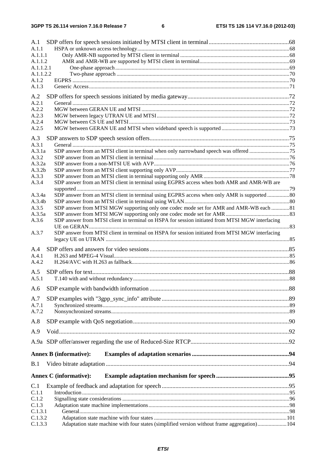| A.1<br>A.1.1                                                                                             |  |
|----------------------------------------------------------------------------------------------------------|--|
| A.1.1.1                                                                                                  |  |
| A.1.1.2                                                                                                  |  |
| A.1.1.2.1                                                                                                |  |
| A.1.1.2.2                                                                                                |  |
| A.1.2                                                                                                    |  |
| A.1.3                                                                                                    |  |
| A.2                                                                                                      |  |
| A.2.1                                                                                                    |  |
| A.2.2                                                                                                    |  |
| A.2.3                                                                                                    |  |
| A.2.4                                                                                                    |  |
| A.2.5                                                                                                    |  |
| A.3                                                                                                      |  |
| A.3.1                                                                                                    |  |
| A.3.1a                                                                                                   |  |
| A.3.2                                                                                                    |  |
| A.3.2a                                                                                                   |  |
| A.3.2 <sub>b</sub>                                                                                       |  |
| A.3.3                                                                                                    |  |
| SDP answer from an MTSI client in terminal using EGPRS access when both AMR and AMR-WB are<br>A.3.4      |  |
| SDP answer from an MTSI client in terminal using EGPRS access when only AMR is supported 80<br>A.3.4a    |  |
| A.3.4b                                                                                                   |  |
| SDP answer from MTSI MGW supporting only one codec mode set for AMR and AMR-WB each 81<br>A.3.5          |  |
| A.3.5a                                                                                                   |  |
| SDP answer from MTSI client in terminal on HSPA for session initiated from MTSI MGW interfacing<br>A.3.6 |  |
|                                                                                                          |  |
| SDP answer from MTSI client in terminal on HSPA for session initiated from MTSI MGW interfacing<br>A.3.7 |  |
|                                                                                                          |  |
| A.4                                                                                                      |  |
| A.4.1                                                                                                    |  |
| A.4.2                                                                                                    |  |
| A.5                                                                                                      |  |
| A.5.1                                                                                                    |  |
|                                                                                                          |  |
| A.6                                                                                                      |  |
| A.7                                                                                                      |  |
| A.7.1                                                                                                    |  |
| A.7.2                                                                                                    |  |
| A.8                                                                                                      |  |
| A.9                                                                                                      |  |
|                                                                                                          |  |
| <b>Annex B</b> (informative):                                                                            |  |
| B.1                                                                                                      |  |
| <b>Annex C</b> (informative):                                                                            |  |
|                                                                                                          |  |
| C.1                                                                                                      |  |
| C.1.1                                                                                                    |  |
| C.1.2                                                                                                    |  |
| C.1.3<br>C.1.3.1                                                                                         |  |
| C.1.3.2                                                                                                  |  |
| C.1.3.3<br>Adaptation state machine with four states (simplified version without frame aggregation)104   |  |
|                                                                                                          |  |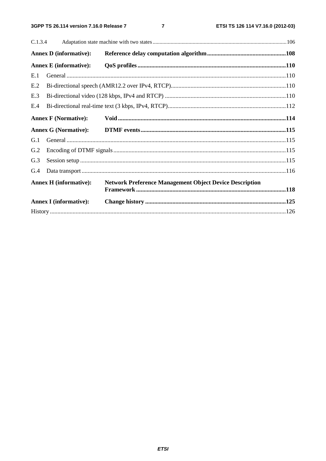$\overline{7}$ 

| C.1.3.4 |                               |                                                                |  |
|---------|-------------------------------|----------------------------------------------------------------|--|
|         | <b>Annex D</b> (informative): |                                                                |  |
|         | <b>Annex E</b> (informative): |                                                                |  |
| E.1     |                               |                                                                |  |
| E.2     |                               |                                                                |  |
| E.3     |                               |                                                                |  |
| E.4     |                               |                                                                |  |
|         | <b>Annex F (Normative):</b>   |                                                                |  |
|         | <b>Annex G (Normative):</b>   |                                                                |  |
| G.1     |                               |                                                                |  |
| G.2     |                               |                                                                |  |
| G.3     |                               |                                                                |  |
| G.4     |                               |                                                                |  |
|         | <b>Annex H</b> (informative): | <b>Network Preference Management Object Device Description</b> |  |
|         | <b>Annex I</b> (informative): |                                                                |  |
|         |                               |                                                                |  |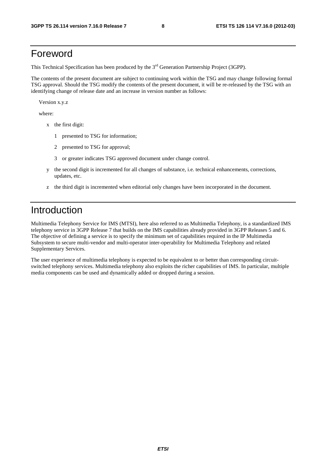# Foreword

This Technical Specification has been produced by the 3<sup>rd</sup> Generation Partnership Project (3GPP).

The contents of the present document are subject to continuing work within the TSG and may change following formal TSG approval. Should the TSG modify the contents of the present document, it will be re-released by the TSG with an identifying change of release date and an increase in version number as follows:

Version x.y.z

where:

- x the first digit:
	- 1 presented to TSG for information;
	- 2 presented to TSG for approval;
	- 3 or greater indicates TSG approved document under change control.
- y the second digit is incremented for all changes of substance, i.e. technical enhancements, corrections, updates, etc.
- z the third digit is incremented when editorial only changes have been incorporated in the document.

# Introduction

Multimedia Telephony Service for IMS (MTSI), here also referred to as Multimedia Telephony, is a standardized IMS telephony service in 3GPP Release 7 that builds on the IMS capabilities already provided in 3GPP Releases 5 and 6. The objective of defining a service is to specify the minimum set of capabilities required in the IP Multimedia Subsystem to secure multi-vendor and multi-operator inter-operability for Multimedia Telephony and related Supplementary Services.

The user experience of multimedia telephony is expected to be equivalent to or better than corresponding circuitswitched telephony services. Multimedia telephony also exploits the richer capabilities of IMS. In particular, multiple media components can be used and dynamically added or dropped during a session.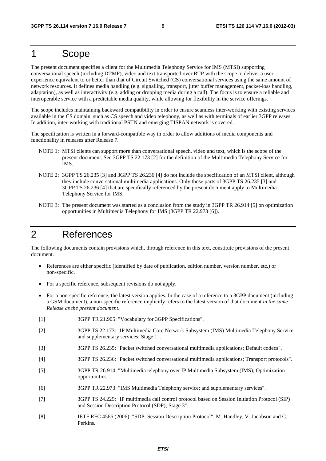# 1 Scope

The present document specifies a client for the Multimedia Telephony Service for IMS (MTSI) supporting conversational speech (including DTMF), video and text transported over RTP with the scope to deliver a user experience equivalent to or better than that of Circuit Switched (CS) conversational services using the same amount of network resources. It defines media handling (e.g. signalling, transport, jitter buffer management, packet-loss handling, adaptation), as well as interactivity (e.g. adding or dropping media during a call). The focus is to ensure a reliable and interoperable service with a predictable media quality, while allowing for flexibility in the service offerings.

The scope includes maintaining backward compatibility in order to ensure seamless inter-working with existing services available in the CS domain, such as CS speech and video telephony, as well as with terminals of earlier 3GPP releases. In addition, inter-working with traditional PSTN and emerging TISPAN network is covered.

The specification is written in a forward-compatible way in order to allow additions of media components and functionality in releases after Release 7.

- NOTE 1: MTSI clients can support more than conversational speech, video and text, which is the scope of the present document. See 3GPP TS 22.173 [2] for the definition of the Multimedia Telephony Service for IMS.
- NOTE 2: 3GPP TS 26.235 [3] and 3GPP TS 26.236 [4] do not include the specification of an MTSI client, although they include conversational multimedia applications. Only those parts of 3GPP TS 26.235 [3] and 3GPP TS 26.236 [4] that are specifically referenced by the present document apply to Multimedia Telephony Service for IMS.
- NOTE 3: The present document was started as a conclusion from the study in 3GPP TR 26.914 [5] on optimization opportunities in Multimedia Telephony for IMS (3GPP TR 22.973 [6]).

# 2 References

The following documents contain provisions which, through reference in this text, constitute provisions of the present document.

- References are either specific (identified by date of publication, edition number, version number, etc.) or non-specific.
- For a specific reference, subsequent revisions do not apply.
- For a non-specific reference, the latest version applies. In the case of a reference to a 3GPP document (including a GSM document), a non-specific reference implicitly refers to the latest version of that document *in the same Release as the present document*.
- [1] 3GPP TR 21.905: "Vocabulary for 3GPP Specifications".
- [2] 3GPP TS 22.173: "IP Multimedia Core Network Subsystem (IMS) Multimedia Telephony Service and supplementary services; Stage 1".
- [3] 3GPP TS 26.235: "Packet switched conversational multimedia applications; Default codecs".
- [4] 3GPP TS 26.236: "Packet switched conversational multimedia applications; Transport protocols".
- [5] 3GPP TR 26.914: "Multimedia telephony over IP Multimedia Subsystem (IMS); Optimization opportunities".
- [6] 3GPP TR 22.973: "IMS Multimedia Telephony service; and supplementary services".
- [7] 3GPP TS 24.229: "IP multimedia call control protocol based on Session Initiation Protocol (SIP) and Session Description Protocol (SDP); Stage 3".
- [8] IETF RFC 4566 (2006): "SDP: Session Description Protocol", M. Handley, V. Jacobson and C. Perkins.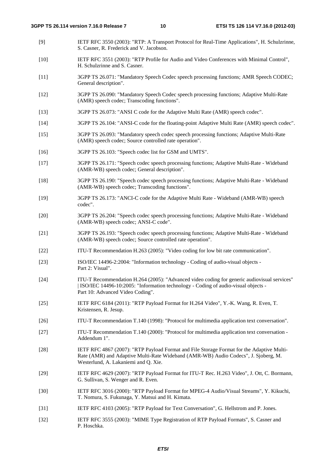- [9] IETF RFC 3550 (2003): "RTP: A Transport Protocol for Real-Time Applications", H. Schulzrinne, S. Casner, R. Frederick and V. Jacobson.
- [10] IETF RFC 3551 (2003): "RTP Profile for Audio and Video Conferences with Minimal Control", H. Schulzrinne and S. Casner.
- [11] 3GPP TS 26.071: "Mandatory Speech Codec speech processing functions; AMR Speech CODEC; General description".
- [12] 3GPP TS 26.090: "Mandatory Speech Codec speech processing functions; Adaptive Multi-Rate (AMR) speech codec; Transcoding functions".
- [13] 3GPP TS 26.073: "ANSI C code for the Adaptive Multi Rate (AMR) speech codec".
- [14] 3GPP TS 26.104: "ANSI-C code for the floating-point Adaptive Multi Rate (AMR) speech codec".
- [15] 3GPP TS 26.093: "Mandatory speech codec speech processing functions; Adaptive Multi-Rate (AMR) speech codec; Source controlled rate operation".
- [16] 3GPP TS 26.103: "Speech codec list for GSM and UMTS".
- [17] 3GPP TS 26.171: "Speech codec speech processing functions; Adaptive Multi-Rate Wideband (AMR-WB) speech codec; General description".
- [18] 3GPP TS 26.190: "Speech codec speech processing functions; Adaptive Multi-Rate Wideband (AMR-WB) speech codec; Transcoding functions".
- [19] 3GPP TS 26.173: "ANCI-C code for the Adaptive Multi Rate Wideband (AMR-WB) speech codec".
- [20] 3GPP TS 26.204: "Speech codec speech processing functions; Adaptive Multi-Rate Wideband (AMR-WB) speech codec; ANSI-C code".
- [21] 3GPP TS 26.193: "Speech codec speech processing functions; Adaptive Multi-Rate Wideband (AMR-WB) speech codec; Source controlled rate operation".
- [22] ITU-T Recommendation H.263 (2005): "Video coding for low bit rate communication".
- [23] ISO/IEC 14496-2:2004: "Information technology Coding of audio-visual objects Part 2: Visual".
- [24] ITU-T Recommendation H.264 (2005): "Advanced video coding for generic audiovisual services" | ISO/IEC 14496-10:2005: "Information technology - Coding of audio-visual objects - Part 10: Advanced Video Coding".
- [25] IETF RFC 6184 (2011): "RTP Payload Format for H.264 Video", Y.-K. Wang, R. Even, T. Kristensen, R. Jesup.
- [26] ITU-T Recommendation T.140 (1998): "Protocol for multimedia application text conversation".
- [27] ITU-T Recommendation T.140 (2000): "Protocol for multimedia application text conversation Addendum 1".
- [28] IETF RFC 4867 (2007): "RTP Payload Format and File Storage Format for the Adaptive Multi-Rate (AMR) and Adaptive Multi-Rate Wideband (AMR-WB) Audio Codecs", J. Sjoberg, M. Westerlund, A. Lakaniemi and Q. Xie.
- [29] IETF RFC 4629 (2007): "RTP Payload Format for ITU-T Rec. H.263 Video", J. Ott, C. Bormann, G. Sullivan, S. Wenger and R. Even.
- [30] IETF RFC 3016 (2000): "RTP Payload Format for MPEG-4 Audio/Visual Streams", Y. Kikuchi, T. Nomura, S. Fukunaga, Y. Matsui and H. Kimata.
- [31] IETF RFC 4103 (2005): "RTP Payload for Text Conversation", G. Hellstrom and P. Jones.
- [32] IETF RFC 3555 (2003): "MIME Type Registration of RTP Payload Formats", S. Casner and P. Hoschka.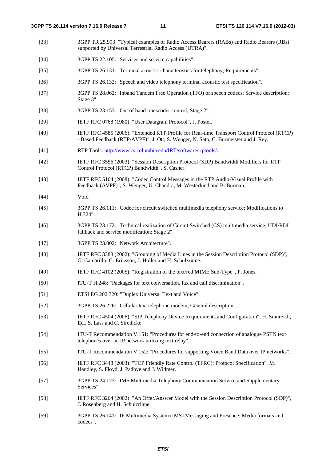- [33] 3GPP TR 25.993: "Typical examples of Radio Access Bearers (RABs) and Radio Bearers (RBs) supported by Universal Terrestrial Radio Access (UTRA)".
- [34] 3GPP TS 22.105: "Services and service capabilities".
- [35] 3GPP TS 26.131: "Terminal acoustic characteristics for telephony; Requirements".
- [36] 3GPP TS 26.132: "Speech and video telephony terminal acoustic test specification".
- [37] 3GPP TS 28.062: "Inband Tandem Free Operation (TFO) of speech codecs; Service description; Stage 3".
- [38] 3GPP TS 23.153: "Out of band transcoder control; Stage 2".
- [39] IETF RFC 0768 (1980): "User Datagram Protocol", J. Postel.
- [40] IETF RFC 4585 (2006): "Extended RTP Profile for Real-time Transport Control Protocol (RTCP) - Based Feedback (RTP/AVPF)", J. Ott, S. Wenger, N. Sato, C. Burmeister and J. Rey.
- [41] RTP Tools: [http://www.cs.columbia.edu/IRT/software/rtptools/.](http://www.cs.columbia.edu/IRT/software/rtptools/)
- [42] IETF RFC 3556 (2003): "Session Description Protocol (SDP) Bandwidth Modifiers for RTP Control Protocol (RTCP) Bandwidth", S. Casner.
- [43] IETF RFC 5104 (2008): "Codec Control Messages in the RTP Audio-Visual Profile with Feedback (AVPF)", S. Wenger, U. Chandra, M. Westerlund and B. Burman.
- [44] Void
- [45] 3GPP TS 26.111: "Codec for circuit switched multimedia telephony service; Modifications to H.324".
- [46] 3GPP TS 23.172: "Technical realization of Circuit Switched (CS) multimedia service; UDI/RDI fallback and service modification; Stage 2".
- [47] 3GPP TS 23.002: "Network Architecture".
- [48] IETF RFC 3388 (2002): "Grouping of Media Lines in the Session Description Protocol (SDP)", G. Camarillo, G. Eriksson, J. Holler and H. Schulzrinne.
- [49] IETF RFC 4102 (2005): "Registration of the text/red MIME Sub-Type", P. Jones.
- [50] ITU-T H.248: "Packages for text conversation, fax and call discrimination".
- [51] ETSI EG 202 320: "Duplex Universal Text and Voice".
- [52] 3GPP TS 26.226: "Cellular text telephone modem; General description".
- [53] IETF RFC 4504 (2006): "SIP Telephony Device Requirements and Configuration", H. Sinnreich, Ed., S. Lass and C. Stredicke.
- [54] ITU-T Recommendation V.151: "Procedures for end-to-end connection of analogue PSTN text telephones over an IP network utilizing text relay".
- [55] ITU-T Recommendation V.152: "Procedures for supporting Voice Band Data over IP networks".
- [56] IETF RFC 3448 (2003): "TCP Friendly Rate Control (TFRC): Protocol Specification", M. Handley, S. Floyd, J. Padhye and J. Widmer.
- [57] 3GPP TS 24.173: "IMS Multimedia Telephony Communication Service and Supplementary Services".
- [58] IETF RFC 3264 (2002): "An Offer/Answer Model with the Session Description Protocol (SDP)", J. Rosenberg and H. Schulzrinne.
- [59] 3GPP TS 26.141: "IP Multimedia System (IMS) Messaging and Presence; Media formats and codecs".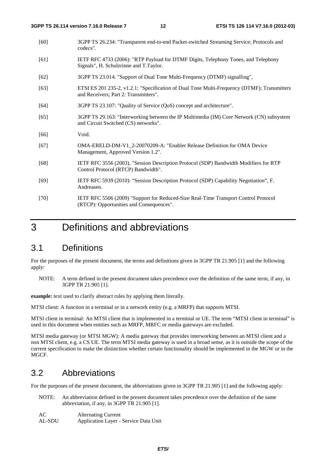- [60] 3GPP TS 26.234: "Transparent end-to-end Packet-switched Streaming Service; Protocols and codecs".
- [61] IETF RFC 4733 (2006): "RTP Payload for DTMF Digits, Telephony Tones, and Telephony Signals", H. Schulzrinne and T.Taylor.
- [62] 3GPP TS 23.014. "Support of Dual Tone Multi-Frequency (DTMF) signalling",
- [63] ETSI ES 201 235-2, v1.2.1: "Specification of Dual Tone Multi-Frequency (DTMF); Transmitters and Receivers; Part 2: Transmitters".
- [64] 3GPP TS 23.107: "Quality of Service (QoS) concept and architecture".
- [65] 3GPP TS 29.163: "Interworking between the IP Multimedia (IM) Core Network (CN) subsystem and Circuit Switched (CS) networks".
- [66] Void.
- [67] OMA-ERELD-DM-V1\_2-20070209-A: "Enabler Release Definition for OMA Device Management, Approved Version 1.2".
- [68] IETF RFC 3556 (2003), "Session Description Protocol (SDP) Bandwidth Modifiers for RTP Control Protocol (RTCP) Bandwidth".
- [69] IETF RFC 5939 (2010): "Session Description Protocol (SDP) Capability Negotiation", F. Andreasen.
- [70] IETF RFC 5506 (2009) "Support for Reduced-Size Real-Time Transport Control Protocol (RTCP): Opportunities and Consequences".

# 3 Definitions and abbreviations

# 3.1 Definitions

For the purposes of the present document, the terms and definitions given in 3GPP TR 21.905 [1] and the following apply:

NOTE: A term defined in the present document takes precedence over the definition of the same term, if any, in 3GPP TR 21.905 [1].

**example:** text used to clarify abstract rules by applying them literally.

MTSI client: A function in a terminal or in a network entity (e.g. a MRFP) that supports MTSI.

MTSI client in terminal: An MTSI client that is implemented in a terminal or UE. The term "MTSI client in terminal" is used in this document when entities such as MRFP, MRFC or media gateways are excluded.

MTSI media gateway (or MTSI MGW): A media gateway that provides interworking between an MTSI client and a non MTSI client, e.g. a CS UE. The term MTSI media gateway is used in a broad sense, as it is outside the scope of the current specification to make the distinction whether certain functionality should be implemented in the MGW or in the MGCF.

# 3.2 Abbreviations

For the purposes of the present document, the abbreviations given in 3GPP TR 21.905 [1] and the following apply:

NOTE: An abbreviation defined in the present document takes precedence over the definition of the same abbreviation, if any, in 3GPP TR 21.905 [1].

| AC     | <b>Alternating Current</b>            |
|--------|---------------------------------------|
| AL-SDU | Application Layer - Service Data Unit |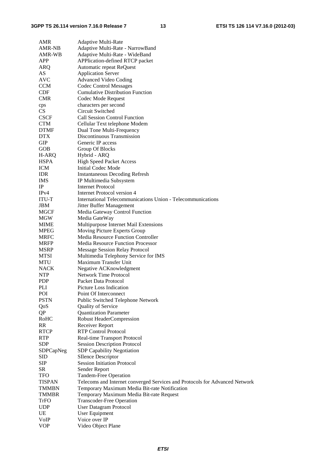| AMR                | Adaptive Multi-Rate                                                         |
|--------------------|-----------------------------------------------------------------------------|
| AMR-NB             | Adaptive Multi-Rate - NarrowBand                                            |
| AMR-WB             | Adaptive Multi-Rate - WideBand                                              |
| APP                | APPlication-defined RTCP packet                                             |
| ARQ                | Automatic repeat ReQuest                                                    |
| AS                 | <b>Application Server</b>                                                   |
| <b>AVC</b>         | <b>Advanced Video Coding</b>                                                |
| <b>CCM</b>         | <b>Codec Control Messages</b>                                               |
| <b>CDF</b>         | <b>Cumulative Distribution Function</b>                                     |
| <b>CMR</b>         | Codec Mode Request                                                          |
| cps                | characters per second                                                       |
| CS                 | Circuit Switched                                                            |
| <b>CSCF</b>        | <b>Call Session Control Function</b>                                        |
| <b>CTM</b>         | Cellular Text telephone Modem                                               |
| <b>DTMF</b>        | Dual Tone Multi-Frequency                                                   |
| <b>DTX</b>         | Discontinuous Transmission                                                  |
| <b>GIP</b>         | Generic IP access                                                           |
| GOB                | Group Of Blocks                                                             |
| H-ARQ              | Hybrid - ARQ                                                                |
| <b>HSPA</b>        | <b>High Speed Packet Access</b>                                             |
| <b>ICM</b>         | <b>Initial Codec Mode</b>                                                   |
| <b>IDR</b>         | <b>Instantaneous Decoding Refresh</b>                                       |
| <b>IMS</b>         | IP Multimedia Subsystem                                                     |
| $_{\rm IP}$        | <b>Internet Protocol</b>                                                    |
| IPv4               | Internet Protocol version 4                                                 |
| ITU-T              | International Telecommunications Union - Telecommunications                 |
| JBM                | Jitter Buffer Management                                                    |
| <b>MGCF</b>        | Media Gateway Control Function                                              |
| MGW                | Media GateWay                                                               |
| MIME               | Multipurpose Internet Mail Extensions                                       |
| <b>MPEG</b>        | Moving Picture Experts Group                                                |
| <b>MRFC</b>        | <b>Media Resource Function Controller</b>                                   |
| <b>MRFP</b>        | Media Resource Function Processor                                           |
| MSRP               | <b>Message Session Relay Protocol</b>                                       |
| <b>MTSI</b>        | Multimedia Telephony Service for IMS                                        |
| <b>MTU</b>         | Maximum Transfer Unit                                                       |
| <b>NACK</b>        | Negative ACKnowledgment                                                     |
| <b>NTP</b>         | Network Time Protocol                                                       |
| <b>PDP</b>         | Packet Data Protocol                                                        |
| PLI                | Picture Loss Indication                                                     |
| POI                | Point Of Interconnect                                                       |
| <b>PSTN</b>        | Public Switched Telephone Network                                           |
| QoS                | <b>Quality of Service</b>                                                   |
| QP                 | <b>Quantization Parameter</b>                                               |
| RoHC               | Robust HeaderCompression                                                    |
| <b>RR</b>          | Receiver Report                                                             |
| <b>RTCP</b>        | <b>RTP Control Protocol</b>                                                 |
| <b>RTP</b>         | Real-time Transport Protocol                                                |
| <b>SDP</b>         | <b>Session Description Protocol</b>                                         |
| SDPCapNeg          | <b>SDP Capability Negotiation</b>                                           |
| <b>SID</b>         | <b>SIlence Descriptor</b>                                                   |
| <b>SIP</b>         | <b>Session Initiation Protocol</b>                                          |
| SR                 | Sender Report                                                               |
| <b>TFO</b>         | Tandem-Free Operation                                                       |
| <b>TISPAN</b>      | Telecoms and Internet converged Services and Protocols for Advanced Network |
| <b>TMMBN</b>       | Temporary Maximum Media Bit-rate Notification                               |
| <b>TMMBR</b>       | Temporary Maximum Media Bit-rate Request                                    |
| TrFO<br><b>UDP</b> | <b>Transcoder-Free Operation</b>                                            |
| UE                 | <b>User Datagram Protocol</b>                                               |
| VoIP               | User Equipment<br>Voice over IP                                             |
| <b>VOP</b>         | Video Object Plane                                                          |
|                    |                                                                             |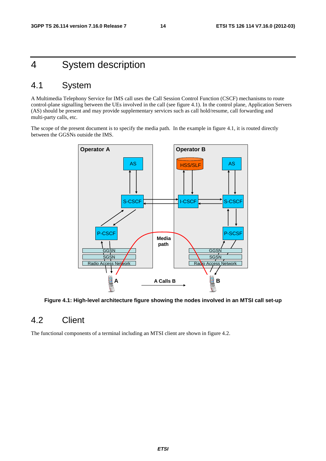# 4 System description

# 4.1 System

A Multimedia Telephony Service for IMS call uses the Call Session Control Function (CSCF) mechanisms to route control-plane signalling between the UEs involved in the call (see figure 4.1). In the control plane, Application Servers (AS) should be present and may provide supplementary services such as call hold/resume, call forwarding and multi-party calls, etc.

The scope of the present document is to specify the media path. In the example in figure 4.1, it is routed directly between the GGSNs outside the IMS.



**Figure 4.1: High-level architecture figure showing the nodes involved in an MTSI call set-up** 

# 4.2 Client

The functional components of a terminal including an MTSI client are shown in figure 4.2.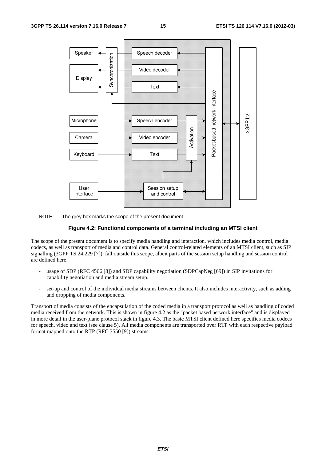

NOTE: The grey box marks the scope of the present document.

#### **Figure 4.2: Functional components of a terminal including an MTSI client**

The scope of the present document is to specify media handling and interaction, which includes media control, media codecs, as well as transport of media and control data. General control-related elements of an MTSI client, such as SIP signalling (3GPP TS 24.229 [7]), fall outside this scope, albeit parts of the session setup handling and session control are defined here:

- usage of SDP (RFC 4566 [8]) and SDP capability negotiation (SDPCapNeg [69]) in SIP invitations for capability negotiation and media stream setup.
- set-up and control of the individual media streams between clients. It also includes interactivity, such as adding and dropping of media components.

Transport of media consists of the encapsulation of the coded media in a transport protocol as well as handling of coded media received from the network. This is shown in figure 4.2 as the "packet based network interface" and is displayed in more detail in the user-plane protocol stack in figure 4.3. The basic MTSI client defined here specifies media codecs for speech, video and text (see clause 5). All media components are transported over RTP with each respective payload format mapped onto the RTP (RFC 3550 [9]) streams.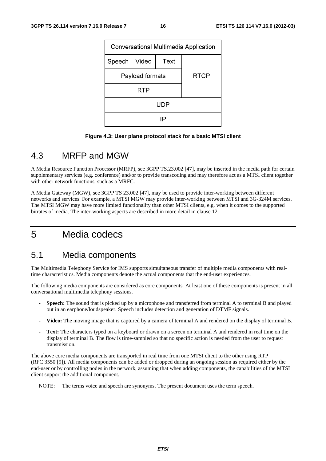

**Figure 4.3: User plane protocol stack for a basic MTSI client** 

# 4.3 MRFP and MGW

A Media Resource Function Processor (MRFP), see 3GPP TS.23.002 [47], may be inserted in the media path for certain supplementary services (e.g. conference) and/or to provide transcoding and may therefore act as a MTSI client together with other network functions, such as a MRFC.

A Media Gateway (MGW), see 3GPP TS 23.002 [47], may be used to provide inter-working between different networks and services. For example, a MTSI MGW may provide inter-working between MTSI and 3G-324M services. The MTSI MGW may have more limited functionality than other MTSI clients, e.g. when it comes to the supported bitrates of media. The inter-working aspects are described in more detail in clause 12.

# 5 Media codecs

### 5.1 Media components

The Multimedia Telephony Service for IMS supports simultaneous transfer of multiple media components with realtime characteristics. Media components denote the actual components that the end-user experiences.

The following media components are considered as core components. At least one of these components is present in all conversational multimedia telephony sessions.

- **Speech:** The sound that is picked up by a microphone and transferred from terminal A to terminal B and played out in an earphone/loudspeaker. Speech includes detection and generation of DTMF signals.
- **Video:** The moving image that is captured by a camera of terminal A and rendered on the display of terminal B.
- **Text:** The characters typed on a keyboard or drawn on a screen on terminal A and rendered in real time on the display of terminal B. The flow is time-sampled so that no specific action is needed from the user to request transmission.

The above core media components are transported in real time from one MTSI client to the other using RTP (RFC 3550 [9]). All media components can be added or dropped during an ongoing session as required either by the end-user or by controlling nodes in the network, assuming that when adding components, the capabilities of the MTSI client support the additional component.

NOTE: The terms voice and speech are synonyms. The present document uses the term speech.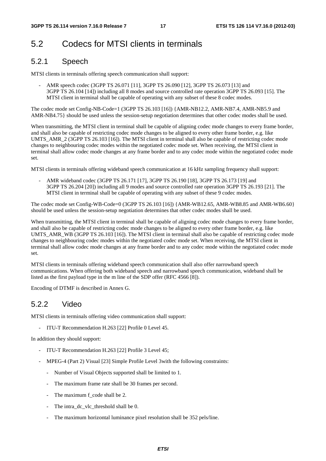# 5.2 Codecs for MTSI clients in terminals

### 5.2.1 Speech

MTSI clients in terminals offering speech communication shall support:

AMR speech codec (3GPP TS 26.071 [11], 3GPP TS 26.090 [12], 3GPP TS 26.073 [13] and 3GPP TS 26.104 [14]) including all 8 modes and source controlled rate operation 3GPP TS 26.093 [15]. The MTSI client in terminal shall be capable of operating with any subset of these 8 codec modes.

The codec mode set Config-NB-Code=1 (3GPP TS 26.103 [16]) {AMR-NB12.2, AMR-NB7.4, AMR-NB5.9 and AMR-NB4.75} should be used unless the session-setup negotiation determines that other codec modes shall be used.

When transmitting, the MTSI client in terminal shall be capable of aligning codec mode changes to every frame border, and shall also be capable of restricting codec mode changes to be aligned to every other frame border, e.g. like UMTS\_AMR\_2 (3GPP TS 26.103 [16]). The MTSI client in terminal shall also be capable of restricting codec mode changes to neighbouring codec modes within the negotiated codec mode set. When receiving, the MTSI client in terminal shall allow codec mode changes at any frame border and to any codec mode within the negotiated codec mode set.

MTSI clients in terminals offering wideband speech communication at 16 kHz sampling frequency shall support:

AMR wideband codec (3GPP TS 26.171 [17], 3GPP TS 26.190 [18], 3GPP TS 26.173 [19] and 3GPP TS 26.204 [20]) including all 9 modes and source controlled rate operation 3GPP TS 26.193 [21]. The MTSI client in terminal shall be capable of operating with any subset of these 9 codec modes.

The codec mode set Config-WB-Code=0 (3GPP TS 26.103 [16]) {AMR-WB12.65, AMR-WB8.85 and AMR-WB6.60} should be used unless the session-setup negotiation determines that other codec modes shall be used.

When transmitting, the MTSI client in terminal shall be capable of aligning codec mode changes to every frame border, and shall also be capable of restricting codec mode changes to be aligned to every other frame border, e.g. like UMTS AMR\_WB (3GPP TS 26.103 [16]). The MTSI client in terminal shall also be capable of restricting codec mode changes to neighbouring codec modes within the negotiated codec mode set. When receiving, the MTSI client in terminal shall allow codec mode changes at any frame border and to any codec mode within the negotiated codec mode set.

MTSI clients in terminals offering wideband speech communication shall also offer narrowband speech communications. When offering both wideband speech and narrowband speech communication, wideband shall be listed as the first payload type in the m line of the SDP offer (RFC 4566 [8]).

Encoding of DTMF is described in Annex G.

### 5.2.2 Video

MTSI clients in terminals offering video communication shall support:

- ITU-T Recommendation H.263 [22] Profile 0 Level 45.

In addition they should support:

- ITU-T Recommendation H.263 [22] Profile 3 Level 45;
- MPEG-4 (Part 2) Visual [23] Simple Profile Level 3with the following constraints:
	- Number of Visual Objects supported shall be limited to 1.
	- The maximum frame rate shall be 30 frames per second.
	- The maximum f\_code shall be 2.
	- The intra\_dc\_vlc\_threshold shall be 0.
	- The maximum horizontal luminance pixel resolution shall be 352 pels/line.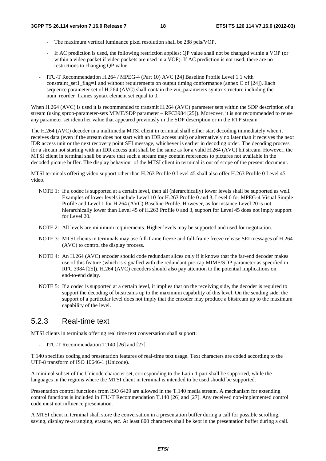- The maximum vertical luminance pixel resolution shall be 288 pels/VOP.
- If AC prediction is used, the following restriction applies: QP value shall not be changed within a VOP (or within a video packet if video packets are used in a VOP). If AC prediction is not used, there are no restrictions to changing QP value.
- ITU-T Recommendation H.264 / MPEG-4 (Part 10) AVC [24] Baseline Profile Level 1.1 with constraint set1 flag=1 and without requirements on output timing conformance (annex C of  $[24]$ ). Each sequence parameter set of H.264 (AVC) shall contain the vui parameters syntax structure including the num\_reorder\_frames syntax element set equal to 0.

When H.264 (AVC) is used it is recommended to transmit H.264 (AVC) parameter sets within the SDP description of a stream (using sprop-parameter-sets MIME/SDP parameter – RFC3984 [25]). Moreover, it is not recommended to reuse any parameter set identifier value that appeared previously in the SDP description or in the RTP stream.

The H.264 (AVC) decoder in a multimedia MTSI client in terminal shall either start decoding immediately when it receives data (even if the stream does not start with an IDR access unit) or alternatively no later than it receives the next IDR access unit or the next recovery point SEI message, whichever is earlier in decoding order. The decoding process for a stream not starting with an IDR access unit shall be the same as for a valid H.264 (AVC) bit stream. However, the MTSI client in terminal shall be aware that such a stream may contain references to pictures not available in the decoded picture buffer. The display behaviour of the MTSI client in terminal is out of scope of the present document.

MTSI terminals offering video support other than H.263 Profile 0 Level 45 shall also offer H.263 Profile 0 Level 45 video.

- NOTE 1: If a codec is supported at a certain level, then all (hierarchically) lower levels shall be supported as well. Examples of lower levels include Level 10 for H.263 Profile 0 and 3, Level 0 for MPEG-4 Visual Simple Profile and Level 1 for H.264 (AVC) Baseline Profile. However, as for instance Level 20 is not hierarchically lower than Level 45 of H.263 Profile 0 and 3, support for Level 45 does not imply support for Level 20.
- NOTE 2: All levels are minimum requirements. Higher levels may be supported and used for negotiation.
- NOTE 3: MTSI clients in terminals may use full-frame freeze and full-frame freeze release SEI messages of H.264 (AVC) to control the display process.
- NOTE 4: An H.264 (AVC) encoder should code redundant slices only if it knows that the far-end decoder makes use of this feature (which is signalled with the redundant-pic-cap MIME/SDP parameter as specified in RFC 3984 [25]). H.264 (AVC) encoders should also pay attention to the potential implications on end-to-end delay.
- NOTE 5: If a codec is supported at a certain level, it implies that on the receiving side, the decoder is required to support the decoding of bitstreams up to the maximum capability of this level. On the sending side, the support of a particular level does not imply that the encoder may produce a bitstream up to the maximum capability of the level.

### 5.2.3 Real-time text

MTSI clients in terminals offering real time text conversation shall support:

- ITU-T Recommendation T.140 [26] and [27].

T.140 specifies coding and presentation features of real-time text usage. Text characters are coded according to the UTF-8 transform of ISO 10646-1 (Unicode).

A minimal subset of the Unicode character set, corresponding to the Latin-1 part shall be supported, while the languages in the regions where the MTSI client in terminal is intended to be used should be supported.

Presentation control functions from ISO 6429 are allowed in the T.140 media stream. A mechanism for extending control functions is included in ITU-T Recommendation T.140 [26] and [27]. Any received non-implemented control code must not influence presentation.

A MTSI client in terminal shall store the conversation in a presentation buffer during a call for possible scrolling, saving, display re-arranging, erasure, etc. At least 800 characters shall be kept in the presentation buffer during a call.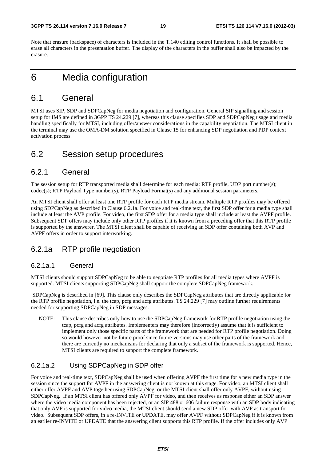Note that erasure (backspace) of characters is included in the T.140 editing control functions. It shall be possible to erase all characters in the presentation buffer. The display of the characters in the buffer shall also be impacted by the erasure.

# 6 Media configuration

# 6.1 General

MTSI uses SIP, SDP and SDPCapNeg for media negotiation and configuration. General SIP signalling and session setup for IMS are defined in 3GPP TS 24.229 [7], whereas this clause specifies SDP and SDPCapNeg usage and media handling specifically for MTSI, including offer/answer considerations in the capability negotiation. The MTSI client in the terminal may use the OMA-DM solution specified in Clause 15 for enhancing SDP negotiation and PDP context activation process.

# 6.2 Session setup procedures

### 6.2.1 General

The session setup for RTP transported media shall determine for each media: RTP profile, UDP port number(s); codec(s); RTP Payload Type number(s), RTP Payload Format(s) and any additional session parameters.

An MTSI client shall offer at least one RTP profile for each RTP media stream. Multiple RTP profiles may be offered using SDPCapNeg as described in Clause 6.2.1a. For voice and real-time text, the first SDP offer for a media type shall include at least the AVP profile. For video, the first SDP offer for a media type shall include at least the AVPF profile. Subsequent SDP offers may include only other RTP profiles if it is known from a preceding offer that this RTP profile is supported by the answerer. The MTSI client shall be capable of receiving an SDP offer containing both AVP and AVPF offers in order to support interworking.

### 6.2.1a RTP profile negotiation

#### 6.2.1a.1 General

MTSI clients should support SDPCapNeg to be able to negotiate RTP profiles for all media types where AVPF is supported. MTSI clients supporting SDPCapNeg shall support the complete SDPCapNeg framework.

 SDPCapNeg is described in [69]. This clause only describes the SDPCapNeg attributes that are directly applicable for the RTP profile negotiation, i.e. the tcap, pcfg and acfg attributes. TS 24.229 [7] may outline further requirements needed for supporting SDPCapNeg in SDP messages.

NOTE: This clause describes only how to use the SDPCapNeg framework for RTP profile negotiation using the tcap, pcfg and acfg attributes. Implementers may therefore (incorrectly) assume that it is sufficient to implement only those specific parts of the framework that are needed for RTP profile negotiation. Doing so would however not be future proof since future versions may use other parts of the framework and there are currently no mechanisms for declaring that only a subset of the framework is supported. Hence, MTSI clients are required to support the complete framework.

#### 6.2.1a.2 Using SDPCapNeg in SDP offer

For voice and real-time text, SDPCapNeg shall be used when offering AVPF the first time for a new media type in the session since the support for AVPF in the answering client is not known at this stage. For video, an MTSI client shall either offer AVPF and AVP together using SDPCapNeg, or the MTSI client shall offer only AVPF, without using SDPCapNeg. If an MTSI client has offered only AVPF for video, and then receives as response either an SDP answer where the video media component has been rejected, or an SIP 488 or 606 failure response with an SDP body indicating that only AVP is supported for video media, the MTSI client should send a new SDP offer with AVP as transport for video. Subsequent SDP offers, in a re-INVITE or UPDATE, may offer AVPF without SDPCapNeg if it is known from an earlier re-INVITE or UPDATE that the answering client supports this RTP profile. If the offer includes only AVP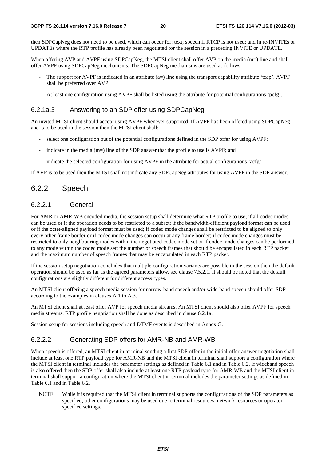then SDPCapNeg does not need to be used, which can occur for: text; speech if RTCP is not used; and in re-INVITEs or UPDATEs where the RTP profile has already been negotiated for the session in a preceding INVITE or UPDATE.

When offering AVP and AVPF using SDPCapNeg, the MTSI client shall offer AVP on the media (m=) line and shall offer AVPF using SDPCapNeg mechanisms. The SDPCapNeg mechanisms are used as follows:

- The support for AVPF is indicated in an attribute  $(a=)$  line using the transport capability attribute 'tcap'. AVPF shall be preferred over AVP.
- At least one configuration using AVPF shall be listed using the attribute for potential configurations 'pcfg'.

#### 6.2.1a.3 Answering to an SDP offer using SDPCapNeg

An invited MTSI client should accept using AVPF whenever supported. If AVPF has been offered using SDPCapNeg and is to be used in the session then the MTSI client shall:

- select one configuration out of the potential configurations defined in the SDP offer for using AVPF;
- indicate in the media  $(m=)$  line of the SDP answer that the profile to use is AVPF; and
- indicate the selected configuration for using AVPF in the attribute for actual configurations 'acfg'.

If AVP is to be used then the MTSI shall not indicate any SDPCapNeg attributes for using AVPF in the SDP answer.

### 6.2.2 Speech

#### 6.2.2.1 General

For AMR or AMR-WB encoded media, the session setup shall determine what RTP profile to use; if all codec modes can be used or if the operation needs to be restricted to a subset; if the bandwidth-efficient payload format can be used or if the octet-aligned payload format must be used; if codec mode changes shall be restricted to be aligned to only every other frame border or if codec mode changes can occur at any frame border; if codec mode changes must be restricted to only neighbouring modes within the negotiated codec mode set or if codec mode changes can be performed to any mode within the codec mode set; the number of speech frames that should be encapsulated in each RTP packet and the maximum number of speech frames that may be encapsulated in each RTP packet.

If the session setup negotiation concludes that multiple configuration variants are possible in the session then the default operation should be used as far as the agreed parameters allow, see clause 7.5.2.1. It should be noted that the default configurations are slightly different for different access types.

An MTSI client offering a speech media session for narrow-band speech and/or wide-band speech should offer SDP according to the examples in clauses A.1 to A.3.

An MTSI client shall at least offer AVP for speech media streams. An MTSI client should also offer AVPF for speech media streams. RTP profile negotiation shall be done as described in clause 6.2.1a.

Session setup for sessions including speech and DTMF events is described in Annex G.

#### 6.2.2.2 Generating SDP offers for AMR-NB and AMR-WB

When speech is offered, an MTSI client in terminal sending a first SDP offer in the initial offer-answer negotiation shall include at least one RTP payload type for AMR-NB and the MTSI client in terminal shall support a configuration where the MTSI client in terminal includes the parameter settings as defined in Table 6.1 and in Table 6.2. If wideband speech is also offered then the SDP offer shall also include at least one RTP payload type for AMR-WB and the MTSI client in terminal shall support a configuration where the MTSI client in terminal includes the parameter settings as defined in Table 6.1 and in Table 6.2.

NOTE: While it is required that the MTSI client in terminal supports the configurations of the SDP parameters as specified, other configurations may be used due to terminal resources, network resources or operator specified settings.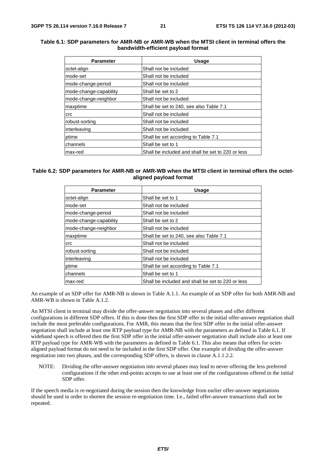#### **Table 6.1: SDP parameters for AMR-NB or AMR-WB when the MTSI client in terminal offers the bandwidth-efficient payload format**

| <b>Parameter</b>       | Usage                                             |
|------------------------|---------------------------------------------------|
| octet-align            | Shall not be included                             |
| mode-set               | Shall not be included                             |
| mode-change-period     | Shall not be included                             |
| mode-change-capability | Shall be set to 2                                 |
| mode-change-neighbor   | Shall not be included                             |
| maxptime               | Shall be set to 240, see also Table 7.1           |
| crc                    | Shall not be included                             |
| robust-sorting         | Shall not be included                             |
| interleaving           | Shall not be included                             |
| ptime                  | Shall be set according to Table 7.1               |
| channels               | Shall be set to 1                                 |
| max-red                | Shall be included and shall be set to 220 or less |

#### **Table 6.2: SDP parameters for AMR-NB or AMR-WB when the MTSI client in terminal offers the octetaligned payload format**

| <b>Parameter</b>       | Usage                                             |
|------------------------|---------------------------------------------------|
| octet-align            | Shall be set to 1                                 |
| mode-set               | Shall not be included                             |
| mode-change-period     | Shall not be included                             |
| mode-change-capability | Shall be set to 2                                 |
| mode-change-neighbor   | Shall not be included                             |
| maxptime               | Shall be set to 240, see also Table 7.1           |
| <b>crc</b>             | Shall not be included                             |
| robust-sorting         | Shall not be included                             |
| interleaving           | Shall not be included                             |
| ptime                  | Shall be set according to Table 7.1               |
| channels               | Shall be set to 1                                 |
| max-red                | Shall be included and shall be set to 220 or less |

An example of an SDP offer for AMR-NB is shown in Table A.1.1. An example of an SDP offer for both AMR-NB and AMR-WB is shown in Table A.1.2.

An MTSI client in terminal may divide the offer-answer negotiation into several phases and offer different configurations in different SDP offers. If this is done then the first SDP offer in the initial offer-answer negotiation shall include the most preferable configurations. For AMR, this means that the first SDP offer in the initial offer-answer negotiation shall include at least one RTP payload type for AMR-NB with the parameters as defined in Table 6.1. If wideband speech is offered then the first SDP offer in the initial offer-answer negotiation shall include also at least one RTP payload type for AMR-WB with the parameters as defined in Table 6.1. This also means that offers for octetaligned payload format do not need to be included in the first SDP offer. One example of dividing the offer-answer negotiation into two phases, and the corresponding SDP offers, is shown in clause A.1.1.2.2.

NOTE: Dividing the offer-answer negotiation into several phases may lead to never offering the less preferred configurations if the other end-points accepts to use at least one of the configurations offered in the initial SDP offer.

If the speech media is re-negotiated during the session then the knowledge from earlier offer-answer negotiations should be used in order to shorten the session re-negotiation time. I.e., failed offer-answer transactions shall not be repeated.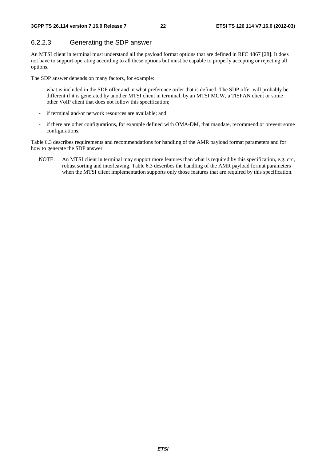### 6.2.2.3 Generating the SDP answer

An MTSI client in terminal must understand all the payload format options that are defined in RFC 4867 [28]. It does not have to support operating according to all these options but must be capable to properly accepting or rejecting all options.

The SDP answer depends on many factors, for example:

- what is included in the SDP offer and in what preference order that is defined. The SDP offer will probably be different if it is generated by another MTSI client in terminal, by an MTSI MGW, a TISPAN client or some other VoIP client that does not follow this specification;
- if terminal and/or network resources are available; and:
- if there are other configurations, for example defined with OMA-DM, that mandate, recommend or prevent some configurations.

Table 6.3 describes requirements and recommendations for handling of the AMR payload format parameters and for how to generate the SDP answer.

NOTE: An MTSI client in terminal may support more features than what is required by this specification, e.g. crc, robust sorting and interleaving. Table 6.3 describes the handling of the AMR payload format parameters when the MTSI client implementation supports only those features that are required by this specification.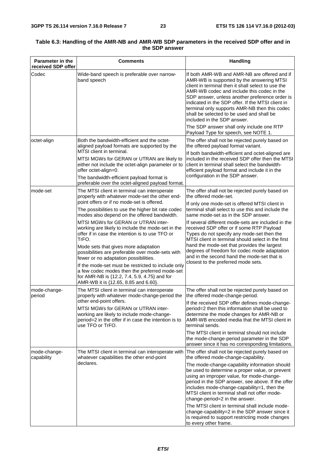| <b>Parameter in the</b><br>received SDP offer | <b>Comments</b>                                                                                                                                                                          | <b>Handling</b>                                                                                                                                                                                                                                                                                                                                                                                                                                                                |
|-----------------------------------------------|------------------------------------------------------------------------------------------------------------------------------------------------------------------------------------------|--------------------------------------------------------------------------------------------------------------------------------------------------------------------------------------------------------------------------------------------------------------------------------------------------------------------------------------------------------------------------------------------------------------------------------------------------------------------------------|
| Codec                                         | Wide-band speech is preferable over narrow-<br>band speech                                                                                                                               | If both AMR-WB and AMR-NB are offered and if<br>AMR-WB is supported by the answering MTSI<br>client in terminal then it shall select to use the<br>AMR-WB codec and include this codec in the<br>SDP answer, unless another preference order is<br>indicated in the SDP offer. If the MTSI client in<br>terminal only supports AMR-NB then this codec<br>shall be selected to be used and shall be<br>included in the SDP answer.<br>The SDP answer shall only include one RTP |
| octet-align                                   | Both the bandwidth-efficient and the octet-                                                                                                                                              | Payload Type for speech, see NOTE 1.<br>The offer shall not be rejected purely based on                                                                                                                                                                                                                                                                                                                                                                                        |
|                                               | aligned payload formats are supported by the<br>MTSI client in terminal.                                                                                                                 | the offered payload format variant.<br>If both bandwidth-efficient and octet-aligned are                                                                                                                                                                                                                                                                                                                                                                                       |
|                                               | MTSI MGWs for GERAN or UTRAN are likely to<br>either not include the octet-align parameter or to<br>offer octet-align=0.<br>The bandwidth-efficient payload format is                    | included in the received SDP offer then the MTSI<br>client in terminal shall select the bandwidth-<br>efficient payload format and include it in the<br>configuration in the SDP answer.                                                                                                                                                                                                                                                                                       |
|                                               | preferable over the octet-aligned payload format.                                                                                                                                        |                                                                                                                                                                                                                                                                                                                                                                                                                                                                                |
| mode-set                                      | The MTSI client in terminal can interoperate<br>properly with whatever mode-set the other end-<br>point offers or if no mode-set is offered.                                             | The offer shall not be rejected purely based on<br>the offered mode-set.                                                                                                                                                                                                                                                                                                                                                                                                       |
|                                               | The possibilities to use the higher bit rate codec<br>modes also depend on the offered bandwidth.                                                                                        | If only one mode-set is offered MTSI client in<br>terminal shall select to use this and include the<br>same mode-set as in the SDP answer.                                                                                                                                                                                                                                                                                                                                     |
|                                               | MTSI MGWs for GERAN or UTRAN inter-<br>working are likely to include the mode-set in the<br>offer if in case the intention is to use TFO or<br>TrFO.                                     | If several different mode-sets are included in the<br>received SDP offer or if some RTP Payload<br>Types do not specify any mode-set then the<br>MTSI client in terminal should select in the first                                                                                                                                                                                                                                                                            |
|                                               | Mode sets that gives more adaptation<br>possibilities are preferable over mode-sets with<br>fewer or no adaptation possibilities.<br>If the mode-set must be restricted to include only  | hand the mode-set that provides the largest<br>degrees of freedom for codec mode adaptation<br>and in the second hand the mode-set that is<br>closest to the preferred mode sets.                                                                                                                                                                                                                                                                                              |
|                                               | a few codec modes then the preferred mode-set<br>for AMR-NB is {12.2, 7.4, 5.9, 4.75} and for<br>AMR-WB it is {12.65, 8.85 and 6.60}.                                                    |                                                                                                                                                                                                                                                                                                                                                                                                                                                                                |
| mode-change-<br>period                        | The MTSI client in terminal can interoperate<br>properly with whatever mode-change-period the                                                                                            | The offer shall not be rejected purely based on<br>the offered mode-change-period.                                                                                                                                                                                                                                                                                                                                                                                             |
|                                               | other end-point offers.<br>MTSI MGWs for GERAN or UTRAN inter-<br>working are likely to include mode-change-<br>period=2 in the offer if in case the intention is to<br>use TFO or TrFO. | If the received SDP offer defines mode-change-<br>period=2 then this information shall be used to<br>determine the mode changes for AMR-NB or<br>AMR-WB encoded media that the MTSI client in<br>terminal sends.                                                                                                                                                                                                                                                               |
|                                               |                                                                                                                                                                                          | The MTSI client in terminal should not include<br>the mode-change-period parameter in the SDP<br>answer since it has no corresponding limitations.                                                                                                                                                                                                                                                                                                                             |
| mode-change-<br>capability                    | The MTSI client in terminal can interoperate with<br>whatever capabilities the other end-point                                                                                           | The offer shall not be rejected purely based on<br>the offered mode-change-capability.                                                                                                                                                                                                                                                                                                                                                                                         |
|                                               | declares.                                                                                                                                                                                | The mode-change-capability information should<br>be used to determine a proper value, or prevent<br>using an improper value, for mode-change-<br>period in the SDP answer, see above. If the offer<br>includes mode-change-capability=1, then the<br>MTSI client in terminal shall not offer mode-<br>change-period=2 in the answer.                                                                                                                                           |
|                                               |                                                                                                                                                                                          | The MTSI client in terminal shall include mode-<br>change-capability=2 in the SDP answer since it<br>is required to support restricting mode changes<br>to every other frame.                                                                                                                                                                                                                                                                                                  |

#### **Table 6.3: Handling of the AMR-NB and AMR-WB SDP parameters in the received SDP offer and in the SDP answer**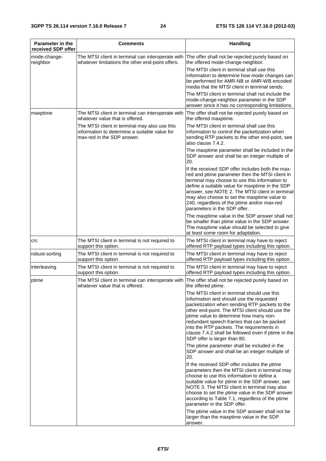| <b>Parameter in the</b><br>received SDP offer | <b>Comments</b>                                                                                                                      | <b>Handling</b>                                                                                                                                                                                                                                                                                                                                                                                                         |
|-----------------------------------------------|--------------------------------------------------------------------------------------------------------------------------------------|-------------------------------------------------------------------------------------------------------------------------------------------------------------------------------------------------------------------------------------------------------------------------------------------------------------------------------------------------------------------------------------------------------------------------|
| mode-change-<br>neighbor                      | The MTSI client in terminal can interoperate with<br>whatever limitations the other end-point offers.                                | The offer shall not be rejected purely based on<br>the offered mode-change-neighbor.<br>The MTSI client in terminal shall use this                                                                                                                                                                                                                                                                                      |
|                                               |                                                                                                                                      | information to determine how mode changes can<br>be performed for AMR-NB or AMR-WB encoded<br>media that the MTSI client in terminal sends.                                                                                                                                                                                                                                                                             |
|                                               |                                                                                                                                      | The MTSI client in terminal shall not include the<br>mode-change-neighbor parameter in the SDP<br>answer since it has no corresponding limitations.                                                                                                                                                                                                                                                                     |
| maxptime                                      | The MTSI client in terminal can interoperate with<br>whatever value that is offered.                                                 | The offer shall not be rejected purely based on<br>the offered maxptime.                                                                                                                                                                                                                                                                                                                                                |
|                                               | The MTSI client in terminal may also use this<br>information to determine a suitable value for<br>max-red in the SDP answer.         | The MTSI client in terminal shall use this<br>information to control the packetization when<br>sending RTP packets to the other end-point, see<br>also clause 7.4.2.                                                                                                                                                                                                                                                    |
|                                               |                                                                                                                                      | The maxptime parameter shall be included in the<br>SDP answer and shall be an integer multiple of<br>20.                                                                                                                                                                                                                                                                                                                |
|                                               |                                                                                                                                      | If the received SDP offer includes both the max-<br>red and ptime parameter then the MTSI client in<br>terminal may choose to use this information to<br>define a suitable value for maxptime in the SDP<br>answer, see NOTE 2. The MTSI client in terminal<br>may also choose to set the maxptime value to<br>240, regardless of the ptime and/or max-red<br>parameters in the SDP offer.                              |
|                                               |                                                                                                                                      | The maxptime value in the SDP answer shall not<br>be smaller than ptime value in the SDP answer.<br>The maxptime value should be selected to give<br>at least some room for adaptation.                                                                                                                                                                                                                                 |
| <b>CrC</b>                                    | The MTSI client in terminal is not required to<br>support this option.                                                               | The MTSI client in terminal may have to reject<br>offered RTP payload types including this option.                                                                                                                                                                                                                                                                                                                      |
| robust-sorting                                | The MTSI client in terminal is not required to<br>support this option.                                                               | The MTSI client in terminal may have to reject<br>offered RTP payload types including this option.                                                                                                                                                                                                                                                                                                                      |
| interleaving                                  | The MTSI client in terminal is not required to<br>support this option.                                                               | The MTSI client in terminal may have to reject<br>offered RTP payload types including this option.                                                                                                                                                                                                                                                                                                                      |
| ptime                                         | The MTSI client in terminal can interoperate with The offer shall not be rejected purely based on<br>whatever value that is offered. | the offered ptime.                                                                                                                                                                                                                                                                                                                                                                                                      |
|                                               |                                                                                                                                      | The MTSI client in terminal should use this<br>information and should use the requested<br>packetization when sending RTP packets to the<br>other end-point. The MTSI client should use the<br>ptime value to determine how many non-<br>redundant speech frames that can be packed<br>into the RTP packets. The requirements in<br>clause 7.4.2 shall be followed even if ptime in the<br>SDP offer is larger than 80. |
|                                               |                                                                                                                                      | The ptime parameter shall be included in the<br>SDP answer and shall be an integer multiple of<br>20.                                                                                                                                                                                                                                                                                                                   |
|                                               |                                                                                                                                      | If the received SDP offer includes the ptime<br>parameters then the MTSI client in terminal may<br>choose to use this information to define a<br>suitable value for ptime in the SDP answer, see<br>NOTE 3. The MTSI client in terminal may also<br>choose to set the ptime value in the SDP answer<br>according to Table 7.1, regardless of the ptime<br>parameter in the SDP offer.                                   |
|                                               |                                                                                                                                      | The ptime value in the SDP answer shall not be<br>larger than the maxptime value in the SDP<br>answer.                                                                                                                                                                                                                                                                                                                  |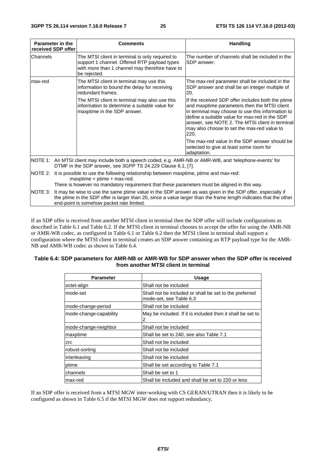| Parameter in the<br>received SDP offer | <b>Comments</b>                                                                                                                                                                                                                                                             | <b>Handling</b>                                                                                                                                                                                                                                                                                                    |  |
|----------------------------------------|-----------------------------------------------------------------------------------------------------------------------------------------------------------------------------------------------------------------------------------------------------------------------------|--------------------------------------------------------------------------------------------------------------------------------------------------------------------------------------------------------------------------------------------------------------------------------------------------------------------|--|
| Channels                               | The MTSI client in terminal is only required to<br>support 1 channel. Offered RTP payload types<br>with more than 1 channel may therefore have to<br>be rejected.                                                                                                           | The number of channels shall be included in the<br>SDP answer.                                                                                                                                                                                                                                                     |  |
| lmax-red                               | The MTSI client in terminal may use this<br>information to bound the delay for receiving<br>redundant frames.                                                                                                                                                               | The max-red parameter shall be included in the<br>SDP answer and shall be an integer multiple of<br>20.                                                                                                                                                                                                            |  |
|                                        | The MTSI client in terminal may also use this<br>information to determine a suitable value for<br>maxptime in the SDP answer.                                                                                                                                               | If the received SDP offer includes both the ptime<br>and maxptime parameters then the MTSI client<br>in terminal may choose to use this information to<br>define a suitable value for max-red in the SDP<br>answer, see NOTE 2. The MTSI client in terminal<br>may also choose to set the max-red value to<br>220. |  |
|                                        |                                                                                                                                                                                                                                                                             | The max-red value in the SDP answer should be<br>selected to give at least some room for<br>adaptation.                                                                                                                                                                                                            |  |
|                                        | NOTE 1: An MTSI client may include both a speech coded, e.g. AMR-NB or AMR-WB, and 'telephone-events' for<br>DTMF in the SDP answer, see 3GPP TS 24.229 Clause 6.1, [7].                                                                                                    |                                                                                                                                                                                                                                                                                                                    |  |
| INOTE 2:                               | It is possible to use the following relationship between maxptime, ptime and max-red:<br>$maxprime = prime + max-red.$                                                                                                                                                      |                                                                                                                                                                                                                                                                                                                    |  |
|                                        | There is however no mandatory requirement that these parameters must be aligned in this way.                                                                                                                                                                                |                                                                                                                                                                                                                                                                                                                    |  |
| INOTE 3:                               | It may be wise to use the same ptime value in the SDP answer as was given in the SDP offer, especially if<br>the ptime in the SDP offer is larger than 20, since a value larger than the frame length indicates that the other<br>end-point is somehow packet rate limited. |                                                                                                                                                                                                                                                                                                                    |  |

If an SDP offer is received from another MTSI client in terminal then the SDP offer will include configurations as described in Table 6.1 and Table 6.2. If the MTSI client in terminal chooses to accept the offer for using the AMR-NB or AMR-WB codec, as configured in Table 6.1 or Table 6.2 then the MTSI client in terminal shall support a configuration where the MTSI client in terminal creates an SDP answer containing an RTP payload type for the AMR-NB and AMR-WB codec as shown in Table 6.4.

| Table 6.4: SDP parameters for AMR-NB or AMR-WB for SDP answer when the SDP offer is received |  |
|----------------------------------------------------------------------------------------------|--|
| from another MTSI client in terminal                                                         |  |

| Parameter              | <b>Usage</b>                                                                      |
|------------------------|-----------------------------------------------------------------------------------|
| octet-align            | Shall not be included                                                             |
| mode-set               | Shall not be included or shall be set to the preferred<br>mode-set, see Table 6.3 |
| mode-change-period     | Shall not be included                                                             |
| mode-change-capability | May be included. If it is included then it shall be set to<br>2                   |
| mode-change-neighbor   | Shall not be included                                                             |
| maxptime               | Shall be set to 240, see also Table 7.1                                           |
| <b>crc</b>             | Shall not be included                                                             |
| robust-sorting         | Shall not be included                                                             |
| interleaving           | Shall not be included                                                             |
| ptime                  | Shall be set according to Table 7.1                                               |
| channels               | Shall be set to 1                                                                 |
| lmax-red               | Shall be included and shall be set to 220 or less                                 |

If an SDP offer is received from a MTSI MGW inter-working with CS GERAN/UTRAN then it is likely to be configured as shown in Table 6.5 if the MTSI MGW does not support redundancy.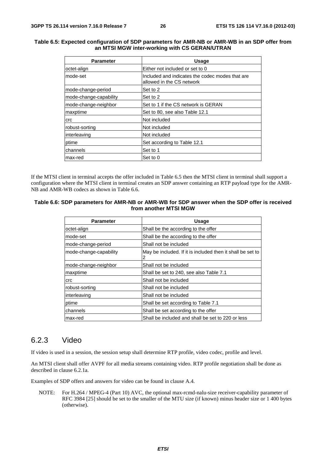#### **Table 6.5: Expected configuration of SDP parameters for AMR-NB or AMR-WB in an SDP offer from an MTSI MGW inter-working with CS GERAN/UTRAN**

| <b>Parameter</b>       | <b>Usage</b>                                                                 |
|------------------------|------------------------------------------------------------------------------|
| octet-align            | Either not included or set to 0                                              |
| mode-set               | Included and indicates the codec modes that are<br>allowed in the CS network |
| mode-change-period     | Set to 2                                                                     |
| mode-change-capability | Set to 2                                                                     |
| mode-change-neighbor   | Set to 1 if the CS network is GERAN                                          |
| maxptime               | Set to 80, see also Table 12.1                                               |
| <b>crc</b>             | Not included                                                                 |
| robust-sorting         | Not included                                                                 |
| interleaving           | Not included                                                                 |
| ptime                  | Set according to Table 12.1                                                  |
| channels               | Set to 1                                                                     |
| max-red                | Set to 0                                                                     |

If the MTSI client in terminal accepts the offer included in Table 6.5 then the MTSI client in terminal shall support a configuration where the MTSI client in terminal creates an SDP answer containing an RTP payload type for the AMR-NB and AMR-WB codecs as shown in Table 6.6.

#### **Table 6.6: SDP parameters for AMR-NB or AMR-WB for SDP answer when the SDP offer is received from another MTSI MGW**

| <b>Parameter</b>       | Usage                                                           |
|------------------------|-----------------------------------------------------------------|
| octet-align            | Shall be the according to the offer                             |
| Imode-set              | Shall be the according to the offer                             |
| mode-change-period     | Shall not be included                                           |
| mode-change-capability | May be included. If it is included then it shall be set to<br>2 |
| mode-change-neighbor   | Shall not be included                                           |
| maxptime               | Shall be set to 240, see also Table 7.1                         |
| crc                    | Shall not be included                                           |
| robust-sorting         | Shall not be included                                           |
| interleaving           | Shall not be included                                           |
| ptime                  | Shall be set according to Table 7.1                             |
| Ichannels              | Shall be set according to the offer                             |
| max-red                | Shall be included and shall be set to 220 or less               |

#### 6.2.3 Video

If video is used in a session, the session setup shall determine RTP profile, video codec, profile and level.

An MTSI client shall offer AVPF for all media streams containing video. RTP profile negotiation shall be done as described in clause 6.2.1a.

Examples of SDP offers and answers for video can be found in clause A.4.

NOTE: For H.264 / MPEG-4 (Part 10) AVC, the optional max-rcmd-nalu-size receiver-capability parameter of RFC 3984 [25] should be set to the smaller of the MTU size (if known) minus header size or 1 400 bytes (otherwise).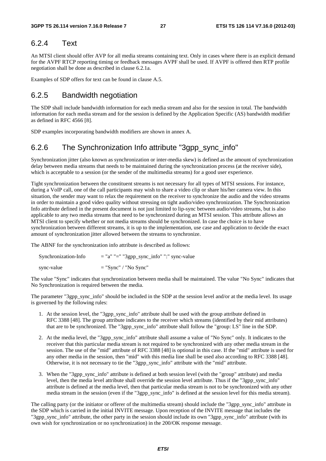### 6.2.4 Text

An MTSI client should offer AVP for all media streams containing text. Only in cases where there is an explicit demand for the AVPF RTCP reporting timing or feedback messages AVPF shall be used. If AVPF is offered then RTP profile negotiation shall be done as described in clause 6.2.1a.

Examples of SDP offers for text can be found in clause A.5.

### 6.2.5 Bandwidth negotiation

The SDP shall include bandwidth information for each media stream and also for the session in total. The bandwidth information for each media stream and for the session is defined by the Application Specific (AS) bandwidth modifier as defined in RFC 4566 [8].

SDP examples incorporating bandwidth modifiers are shown in annex A.

### 6.2.6 The Synchronization Info attribute "3gpp\_sync\_info"

Synchronization jitter (also known as synchronization or inter-media skew) is defined as the amount of synchronization delay between media streams that needs to be maintained during the synchronization process (at the receiver side), which is acceptable to a session (or the sender of the multimedia streams) for a good user experience.

Tight synchronization between the constituent streams is not necessary for all types of MTSI sessions. For instance, during a VoIP call, one of the call participants may wish to share a video clip or share his/her camera view. In this situation, the sender may want to relax the requirement on the receiver to synchronize the audio and the video streams in order to maintain a good video quality without stressing on tight audio/video synchronization. The Synchronization Info attribute defined in the present document is not just limited to lip-sync between audio/video streams, but is also applicable to any two media streams that need to be synchronized during an MTSI session. This attribute allows an MTSI client to specify whether or not media streams should be synchronized. In case the choice is to have synchronization between different streams, it is up to the implementation, use case and application to decide the exact amount of synchronization jitter allowed between the streams to synchronize.

The ABNF for the synchronization info attribute is described as follows:

| Synchronization-Info | $=$ "a" " $=$ " "3gpp_sync_info" ":" sync-value |
|----------------------|-------------------------------------------------|
| sync-value           | $=$ "Sync" / "No Sync"                          |

The value "Sync" indicates that synchronization between media shall be maintained. The value "No Sync" indicates that No Synchronization is required between the media.

The parameter "3gpp\_sync\_info" should be included in the SDP at the session level and/or at the media level. Its usage is governed by the following rules:

- 1. At the session level, the "3gpp\_sync\_info" attribute shall be used with the group attribute defined in RFC 3388 [48]. The group attribute indicates to the receiver which streams (identified by their mid attributes) that are to be synchronized. The "3gpp\_sync\_info" attribute shall follow the "group: LS" line in the SDP.
- 2. At the media level, the "3gpp\_sync\_info" attribute shall assume a value of "No Sync" only. It indicates to the receiver that this particular media stream is not required to be synchronized with any other media stream in the session. The use of the "mid" attribute of RFC 3388 [48] is optional in this case. If the "mid" attribute is used for any other media in the session, then "mid" with this media line shall be used also according to RFC 3388 [48]. Otherwise, it is not necessary to tie the "3gpp\_sync\_info" attribute with the "mid" attribute.
- 3. When the "3gpp\_sync\_info" attribute is defined at both session level (with the "group" attribute) and media level, then the media level attribute shall override the session level attribute. Thus if the "3gpp\_sync\_info" attribute is defined at the media level, then that particular media stream is not to be synchronized with any other media stream in the session (even if the "3gpp\_sync\_info" is defined at the session level for this media stream).

The calling party (or the initiator or offerer of the multimedia stream) should include the "3gpp\_sync\_info" attribute in the SDP which is carried in the initial INVITE message. Upon reception of the INVITE message that includes the "3gpp\_sync\_info" attribute, the other party in the session should include its own "3gpp\_sync\_info" attribute (with its own wish for synchronization or no synchronization) in the 200/OK response message.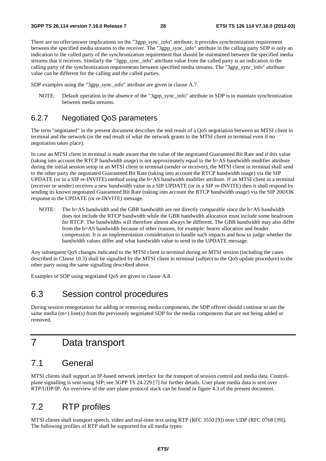There are no offer/answer implications on the "3gpp\_sync\_info" attribute; it provides synchronization requirement between the specified media streams to the receiver. The "3gpp\_sync\_info" attribute in the calling party SDP is only an indication to the called party of the synchronization requirement that should be maintained between the specified media streams that it receives. Similarly the "3gpp\_sync\_info" attribute value from the called party is an indication to the calling party of the synchronization requirements between specified media streams. The "3gpp\_sync\_info" attribute value can be different for the calling and the called parties.

SDP examples using the "3gpp\_sync\_info" attribute are given in clause A.7.

NOTE: Default operation in the absence of the "3gpp\_sync\_info" attribute in SDP is to maintain synchronization between media streams.

### 6.2.7 Negotiated QoS parameters

The term "negotiated" in the present document describes the end result of a QoS negotiation between an MTSI client in terminal and the network (or the end result of what the network grants to the MTSI client in terminal even if no negotiation takes place).

In case an MTSI client in terminal is made aware that the value of the negotiated Guaranteed Bit Rate and if this value (taking into account the RTCP bandwidth usage) is not approximately equal to the b=AS bandwidth modifier attribute during the initial session setup in an MTSI client in terminal (sender or receiver), the MTSI client in terminal shall send to the other party the negotiated Guaranteed Bit Rate (taking into account the RTCP bandwidth usage) via the SIP UPDATE (or in a SIP re-INVITE) method using the b=AS bandwidth modifier attribute. If an MTSI client in a terminal (receiver or sender) receives a new bandwidth value in a SIP UPDATE (or in a SIP re-INVITE) then it shall respond by sending its known negotiated Guaranteed Bit Rate (taking into account the RTCP bandwidth usage) via the SIP 200/OK response to the UPDATE (or re-INVITE) message.

NOTE: The b=AS bandwidth and the GBR bandwidth are not directly comparable since the b=AS bandwidth does not include the RTCP bandwidth while the GBR bandwidth allocation must include some headroom for RTCP. The bandwidths will therefore almost always be different. The GBR bandwidth may also differ from the b=AS bandwidth because of other reasons, for example: bearer allocation and header compression. It is an implementation consideration to handle such impacts and how to judge whether the bandwidth values differ and what bandwidth value to send in the UPDATE message.

Any subsequent QoS changes indicated to the MTSI client in terminal during an MTSI session (including the cases described in Clause 10.3) shall be signalled by the MTSI client in terminal (subject to the QoS update procedure) to the other party using the same signalling described above.

Examples of SDP using negotiated QoS are given in clause A.8.

### 6.3 Session control procedures

During session renegotiation for adding or removing media components, the SDP offerer should continue to use the same media (m=) line(s) from the previously negotiated SDP for the media components that are not being added or removed.

# 7 Data transport

# 7.1 General

MTSI clients shall support an IP-based network interface for the transport of session control and media data. Controlplane signalling is sent using SIP; see 3GPP TS 24.229 [7] for further details. User plane media data is sent over RTP/UDP/IP. An overview of the user plane protocol stack can be found in figure 4.3 of the present document.

### 7.2 RTP profiles

MTSI clients shall transport speech, video and real-time text using RTP (RFC 3550 [9]) over UDP (RFC 0768 [39]). The following profiles of RTP shall be supported for all media types: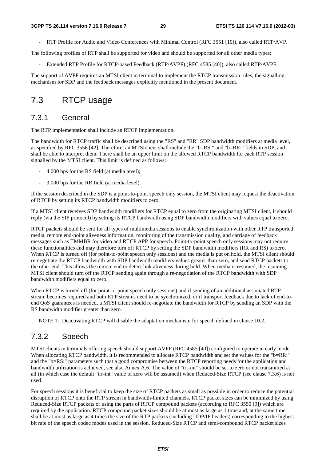- RTP Profile for Audio and Video Conferences with Minimal Control (RFC 3551 [10]), also called RTP/AVP.

The following profiles of RTP shall be supported for video and should be supported for all other media types:

- Extended RTP Profile for RTCP-based Feedback (RTP/AVPF) (RFC 4585 [40]), also called RTP/AVPF.

The support of AVPF requires an MTSI client in terminal to implement the RTCP transmission rules, the signalling mechanism for SDP and the feedback messages explicitly mentioned in the present document.

# 7.3 RTCP usage

### 7.3.1 General

The RTP implementation shall include an RTCP implementation.

The bandwidth for RTCP traffic shall be described using the "RS" and "RR" SDP bandwidth modifiers at media level, as specified by RFC 3556 [42]. Therefore, an MTSIclient shall include the "b=RS:" and "b=RR:" fields in SDP, and shall be able to interpret them. There shall be an upper limit on the allowed RTCP bandwidth for each RTP session signalled by the MTSI client. This limit is defined as follows:

- 4 000 bps for the RS field (at media level);
- 3 000 bps for the RR field (at media level).

If the session described in the SDP is a point-to-point speech only session, the MTSI client may request the deactivation of RTCP by setting its RTCP bandwidth modifiers to zero.

If a MTSI client receives SDP bandwidth modifiers for RTCP equal to zero from the originating MTSI client, it should reply (via the SIP protocol) by setting its RTCP bandwidth using SDP bandwidth modifiers with values equal to zero.

RTCP packets should be sent for all types of multimedia sessions to enable synchronization with other RTP transported media, remote end-point aliveness information, monitoring of the transmission quality, and carriage of feedback messages such as TMMBR for video and RTCP APP for speech. Point-to-point speech only sessions may not require these functionalities and may therefore turn off RTCP by setting the SDP bandwidth modifiers (RR and RS) to zero. When RTCP is turned off (for point-to-point speech only sessions) and the media is put on hold, the MTSI client should re-negotiate the RTCP bandwidth with SDP bandwidth modifiers values greater than zero, and send RTCP packets to the other end. This allows the remote end to detect link aliveness during hold. When media is resumed, the resuming MTSI client should turn off the RTCP sending again through a re-negotiation of the RTCP bandwidth with SDP bandwidth modifiers equal to zero.

When RTCP is turned off (for point-to-point speech only sessions) and if sending of an additional associated RTP stream becomes required and both RTP streams need to be synchronized, or if transport feedback due to lack of end-toend QoS guarantees is needed, a MTSI client should re-negotiate the bandwidth for RTCP by sending an SDP with the RS bandwidth modifier greater than zero.

NOTE 1: Deactivating RTCP will disable the adaptation mechanism for speech defined in clause 10.2.

### 7.3.2 Speech

MTSI clients in terminals offering speech should support AVPF (RFC 4585 [40]) configured to operate in early mode. When allocating RTCP bandwidth, it is recommended to allocate RTCP bandwidth and set the values for the "b=RR:" and the "b=RS:" parameters such that a good compromise between the RTCP reporting needs for the application and bandwidth utilization is achieved, see also Annex A.6. The value of "trr-int" should be set to zero or not transmitted at all (in which case the default "trr-int" value of zero will be assumed) when Reduced-Size RTCP (see clause 7.3.6) is not used.

For speech sessions it is beneficial to keep the size of RTCP packets as small as possible in order to reduce the potential disruption of RTCP onto the RTP stream in bandwidth-limited channels. RTCP packet sizes can be minimized by using Reduced-Size RTCP packets or using the parts of RTCP compound packets (according to RFC 3550 [9]) which are required by the application. RTCP compound packet sizes should be at most as large as 1 time and, at the same time, shall be at most as large as 4 times the size of the RTP packets (including UDP/IP headers) corresponding to the highest bit rate of the speech codec modes used in the session. Reduced-Size RTCP and semi-compound RTCP packet sizes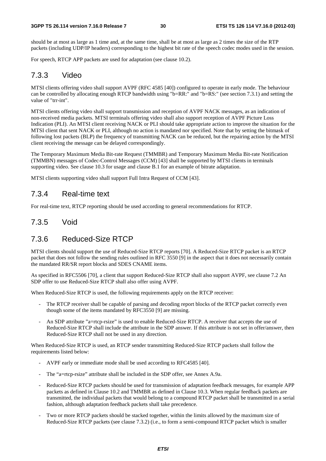should be at most as large as 1 time and, at the same time, shall be at most as large as 2 times the size of the RTP packets (including UDP/IP headers) corresponding to the highest bit rate of the speech codec modes used in the session.

For speech, RTCP APP packets are used for adaptation (see clause 10.2).

#### 7.3.3 Video

MTSI clients offering video shall support AVPF (RFC 4585 [40]) configured to operate in early mode. The behaviour can be controlled by allocating enough RTCP bandwidth using "b=RR:" and "b=RS:" (see section 7.3.1) and setting the value of "trr-int".

MTSI clients offering video shall support transmission and reception of AVPF NACK messages, as an indication of non-received media packets. MTSI terminals offering video shall also support reception of AVPF Picture Loss Indication (PLI). An MTSI client receiving NACK or PLI should take appropriate action to improve the situation for the MTSI client that sent NACK or PLI, although no action is mandated nor specified. Note that by setting the bitmask of following lost packets (BLP) the frequency of transmitting NACK can be reduced, but the repairing action by the MTSI client receiving the message can be delayed correspondingly.

The Temporary Maximum Media Bit-rate Request (TMMBR) and Temporary Maximum Media Bit-rate Notification (TMMBN) messages of Codec-Control Messages (CCM) [43] shall be supported by MTSI clients in terminals supporting video. See clause 10.3 for usage and clause B.1 for an example of bitrate adaptation.

MTSI clients supporting video shall support Full Intra Request of CCM [43].

#### 7.3.4 Real-time text

For real-time text, RTCP reporting should be used according to general recommendations for RTCP.

#### 7.3.5 Void

### 7.3.6 Reduced-Size RTCP

MTSI clients should support the use of Reduced-Size RTCP reports [70]. A Reduced-Size RTCP packet is an RTCP packet that does not follow the sending rules outlined in RFC 3550 [9] in the aspect that it does not necessarily contain the mandated RR/SR report blocks and SDES CNAME items.

As specified in RFC5506 [70], a client that support Reduced-Size RTCP shall also support AVPF, see clause 7.2 An SDP offer to use Reduced-Size RTCP shall also offer using AVPF.

When Reduced-Size RTCP is used, the following requirements apply on the RTCP receiver:

- The RTCP receiver shall be capable of parsing and decoding report blocks of the RTCP packet correctly even though some of the items mandated by RFC3550 [9] are missing.
- An SDP attribute "a=rtcp-rsize" is used to enable Reduced-Size RTCP. A receiver that accepts the use of Reduced-Size RTCP shall include the attribute in the SDP answer. If this attribute is not set in offer/answer, then Reduced-Size RTCP shall not be used in any direction.

When Reduced-Size RTCP is used, an RTCP sender transmitting Reduced-Size RTCP packets shall follow the requirements listed below:

- AVPF early or immediate mode shall be used according to RFC4585 [40].
- The "a=rtcp-rsize" attribute shall be included in the SDP offer, see Annex A.9a.
- Reduced-Size RTCP packets should be used for transmission of adaptation feedback messages, for example APP packets as defined in Clause 10.2 and TMMBR as defined in Clause 10.3. When regular feedback packets are transmitted, the individual packets that would belong to a compound RTCP packet shall be transmitted in a serial fashion, although adaptation feedback packets shall take precedence.
- Two or more RTCP packets should be stacked together, within the limits allowed by the maximum size of Reduced-Size RTCP packets (see clause 7.3.2) (i.e., to form a semi-compound RTCP packet which is smaller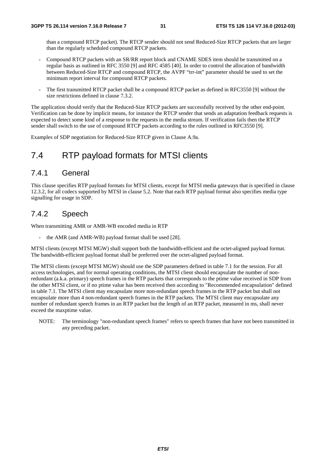than a compound RTCP packet). The RTCP sender should not send Reduced-Size RTCP packets that are larger than the regularly scheduled compound RTCP packets.

- Compound RTCP packets with an SR/RR report block and CNAME SDES item should be transmitted on a regular basis as outlined in RFC 3550 [9] and RFC 4585 [40]. In order to control the allocation of bandwidth between Reduced-Size RTCP and compound RTCP, the AVPF "trr-int" parameter should be used to set the minimum report interval for compound RTCP packets.
- The first transmitted RTCP packet shall be a compound RTCP packet as defined in RFC3550 [9] without the size restrictions defined in clause 7.3.2.

The application should verify that the Reduced-Size RTCP packets are successfully received by the other end-point. Verification can be done by implicit means, for instance the RTCP sender that sends an adaptation feedback requests is expected to detect some kind of a response to the requests in the media stream. If verification fails then the RTCP sender shall switch to the use of compound RTCP packets according to the rules outlined in RFC3550 [9].

Examples of SDP negotiation for Reduced-Size RTCP given in Clause A.9a.

# 7.4 RTP payload formats for MTSI clients

### 7.4.1 General

This clause specifies RTP payload formats for MTSI clients, except for MTSI media gateways that is specified in clause 12.3.2, for all codecs supported by MTSI in clause 5.2. Note that each RTP payload format also specifies media type signalling for usage in SDP.

### 7.4.2 Speech

When transmitting AMR or AMR-WB encoded media in RTP

the AMR (and AMR-WB) payload format shall be used [28].

MTSI clients (except MTSI MGW) shall support both the bandwidth-efficient and the octet-aligned payload format. The bandwidth-efficient payload format shall be preferred over the octet-aligned payload format.

The MTSI clients (except MTSI MGW) should use the SDP parameters defined in table 7.1 for the session. For all access technologies, and for normal operating conditions, the MTSI client should encapsulate the number of nonredundant (a.k.a. primary) speech frames in the RTP packets that corresponds to the ptime value received in SDP from the other MTSI client, or if no ptime value has been received then according to "Recommended encapsulation" defined in table 7.1. The MTSI client may encapsulate more non-redundant speech frames in the RTP packet but shall not encapsulate more than 4 non-redundant speech frames in the RTP packets. The MTSI client may encapsulate any number of redundant speech frames in an RTP packet but the length of an RTP packet, measured in ms, shall never exceed the maxptime value.

NOTE: The terminology "non-redundant speech frames" refers to speech frames that have not been transmitted in any preceding packet.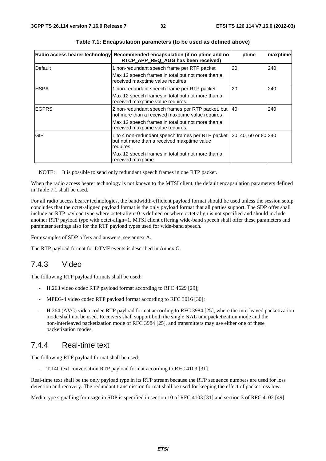|               | Radio access bearer technology Recommended encapsulation (if no ptime and no<br>RTCP_APP_REQ_AGG has been received) | ptime                | maxptime |
|---------------|---------------------------------------------------------------------------------------------------------------------|----------------------|----------|
| Default       | 1 non-redundant speech frame per RTP packet                                                                         | 20                   | 240      |
|               | Max 12 speech frames in total but not more than a<br>received maxptime value requires                               |                      |          |
| <b>HSPA</b>   | 1 non-redundant speech frame per RTP packet                                                                         | 20                   | 240      |
|               | Max 12 speech frames in total but not more than a<br>received maxptime value requires                               |                      |          |
| <b>IEGPRS</b> | 2 non-redundant speech frames per RTP packet, but<br>not more than a received maxptime value requires               | 40                   | 240      |
|               | Max 12 speech frames in total but not more than a<br>received maxptime value requires                               |                      |          |
| <b>GIP</b>    | 1 to 4 non-redundant speech frames per RTP packet<br>but not more than a received maxptime value<br>requires.       | 20, 40, 60 or 80 240 |          |
|               | Max 12 speech frames in total but not more than a<br>received maxptime                                              |                      |          |

**Table 7.1: Encapsulation parameters (to be used as defined above)** 

NOTE: It is possible to send only redundant speech frames in one RTP packet.

When the radio access bearer technology is not known to the MTSI client, the default encapsulation parameters defined in Table 7.1 shall be used.

For all radio access bearer technologies, the bandwidth-efficient payload format should be used unless the session setup concludes that the octet-aligned payload format is the only payload format that all parties support. The SDP offer shall include an RTP payload type where octet-align=0 is defined or where octet-align is not specified and should include another RTP payload type with octet-align=1. MTSI client offering wide-band speech shall offer these parameters and parameter settings also for the RTP payload types used for wide-band speech.

For examples of SDP offers and answers, see annex A.

The RTP payload format for DTMF events ís described in Annex G.

### 7.4.3 Video

The following RTP payload formats shall be used:

- H.263 video codec RTP payload format according to RFC 4629 [29];
- MPEG-4 video codec RTP payload format according to RFC 3016 [30];
- H.264 (AVC) video codec RTP payload format according to RFC 3984 [25], where the interleaved packetization mode shall not be used. Receivers shall support both the single NAL unit packetization mode and the non-interleaved packetization mode of RFC 3984 [25], and transmitters may use either one of these packetization modes.

#### 7.4.4 Real-time text

The following RTP payload format shall be used:

- T.140 text conversation RTP payload format according to RFC 4103 [31].

Real-time text shall be the only payload type in its RTP stream because the RTP sequence numbers are used for loss detection and recovery. The redundant transmission format shall be used for keeping the effect of packet loss low.

Media type signalling for usage in SDP is specified in section 10 of RFC 4103 [31] and section 3 of RFC 4102 [49].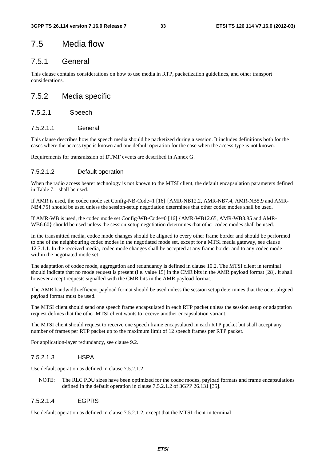# 7.5 Media flow

### 7.5.1 General

This clause contains considerations on how to use media in RTP, packetization guidelines, and other transport considerations.

### 7.5.2 Media specific

#### 7.5.2.1 Speech

#### 7.5.2.1.1 General

This clause describes how the speech media should be packetized during a session. It includes definitions both for the cases where the access type is known and one default operation for the case when the access type is not known.

Requirements for transmission of DTMF events are described in Annex G.

#### 7.5.2.1.2 Default operation

When the radio access bearer technology is not known to the MTSI client, the default encapsulation parameters defined in Table 7.1 shall be used.

If AMR is used, the codec mode set Config-NB-Code=1 [16] {AMR-NB12.2, AMR-NB7.4, AMR-NB5.9 and AMR-NB4.75} should be used unless the session-setup negotiation determines that other codec modes shall be used.

If AMR-WB is used, the codec mode set Config-WB-Code=0 [16] {AMR-WB12.65, AMR-WB8.85 and AMR-WB6.60} should be used unless the session-setup negotiation determines that other codec modes shall be used.

In the transmitted media, codec mode changes should be aligned to every other frame border and should be performed to one of the neighbouring codec modes in the negotiated mode set, except for a MTSI media gateway, see clause 12.3.1.1. In the received media, codec mode changes shall be accepted at any frame border and to any codec mode within the negotiated mode set.

The adaptation of codec mode, aggregation and redundancy is defined in clause 10.2. The MTSI client in terminal should indicate that no mode request is present (i.e. value 15) in the CMR bits in the AMR payload format [28]. It shall however accept requests signalled with the CMR bits in the AMR payload format.

The AMR bandwidth-efficient payload format should be used unless the session setup determines that the octet-aligned payload format must be used.

The MTSI client should send one speech frame encapsulated in each RTP packet unless the session setup or adaptation request defines that the other MTSI client wants to receive another encapsulation variant.

The MTSI client should request to receive one speech frame encapsulated in each RTP packet but shall accept any number of frames per RTP packet up to the maximum limit of 12 speech frames per RTP packet.

For application-layer redundancy, see clause 9.2.

#### 7.5.2.1.3 HSPA

Use default operation as defined in clause 7.5.2.1.2.

NOTE: The RLC PDU sizes have been optimized for the codec modes, payload formats and frame encapsulations defined in the default operation in clause 7.5.2.1.2 of 3GPP 26.131 [35].

#### 7.5.2.1.4 EGPRS

Use default operation as defined in clause 7.5.2.1.2, except that the MTSI client in terminal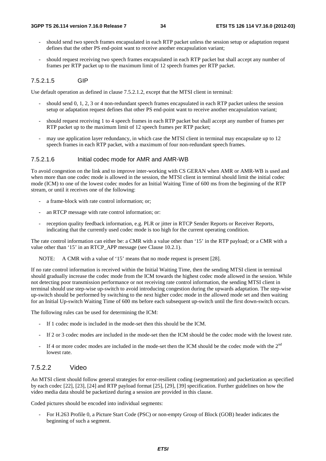- should send two speech frames encapsulated in each RTP packet unless the session setup or adaptation request defines that the other PS end-point want to receive another encapsulation variant;
- should request receiving two speech frames encapsulated in each RTP packet but shall accept any number of frames per RTP packet up to the maximum limit of 12 speech frames per RTP packet.

#### 7.5.2.1.5 GIP

Use default operation as defined in clause 7.5.2.1.2, except that the MTSI client in terminal:

- should send 0, 1, 2, 3 or 4 non-redundant speech frames encapsulated in each RTP packet unless the session setup or adaptation request defines that other PS end-point want to receive another encapsulation variant;
- should request receiving 1 to 4 speech frames in each RTP packet but shall accept any number of frames per RTP packet up to the maximum limit of 12 speech frames per RTP packet;
- may use application layer redundancy, in which case the MTSI client in terminal may encapsulate up to 12 speech frames in each RTP packet, with a maximum of four non-redundant speech frames.

#### 7.5.2.1.6 Initial codec mode for AMR and AMR-WB

To avoid congestion on the link and to improve inter-working with CS GERAN when AMR or AMR-WB is used and when more than one codec mode is allowed in the session, the MTSI client in terminal should limit the initial codec mode (ICM) to one of the lowest codec modes for an Initial Waiting Time of 600 ms from the beginning of the RTP stream, or until it receives one of the following:

- a frame-block with rate control information; or:
- an RTCP message with rate control information; or:
- reception quality feedback information, e.g. PLR or jitter in RTCP Sender Reports or Receiver Reports, indicating that the currently used codec mode is too high for the current operating condition.

The rate control information can either be: a CMR with a value other than '15' in the RTP payload; or a CMR with a value other than '15' in an RTCP\_APP message (see Clause 10.2.1).

NOTE: A CMR with a value of '15' means that no mode request is present [28].

If no rate control information is received within the Initial Waiting Time, then the sending MTSI client in terminal should gradually increase the codec mode from the ICM towards the highest codec mode allowed in the session. While not detecting poor transmission performance or not receiving rate control information, the sending MTSI client in terminal should use step-wise up-switch to avoid introducing congestion during the upwards adaptation. The step-wise up-switch should be performed by switching to the next higher codec mode in the allowed mode set and then waiting for an Initial Up-switch Waiting Time of 600 ms before each subsequent up-switch until the first down-switch occurs.

The following rules can be used for determining the ICM:

- If 1 codec mode is included in the mode-set then this should be the ICM.
- If 2 or 3 codec modes are included in the mode-set then the ICM should be the codec mode with the lowest rate.
- If 4 or more codec modes are included in the mode-set then the ICM should be the codec mode with the  $2<sup>nd</sup>$ lowest rate.

#### 7.5.2.2 Video

An MTSI client should follow general strategies for error-resilient coding (segmentation) and packetization as specified by each codec [22], [23], [24] and RTP payload format [25], [29], [39] specification. Further guidelines on how the video media data should be packetized during a session are provided in this clause.

Coded pictures should be encoded into individual segments:

- For H.263 Profile 0, a Picture Start Code (PSC) or non-empty Group of Block (GOB) header indicates the beginning of such a segment.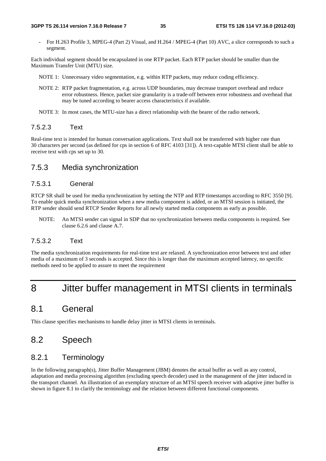- For H.263 Profile 3, MPEG-4 (Part 2) Visual, and H.264 / MPEG-4 (Part 10) AVC, a slice corresponds to such a segment.

Each individual segment should be encapsulated in one RTP packet. Each RTP packet should be smaller than the Maximum Transfer Unit (MTU) size.

- NOTE 1: Unnecessary video segmentation, e.g. within RTP packets, may reduce coding efficiency.
- NOTE 2: RTP packet fragmentation, e.g. across UDP boundaries, may decrease transport overhead and reduce error robustness. Hence, packet size granularity is a trade-off between error robustness and overhead that may be tuned according to bearer access characteristics if available.
- NOTE 3: In most cases, the MTU-size has a direct relationship with the bearer of the radio network.

#### 7.5.2.3 Text

Real-time text is intended for human conversation applications. Text shall not be transferred with higher rate than 30 characters per second (as defined for cps in section 6 of RFC 4103 [31]). A text-capable MTSI client shall be able to receive text with cps set up to 30.

#### 7.5.3 Media synchronization

#### 7.5.3.1 General

RTCP SR shall be used for media synchronization by setting the NTP and RTP timestamps according to RFC 3550 [9]. To enable quick media synchronization when a new media component is added, or an MTSI session is initiated, the RTP sender should send RTCP Sender Reports for all newly started media components as early as possible.

NOTE: An MTSI sender can signal in SDP that no synchronization between media components is required. See clause 6.2.6 and clause A.7.

#### 7.5.3.2 Text

The media synchronization requirements for real-time text are relaxed. A synchronization error between text and other media of a maximum of 3 seconds is accepted. Since this is longer than the maximum accepted latency, no specific methods need to be applied to assure to meet the requirement

# 8 Jitter buffer management in MTSI clients in terminals

### 8.1 General

This clause specifies mechanisms to handle delay jitter in MTSI clients in terminals.

# 8.2 Speech

### 8.2.1 Terminology

In the following paragraph(s), Jitter Buffer Management (JBM) denotes the actual buffer as well as any control, adaptation and media processing algorithm (excluding speech decoder) used in the management of the jitter induced in the transport channel. An illustration of an exemplary structure of an MTSI speech receiver with adaptive jitter buffer is shown in figure 8.1 to clarify the terminology and the relation between different functional components.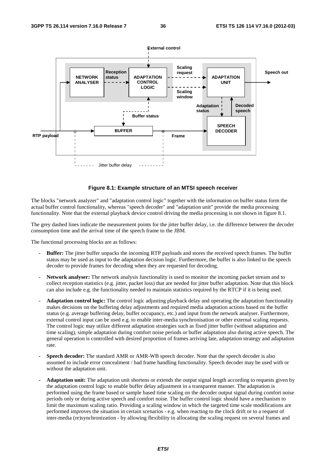

#### **Figure 8.1: Example structure of an MTSI speech receiver**

The blocks "network analyzer" and "adaptation control logic" together with the information on buffer status form the actual buffer control functionality, whereas "speech decoder" and "adaptation unit" provide the media processing functionality. Note that the external playback device control driving the media processing is not shown in figure 8.1.

The grey dashed lines indicate the measurement points for the jitter buffer delay, i.e. the difference between the decoder consumption time and the arrival time of the speech frame to the JBM.

The functional processing blocks are as follows:

- **Buffer:** The jitter buffer unpacks the incoming RTP payloads and stores the received speech frames. The buffer status may be used as input to the adaptation decision logic. Furthermore, the buffer is also linked to the speech decoder to provide frames for decoding when they are requested for decoding.
- **Network analyser:** The network analysis functionality is used to monitor the incoming packet stream and to collect reception statistics (e.g. jitter, packet loss) that are needed for jitter buffer adaptation. Note that this block can also include e.g. the functionality needed to maintain statistics required by the RTCP if it is being used.
- **Adaptation control logic:** The control logic adjusting playback delay and operating the adaptation functionality makes decisions on the buffering delay adjustments and required media adaptation actions based on the buffer status (e.g. average buffering delay, buffer occupancy, etc.) and input from the network analyser. Furthermore, external control input can be used e.g. to enable inter-media synchronisation or other external scaling requests. The control logic may utilize different adaptation strategies such as fixed jitter buffer (without adaptation and time scaling), simple adaptation during comfort noise periods or buffer adaptation also during active speech. The general operation is controlled with desired proportion of frames arriving late, adaptation strategy and adaptation rate.
- **Speech decoder:** The standard AMR or AMR-WB speech decoder. Note that the speech decoder is also assumed to include error concealment / bad frame handling functionality. Speech decoder may be used with or without the adaptation unit.
- **Adaptation unit:** The adaptation unit shortens or extends the output signal length according to requests given by the adaptation control logic to enable buffer delay adjustment in a transparent manner. The adaptation is performed using the frame based or sample based time scaling on the decoder output signal during comfort noise periods only or during active speech and comfort noise. The buffer control logic should have a mechanism to limit the maximum scaling ratio. Providing a scaling window in which the targeted time scale modifications are performed improves the situation in certain scenarios - e.g. when reacting to the clock drift or to a request of inter-media (re)synchronization - by allowing flexibility in allocating the scaling request on several frames and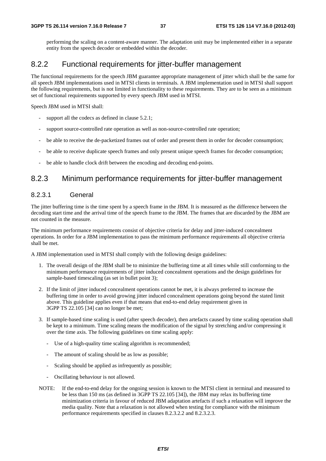performing the scaling on a content-aware manner. The adaptation unit may be implemented either in a separate entity from the speech decoder or embedded within the decoder.

## 8.2.2 Functional requirements for jitter-buffer management

The functional requirements for the speech JBM guarantee appropriate management of jitter which shall be the same for all speech JBM implementations used in MTSI clients in terminals. A JBM implementation used in MTSI shall support the following requirements, but is not limited in functionality to these requirements. They are to be seen as a minimum set of functional requirements supported by every speech JBM used in MTSI.

Speech JBM used in MTSI shall:

- support all the codecs as defined in clause 5.2.1;
- support source-controlled rate operation as well as non-source-controlled rate operation;
- be able to receive the de-packetized frames out of order and present them in order for decoder consumption;
- be able to receive duplicate speech frames and only present unique speech frames for decoder consumption;
- be able to handle clock drift between the encoding and decoding end-points.

## 8.2.3 Minimum performance requirements for jitter-buffer management

### 8.2.3.1 General

The jitter buffering time is the time spent by a speech frame in the JBM. It is measured as the difference between the decoding start time and the arrival time of the speech frame to the JBM. The frames that are discarded by the JBM are not counted in the measure.

The minimum performance requirements consist of objective criteria for delay and jitter-induced concealment operations. In order for a JBM implementation to pass the minimum performance requirements all objective criteria shall be met.

A JBM implementation used in MTSI shall comply with the following design guidelines:

- 1. The overall design of the JBM shall be to minimize the buffering time at all times while still conforming to the minimum performance requirements of jitter induced concealment operations and the design guidelines for sample-based timescaling (as set in bullet point 3);
- 2. If the limit of jitter induced concealment operations cannot be met, it is always preferred to increase the buffering time in order to avoid growing jitter induced concealment operations going beyond the stated limit above. This guideline applies even if that means that end-to-end delay requirement given in 3GPP TS 22.105 [34] can no longer be met;
- 3. If sample-based time scaling is used (after speech decoder), then artefacts caused by time scaling operation shall be kept to a minimum. Time scaling means the modification of the signal by stretching and/or compressing it over the time axis. The following guidelines on time scaling apply:
	- Use of a high-quality time scaling algorithm is recommended;
	- The amount of scaling should be as low as possible;
	- Scaling should be applied as infrequently as possible;
	- Oscillating behaviour is not allowed.
- NOTE: If the end-to-end delay for the ongoing session is known to the MTSI client in terminal and measured to be less than 150 ms (as defined in 3GPP TS 22.105 [34]), the JBM may relax its buffering time minimization criteria in favour of reduced JBM adaptation artefacts if such a relaxation will improve the media quality. Note that a relaxation is not allowed when testing for compliance with the minimum performance requirements specified in clauses 8.2.3.2.2 and 8.2.3.2.3.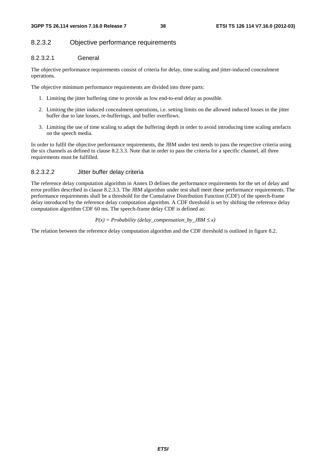### 8.2.3.2 Objective performance requirements

### 8.2.3.2.1 General

The objective performance requirements consist of criteria for delay, time scaling and jitter-induced concealment operations.

The objective minimum performance requirements are divided into three parts:

- 1. Limiting the jitter buffering time to provide as low end-to-end delay as possible.
- 2. Limiting the jitter induced concealment operations, i.e. setting limits on the allowed induced losses in the jitter buffer due to late losses, re-bufferings, and buffer overflows.
- 3. Limiting the use of time scaling to adapt the buffering depth in order to avoid introducing time scaling artefacts on the speech media.

In order to fulfil the objective performance requirements, the JBM under test needs to pass the respective criteria using the six channels as defined in clause 8.2.3.3. Note that in order to pass the criteria for a specific channel, all three requirements must be fulfilled.

### 8.2.3.2.2 Jitter buffer delay criteria

The reference delay computation algorithm in Annex D defines the performance requirements for the set of delay and error profiles described in clause 8.2.3.3. The JBM algorithm under test shall meet these performance requirements. The performance requirements shall be a threshold for the Cumulative Distribution Function (CDF) of the speech-frame delay introduced by the reference delay computation algorithm. A CDF threshold is set by shifting the reference delay computation algorithm CDF 60 ms. The speech-frame delay CDF is defined as:

 $P(x) = Probability$  (delay compensation by *JBM*  $\leq x$ )

The relation between the reference delay computation algorithm and the CDF threshold is outlined in figure 8.2.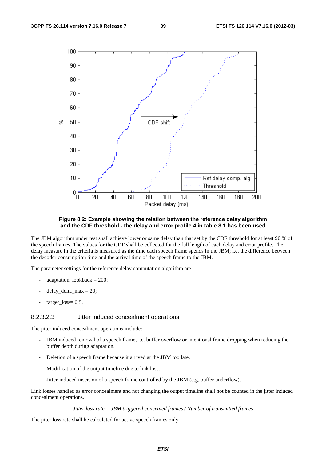

**Figure 8.2: Example showing the relation between the reference delay algorithm and the CDF threshold - the delay and error profile 4 in table 8.1 has been used** 

The JBM algorithm under test shall achieve lower or same delay than that set by the CDF threshold for at least 90 % of the speech frames. The values for the CDF shall be collected for the full length of each delay and error profile. The delay measure in the criteria is measured as the time each speech frame spends in the JBM; i.e. the difference between the decoder consumption time and the arrival time of the speech frame to the JBM.

The parameter settings for the reference delay computation algorithm are:

- adaptation  $lookback = 200$ ;
- delay delta  $max = 20$ ;
- $target_loss = 0.5$ .

#### 8.2.3.2.3 Jitter induced concealment operations

The jitter induced concealment operations include:

- JBM induced removal of a speech frame, i.e. buffer overflow or intentional frame dropping when reducing the buffer depth during adaptation.
- Deletion of a speech frame because it arrived at the JBM too late.
- Modification of the output timeline due to link loss.
- Jitter-induced insertion of a speech frame controlled by the JBM (e.g. buffer underflow).

Link losses handled as error concealment and not changing the output timeline shall not be counted in the jitter induced concealment operations.

#### *Jitter loss rate = JBM triggered concealed frames / Number of transmitted frames*

The jitter loss rate shall be calculated for active speech frames only.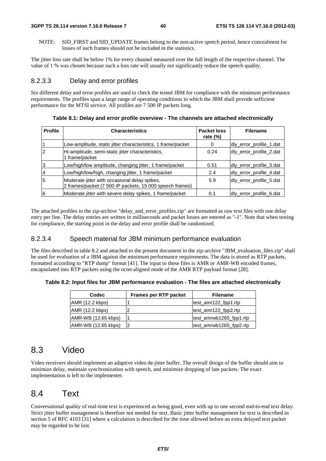NOTE: SID\_FIRST and SID\_UPDATE frames belong to the non-active speech period, hence concealment for losses of such frames should not be included in the statistics.

The jitter loss rate shall be below 1% for every channel measured over the full length of the respective channel. The value of 1 % was chosen because such a loss rate will usually not significantly reduce the speech quality.

### 8.2.3.3 Delay and error profiles

Six different delay and error profiles are used to check the tested JBM for compliance with the minimum performance requirements. The profiles span a large range of operating conditions in which the JBM shall provide sufficient performance for the MTSI service. All profiles are 7 500 IP packets long.

| <b>Profile</b> | <b>Characteristics</b>                                                                                    | Packet loss<br>rate $(\%)$ | <b>Filename</b>         |
|----------------|-----------------------------------------------------------------------------------------------------------|----------------------------|-------------------------|
|                | Low-amplitude, static jitter characteristics, 1 frame/packet                                              | 0                          | dly_error_profile_1.dat |
| 2              | Hi-amplitude, semi-static jitter characteristics,<br>1 frame/packet                                       | 0.24                       | dly_error_profile_2.dat |
| 3              | Low/high/low amplitude, changing jitter, 1 frame/packet                                                   | 0.51                       | dly_error_profile_3.dat |
| $\overline{4}$ | Low/high/low/high, changing jitter, 1 frame/packet                                                        | 2.4                        | dly_error_profile_4.dat |
| 5              | Moderate jitter with occasional delay spikes,<br>2 frames/packet (7 500 IP packets, 15 000 speech frames) | 5.9                        | dly_error_profile_5.dat |
| 6              | Moderate jitter with severe delay spikes, 1 frame/packet                                                  | 0.1                        | dly_error_profile_6.dat |

**Table 8.1: Delay and error profile overview - The channels are attached electronically** 

The attached profiles in the zip-archive "delay\_and\_error\_profiles.zip" are formatted as raw text files with one delay entry per line. The delay entries are written in milliseconds and packet losses are entered as "-1". Note that when testing for compliance, the starting point in the delay and error profile shall be randomized.

### 8.2.3.4 Speech material for JBM minimum performance evaluation

The files described in table 8.2 and attached to the present document in the zip-archive "JBM\_evaluation\_files.zip" shall be used for evaluation of a JBM against the minimum performance requirements. The data is stored as RTP packets, formatted according to "RTP dump" format [41]. The input to these files is AMR or AMR-WB encoded frames, encapsulated into RTP packets using the octet-aligned mode of the AMR RTP payload format [28].

**Table 8.2: Input files for JBM performance evaluation - The files are attached electronically** 

| <b>Codec</b>        | Frames per RTP packet | <b>Filename</b>         |
|---------------------|-----------------------|-------------------------|
| AMR (12.2 kbps)     |                       | test_amr122_fpp1.rtp    |
| $AMR$ (12.2 kbps)   |                       | test amr122 fpp2.rtp    |
| AMR-WB (12.65 kbps) |                       | test_amrwb1265_fpp1.rtp |
| AMR-WB (12.65 kbps) |                       | test_amrwb1265_fpp2.rtp |

## 8.3 Video

Video receivers should implement an adaptive video de-jitter buffer. The overall design of the buffer should aim to minimize delay, maintain synchronization with speech, and minimize dropping of late packets. The exact implementation is left to the implementer.

## 8.4 Text

Conversational quality of real-time text is experienced as being good, even with up to one second end-to-end text delay. Strict jitter buffer management is therefore not needed for text. Basic jitter buffer management for text is described in section 5 of RFC 4103 [31] where a calculation is described for the time allowed before an extra delayed text packet may be regarded to be lost.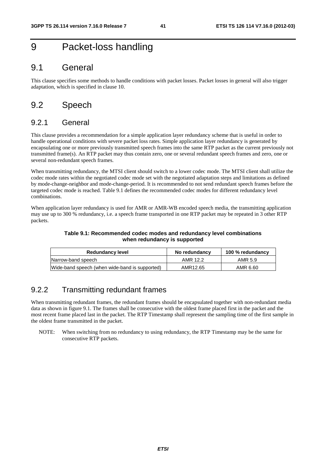# 9 Packet-loss handling

## 9.1 General

This clause specifies some methods to handle conditions with packet losses. Packet losses in general will also trigger adaptation, which is specified in clause 10.

## 9.2 Speech

## 9.2.1 General

This clause provides a recommendation for a simple application layer redundancy scheme that is useful in order to handle operational conditions with severe packet loss rates. Simple application layer redundancy is generated by encapsulating one or more previously transmitted speech frames into the same RTP packet as the current previously not transmitted frame(s). An RTP packet may thus contain zero, one or several redundant speech frames and zero, one or several non-redundant speech frames.

When transmitting redundancy, the MTSI client should switch to a lower codec mode. The MTSI client shall utilize the codec mode rates within the negotiated codec mode set with the negotiated adaptation steps and limitations as defined by mode-change-neighbor and mode-change-period. It is recommended to not send redundant speech frames before the targeted codec mode is reached. Table 9.1 defines the recommended codec modes for different redundancy level combinations.

When application layer redundancy is used for AMR or AMR-WB encoded speech media, the transmitting application may use up to 300 % redundancy, i.e. a speech frame transported in one RTP packet may be repeated in 3 other RTP packets.

#### **Table 9.1: Recommended codec modes and redundancy level combinations when redundancy is supported**

| <b>Redundancy level</b>                        | No redundancy | 100 % redundancy |
|------------------------------------------------|---------------|------------------|
| Narrow-band speech                             | AMR 12.2      | AMR 5.9          |
| Wide-band speech (when wide-band is supported) | AMR12.65      | AMR 6.60         |

## 9.2.2 Transmitting redundant frames

When transmitting redundant frames, the redundant frames should be encapsulated together with non-redundant media data as shown in figure 9.1. The frames shall be consecutive with the oldest frame placed first in the packet and the most recent frame placed last in the packet. The RTP Timestamp shall represent the sampling time of the first sample in the oldest frame transmitted in the packet.

NOTE: When switching from no redundancy to using redundancy, the RTP Timestamp may be the same for consecutive RTP packets.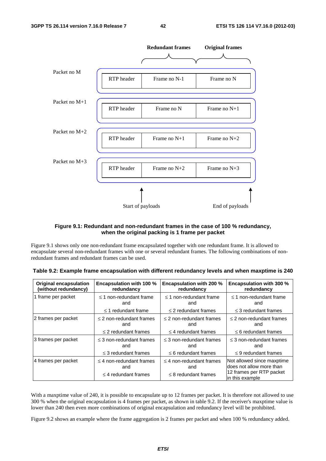

### **Figure 9.1: Redundant and non-redundant frames in the case of 100 % redundancy, when the original packing is 1 frame per packet**

Figure 9.1 shows only one non-redundant frame encapsulated together with one redundant frame. It is allowed to encapsulate several non-redundant frames with one or several redundant frames. The following combinations of nonredundant frames and redundant frames can be used.

| <b>Original encapsulation</b> | <b>Encapsulation with 100 %</b>                                   | <b>Encapsulation with 200 %</b>                                   | <b>Encapsulation with 300 %</b>                                                                       |
|-------------------------------|-------------------------------------------------------------------|-------------------------------------------------------------------|-------------------------------------------------------------------------------------------------------|
| (without redundancy)          | redundancy                                                        | redundancy                                                        | redundancy                                                                                            |
| 1 frame per packet            | $\leq$ 1 non-redundant frame                                      | $\leq$ 1 non-redundant frame                                      | $\leq$ 1 non-redundant frame                                                                          |
|                               | and                                                               | and                                                               | and                                                                                                   |
|                               | $\leq$ 1 redundant frame                                          | $\leq$ 2 redundant frames                                         | $\leq$ 3 redundant frames                                                                             |
| 2 frames per packet           | $\leq$ 2 non-redundant frames                                     | $\leq$ 2 non-redundant frames                                     | $\leq$ 2 non-redundant frames                                                                         |
|                               | and                                                               | and                                                               | and                                                                                                   |
|                               | $\leq$ 2 redundant frames                                         | $\leq$ 4 redundant frames                                         | $\leq$ 6 redundant frames                                                                             |
| 3 frames per packet           | $\leq$ 3 non-redundant frames                                     | $\leq$ 3 non-redundant frames                                     | $\leq$ 3 non-redundant frames                                                                         |
|                               | and                                                               | and                                                               | and                                                                                                   |
|                               | $\leq$ 3 redundant frames                                         | $\leq$ 6 redundant frames                                         | $\leq$ 9 redundant frames                                                                             |
| 4 frames per packet           | $\leq$ 4 non-redundant frames<br>and<br>$\leq$ 4 redundant frames | $\leq$ 4 non-redundant frames<br>and<br>$\leq$ 8 redundant frames | Not allowed since maxptime<br>does not allow more than<br>12 frames per RTP packet<br>in this example |

| Table 9.2: Example frame encapsulation with different redundancy levels and when maxptime is 240 |
|--------------------------------------------------------------------------------------------------|
|--------------------------------------------------------------------------------------------------|

With a maxptime value of 240, it is possible to encapsulate up to 12 frames per packet. It is therefore not allowed to use 300 % when the original encapsulation is 4 frames per packet, as shown in table 9.2. If the receiver's maxptime value is lower than 240 then even more combinations of original encapsulation and redundancy level will be prohibited.

Figure 9.2 shows an example where the frame aggregation is 2 frames per packet and when 100 % redundancy added.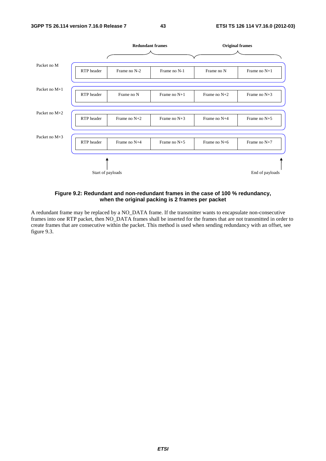

#### **Figure 9.2: Redundant and non-redundant frames in the case of 100 % redundancy, when the original packing is 2 frames per packet**

A redundant frame may be replaced by a NO\_DATA frame. If the transmitter wants to encapsulate non-consecutive frames into one RTP packet, then NO\_DATA frames shall be inserted for the frames that are not transmitted in order to create frames that are consecutive within the packet. This method is used when sending redundancy with an offset, see figure 9.3.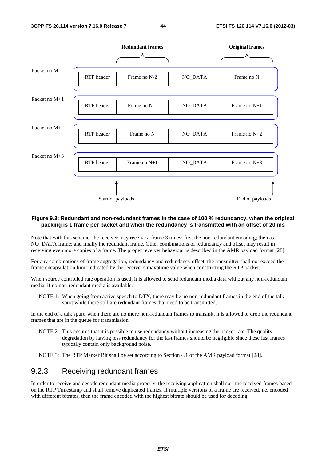

#### **Figure 9.3: Redundant and non-redundant frames in the case of 100 % redundancy, when the original packing is 1 frame per packet and when the redundancy is transmitted with an offset of 20 ms**

Note that with this scheme, the receiver may receive a frame 3 times: first the non-redundant encoding; then as a NO\_DATA frame; and finally the redundant frame. Other combinations of redundancy and offset may result in receiving even more copies of a frame. The proper receiver behaviour is described in the AMR payload format [28].

For any combinations of frame aggregation, redundancy and redundancy offset, the transmitter shall not exceed the frame encapsulation limit indicated by the receiver's maxptime value when constructing the RTP packet.

When source controlled rate operation is used, it is allowed to send redundant media data without any non-redundant media, if no non-redundant media is available.

NOTE 1: When going from active speech to DTX, there may be no non-redundant frames in the end of the talk spurt while there still are redundant frames that need to be transmitted.

In the end of a talk spurt, when there are no more non-redundant frames to transmit, it is allowed to drop the redundant frames that are in the queue for transmission.

NOTE 2: This ensures that it is possible to use redundancy without increasing the packet rate. The quality degradation by having less redundancy for the last frames should be negligible since these last frames typically contain only background noise.

NOTE 3: The RTP Marker Bit shall be set according to Section 4.1 of the AMR payload format [28].

## 9.2.3 Receiving redundant frames

In order to receive and decode redundant media properly, the receiving application shall sort the received frames based on the RTP Timestamp and shall remove duplicated frames. If multiple versions of a frame are received, i.e. encoded with different bitrates, then the frame encoded with the highest bitrate should be used for decoding.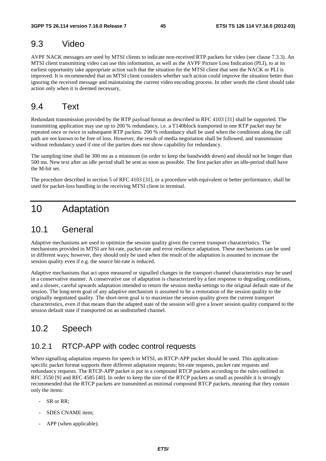## 9.3 Video

AVPF NACK messages are used by MTSI clients to indicate non-received RTP packets for video (see clause 7.3.3). An MTSI client transmitting video can use this information, as well as the AVPF Picture Loss Indication (PLI), to at its earliest opportunity take appropriate action such that the situation for the MTSI client that sent the NACK or PLI is improved. It is recommended that an MTSI client considers whether such action could improve the situation better than ignoring the received message and maintaining the current video encoding process. In other words the client should take action only when it is deemed necessary,

## 9.4 Text

Redundant transmission provided by the RTP payload format as described in RFC 4103 [31] shall be supported. The transmitting application may use up to 200 % redundancy, i.e. a T140block transported in one RTP packet may be repeated once or twice in subsequent RTP packets. 200 % redundancy shall be used when the conditions along the call path are not known to be free of loss. However, the result of media negotiation shall be followed, and transmission without redundancy used if one of the parties does not show capability for redundancy.

The sampling time shall be 300 ms as a minimum (in order to keep the bandwidth down) and should not be longer than 500 ms. New text after an idle period shall be sent as soon as possible. The first packet after an idle-period shall have the M-bit set.

The procedure described in section 5 of RFC 4103 [31], or a procedure with equivalent or better performance, shall be used for packet-loss handling in the receiving MTSI client in terminal.

# 10 Adaptation

## 10.1 General

Adaptive mechanisms are used to optimize the session quality given the current transport characteristics. The mechanisms provided in MTSI are bit-rate, packet-rate and error resilience adaptation. These mechanisms can be used in different ways; however, they should only be used when the result of the adaptation is assumed to increase the session quality even if e.g. the source bit-rate is reduced.

Adaptive mechanisms that act upon measured or signalled changes in the transport channel characteristics may be used in a conservative manner. A conservative use of adaptation is characterized by a fast response to degrading conditions, and a slower, careful upwards adaptation intended to return the session media settings to the original default state of the session. The long-term goal of any adaptive mechanism is assumed to be a restoration of the session quality to the originally negotiated quality. The short-term goal is to maximize the session quality given the current transport characteristics, even if that means than the adapted state of the session will give a lower session quality compared to the session default state if transported on an undisturbed channel.

# 10.2 Speech

## 10.2.1 RTCP-APP with codec control requests

When signalling adaptation requests for speech in MTSI, an RTCP-APP packet should be used. This applicationspecific packet format supports three different adaptation requests; bit-rate requests, packet rate requests and redundancy requests. The RTCP-APP packet is put in a compound RTCP packets according to the rules outlined in RFC 3550 [9] and RFC 4585 [40]. In order to keep the size of the RTCP packets as small as possible it is strongly recommended that the RTCP packets are transmitted as minimal compound RTCP packets, meaning that they contain only the items:

- SR or RR:
- SDES CNAME item:
- APP (when applicable).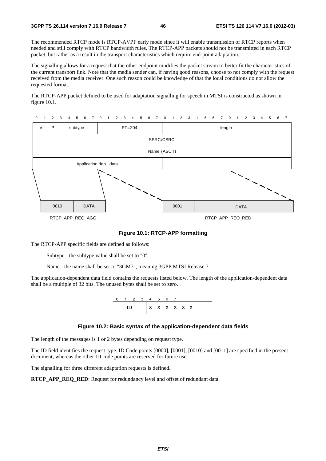The recommended RTCP mode is RTCP-AVPF early mode since it will enable transmission of RTCP reports when needed and still comply with RTCP bandwidth rules. The RTCP-APP packets should not be transmitted in each RTCP packet, but rather as a result in the transport characteristics which require end-point adaptation.

The signalling allows for a request that the other endpoint modifies the packet stream to better fit the characteristics of the current transport link. Note that the media sender can, if having good reasons, choose to not comply with the request received from the media receiver. One such reason could be knowledge of that the local conditions do not allow the requested format.

The RTCP-APP packet defined to be used for adaptation signalling for speech in MTSI is constructed as shown in figure 10.1.



#### **Figure 10.1: RTCP-APP formatting**

The RTCP-APP specific fields are defined as follows:

- Subtype the subtype value shall be set to "0".
- Name the name shall be set to "3GM7", meaning 3GPP MTSI Release 7.

The application-dependent data field contains the requests listed below. The length of the application-dependent data shall be a multiple of 32 bits. The unused bytes shall be set to zero.

|  | 0 1 2 3 4 5 6 7 |  |                                  |  |  |  |  |
|--|-----------------|--|----------------------------------|--|--|--|--|
|  |                 |  | $ X \times X \times X \times X $ |  |  |  |  |

#### **Figure 10.2: Basic syntax of the application-dependent data fields**

The length of the messages is 1 or 2 bytes depending on request type.

The ID field identifies the request type. ID Code points [0000], [0001], [0010] and [0011] are specified in the present document, whereas the other ID code points are reserved for future use.

The signalling for three different adaptation requests is defined.

**RTCP\_APP\_REQ\_RED**: Request for redundancy level and offset of redundant data.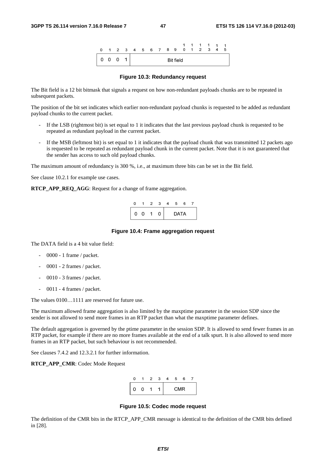

#### **Figure 10.3: Redundancy request**

The Bit field is a 12 bit bitmask that signals a request on how non-redundant payloads chunks are to be repeated in subsequent packets.

The position of the bit set indicates which earlier non-redundant payload chunks is requested to be added as redundant payload chunks to the current packet.

- If the LSB (rightmost bit) is set equal to 1 it indicates that the last previous payload chunk is requested to be repeated as redundant payload in the current packet.
- If the MSB (leftmost bit) is set equal to 1 it indicates that the payload chunk that was transmitted 12 packets ago is requested to be repeated as redundant payload chunk in the current packet. Note that it is not guaranteed that the sender has access to such old payload chunks.

The maximum amount of redundancy is 300 %, i.e., at maximum three bits can be set in the Bit field.

See clause 10.2.1 for example use cases.

**RTCP\_APP\_REQ\_AGG**: Request for a change of frame aggregation.

|   | $\mathcal{P}$ | з | 5 | Р.   |  |
|---|---------------|---|---|------|--|
| O |               |   |   | DATA |  |

#### **Figure 10.4: Frame aggregation request**

The DATA field is a 4 bit value field:

- 0000 1 frame / packet.
- 0001 2 frames / packet.
- 0010 3 frames / packet.
- 0011 4 frames / packet.

The values 0100…1111 are reserved for future use.

The maximum allowed frame aggregation is also limited by the maxptime parameter in the session SDP since the sender is not allowed to send more frames in an RTP packet than what the maxptime parameter defines.

The default aggregation is governed by the ptime parameter in the session SDP. It is allowed to send fewer frames in an RTP packet, for example if there are no more frames available at the end of a talk spurt. It is also allowed to send more frames in an RTP packet, but such behaviour is not recommended.

See clauses 7.4.2 and 12.3.2.1 for further information.

**RTCP\_APP\_CMR**: Codec Mode Request



#### **Figure 10.5: Codec mode request**

The definition of the CMR bits in the RTCP\_APP\_CMR message is identical to the definition of the CMR bits defined in [28].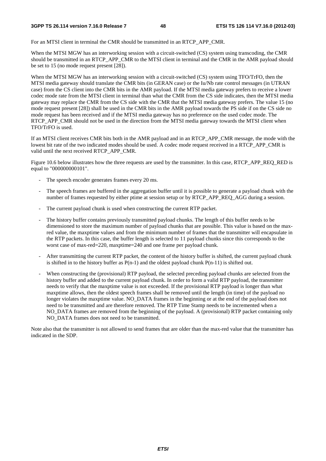#### **3GPP TS 26.114 version 7.16.0 Release 7 48 ETSI TS 126 114 V7.16.0 (2012-03)**

For an MTSI client in terminal the CMR should be transmitted in an RTCP\_APP\_CMR.

When the MTSI MGW has an interworking session with a circuit-switched (CS) system using transcoding, the CMR should be transmitted in an RTCP\_APP\_CMR to the MTSI client in terminal and the CMR in the AMR payload should be set to 15 (no mode request present [28]).

When the MTSI MGW has an interworking session with a circuit-switched (CS) system using TFO/TrFO, then the MTSI media gateway should translate the CMR bits (in GERAN case) or the Iu/Nb rate control messages (in UTRAN case) from the CS client into the CMR bits in the AMR payload. If the MTSI media gateway prefers to receive a lower codec mode rate from the MTSI client in terminal than what the CMR from the CS side indicates, then the MTSI media gateway may replace the CMR from the CS side with the CMR that the MTSI media gateway prefers. The value 15 (no mode request present [28]) shall be used in the CMR bits in the AMR payload towards the PS side if on the CS side no mode request has been received and if the MTSI media gateway has no preference on the used codec mode. The RTCP\_APP\_CMR should not be used in the direction from the MTSI media gateway towards the MTSI client when TFO/TrFO is used.

If an MTSI client receives CMR bits both in the AMR payload and in an RTCP\_APP\_CMR message, the mode with the lowest bit rate of the two indicated modes should be used. A codec mode request received in a RTCP\_APP\_CMR is valid until the next received RTCP\_APP\_CMR.

Figure 10.6 below illustrates how the three requests are used by the transmitter. In this case, RTCP\_APP\_REQ\_RED is equal to "000000000101".

- The speech encoder generates frames every 20 ms.
- The speech frames are buffered in the aggregation buffer until it is possible to generate a payload chunk with the number of frames requested by either ptime at session setup or by RTCP\_APP\_REQ\_AGG during a session.
- The current payload chunk is used when constructing the current RTP packet.
- The history buffer contains previously transmitted payload chunks. The length of this buffer needs to be dimensioned to store the maximum number of payload chunks that are possible. This value is based on the maxred value, the maxptime values and from the minimum number of frames that the transmitter will encapsulate in the RTP packets. In this case, the buffer length is selected to 11 payload chunks since this corresponds to the worst case of max-red=220, maxptime=240 and one frame per payload chunk.
- After transmitting the current RTP packet, the content of the history buffer is shifted, the current payload chunk is shifted in to the history buffer as  $P(n-1)$  and the oldest payload chunk  $P(n-11)$  is shifted out.
- When constructing the (provisional) RTP payload, the selected preceding payload chunks are selected from the history buffer and added to the current payload chunk. In order to form a valid RTP payload, the transmitter needs to verify that the maxptime value is not exceeded. If the provisional RTP payload is longer than what maxptime allows, then the oldest speech frames shall be removed until the length (in time) of the payload no longer violates the maxptime value. NO\_DATA frames in the beginning or at the end of the payload does not need to be transmitted and are therefore removed. The RTP Time Stamp needs to be incremented when a NO\_DATA frames are removed from the beginning of the payload. A (provisional) RTP packet containing only NO\_DATA frames does not need to be transmitted.

Note also that the transmitter is not allowed to send frames that are older than the max-red value that the transmitter has indicated in the SDP.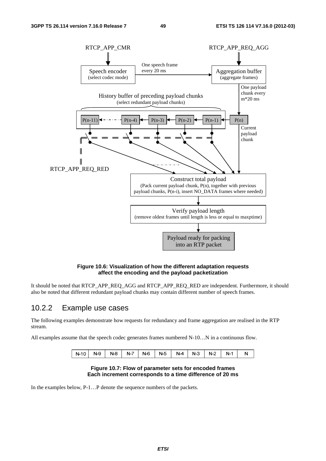

#### **Figure 10.6: Visualization of how the different adaptation requests affect the encoding and the payload packetization**

It should be noted that RTCP\_APP\_REQ\_AGG and RTCP\_APP\_REQ\_RED are independent. Furthermore, it should also be noted that different redundant payload chunks may contain different number of speech frames.

### 10.2.2 Example use cases

The following examples demonstrate how requests for redundancy and frame aggregation are realised in the RTP stream.

All examples assume that the speech codec generates frames numbered N-10…N in a continuous flow.

| N-10   N-9   N-8   N-7   N-6   N-5   N-4   N-3   N-2   N-1 |  |  |  |  |  |  |  |  |  |  |
|------------------------------------------------------------|--|--|--|--|--|--|--|--|--|--|
|------------------------------------------------------------|--|--|--|--|--|--|--|--|--|--|

#### **Figure 10.7: Flow of parameter sets for encoded frames Each increment corresponds to a time difference of 20 ms**

In the examples below, P-1…P denote the sequence numbers of the packets.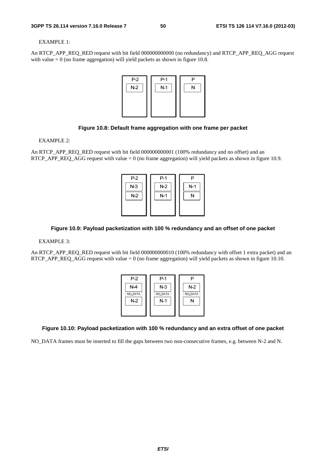#### EXAMPLE 1:

An RTCP\_APP\_REQ\_RED request with bit field 000000000000 (no redundancy) and RTCP\_APP\_REQ\_AGG request with value  $= 0$  (no frame aggregation) will yield packets as shown in figure 10.8.



#### **Figure 10.8: Default frame aggregation with one frame per packet**

#### EXAMPLE 2:

An RTCP\_APP\_REQ\_RED request with bit field 000000000001 (100% redundancy and no offset) and an RTCP\_APP\_REQ\_AGG request with value  $= 0$  (no frame aggregation) will yield packets as shown in figure 10.9.



### **Figure 10.9: Payload packetization with 100 % redundancy and an offset of one packet**

#### EXAMPLE 3:

An RTCP\_APP\_REQ\_RED request with bit field 000000000010 (100% redundancy with offset 1 extra packet) and an RTCP\_APP\_REQ\_AGG request with value = 0 (no frame aggregation) will yield packets as shown in figure 10.10.



### **Figure 10.10: Payload packetization with 100 % redundancy and an extra offset of one packet**

NO\_DATA frames must be inserted to fill the gaps between two non-consecutive frames, e.g. between N-2 and N.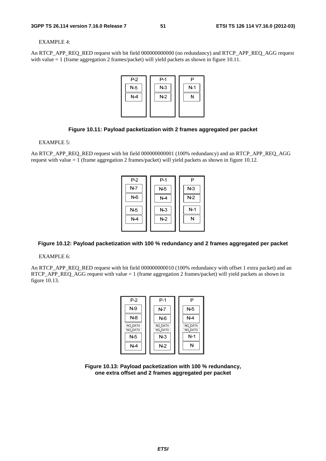#### EXAMPLE 4:

An RTCP\_APP\_REQ\_RED request with bit field 000000000000 (no redundancy) and RTCP\_APP\_REQ\_AGG request with value = 1 (frame aggregation 2 frames/packet) will yield packets as shown in figure 10.11.



### **Figure 10.11: Payload packetization with 2 frames aggregated per packet**

EXAMPLE 5:

An RTCP\_APP\_REQ\_RED request with bit field 000000000001 (100% redundancy) and an RTCP\_APP\_REQ\_AGG request with value = 1 (frame aggregation 2 frames/packet) will yield packets as shown in figure 10.12.



### **Figure 10.12: Payload packetization with 100 % redundancy and 2 frames aggregated per packet**

EXAMPLE 6:

An RTCP\_APP\_REQ\_RED request with bit field 000000000010 (100% redundancy with offset 1 extra packet) and an RTCP\_APP\_REQ\_AGG request with value = 1 (frame aggregation 2 frames/packet) will yield packets as shown in figure 10.13.



**Figure 10.13: Payload packetization with 100 % redundancy, one extra offset and 2 frames aggregated per packet**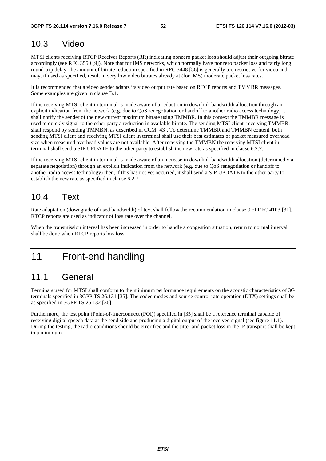## 10.3 Video

MTSI clients receiving RTCP Receiver Reports (RR) indicating nonzero packet loss should adjust their outgoing bitrate accordingly (see RFC 3550 [9]). Note that for IMS networks, which normally have nonzero packet loss and fairly long round-trip delay, the amount of bitrate reduction specified in RFC 3448 [56] is generally too restrictive for video and may, if used as specified, result in very low video bitrates already at (for IMS) moderate packet loss rates.

It is recommended that a video sender adapts its video output rate based on RTCP reports and TMMBR messages. Some examples are given in clause B.1.

If the receiving MTSI client in terminal is made aware of a reduction in downlink bandwidth allocation through an explicit indication from the network (e.g. due to QoS renegotiation or handoff to another radio access technology) it shall notify the sender of the new current maximum bitrate using TMMBR. In this context the TMMBR message is used to quickly signal to the other party a reduction in available bitrate. The sending MTSI client, receiving TMMBR, shall respond by sending TMMBN, as described in CCM [43]. To determine TMMBR and TMMBN content, both sending MTSI client and receiving MTSI client in terminal shall use their best estimates of packet measured overhead size when measured overhead values are not available. After receiving the TMMBN the receiving MTSI client in terminal shall send a SIP UPDATE to the other party to establish the new rate as specified in clause 6.2.7.

If the receiving MTSI client in terminal is made aware of an increase in downlink bandwidth allocation (determined via separate negotiation) through an explicit indication from the network (e.g. due to QoS renegotiation or handoff to another radio access technology) then, if this has not yet occurred, it shall send a SIP UPDATE to the other party to establish the new rate as specified in clause 6.2.7.

## 10.4 Text

Rate adaptation (downgrade of used bandwidth) of text shall follow the recommendation in clause 9 of RFC 4103 [31]. RTCP reports are used as indicator of loss rate over the channel.

When the transmission interval has been increased in order to handle a congestion situation, return to normal interval shall be done when RTCP reports low loss.

# 11 Front-end handling

## 11.1 General

Terminals used for MTSI shall conform to the minimum performance requirements on the acoustic characteristics of 3G terminals specified in 3GPP TS 26.131 [35]. The codec modes and source control rate operation (DTX) settings shall be as specified in 3GPP TS 26.132 [36].

Furthermore, the test point (Point-of-Interconnect (POI)) specified in [35] shall be a reference terminal capable of receiving digital speech data at the send side and producing a digital output of the received signal (see figure 11.1). During the testing, the radio conditions should be error free and the jitter and packet loss in the IP transport shall be kept to a minimum.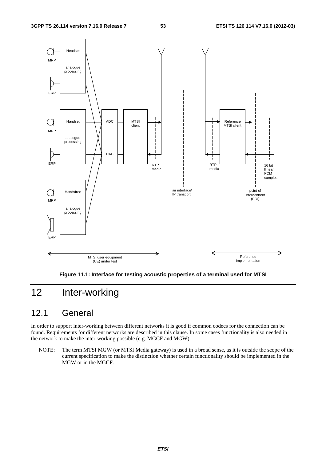

**Figure 11.1: Interface for testing acoustic properties of a terminal used for MTSI** 

# 12 Inter-working

## 12.1 General

In order to support inter-working between different networks it is good if common codecs for the connection can be found. Requirements for different networks are described in this clause. In some cases functionality is also needed in the network to make the inter-working possible (e.g. MGCF and MGW).

NOTE: The term MTSI MGW (or MTSI Media gateway) is used in a broad sense, as it is outside the scope of the current specification to make the distinction whether certain functionality should be implemented in the MGW or in the MGCF.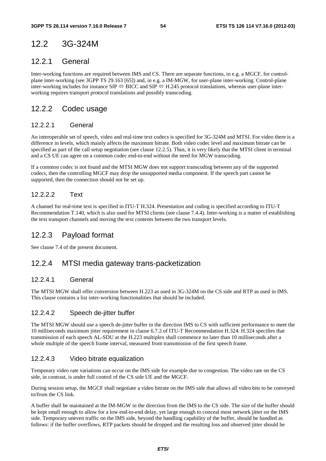# 12.2 3G-324M

## 12.2.1 General

Inter-working functions are required between IMS and CS. There are separate functions, in e.g. a MGCF, for controlplane inter-working (see 3GPP TS 29.163 [65]) and, in e.g. a IM-MGW, for user-plane inter-working. Control-plane inter-working includes for instance SIP  $\Leftrightarrow$  BICC and SIP  $\Leftrightarrow$  H.245 protocol translations, whereas user-plane interworking requires transport protocol translations and possibly transcoding.

## 12.2.2 Codec usage

### 12.2.2.1 General

An interoperable set of speech, video and real-time text codecs is specified for 3G-324M and MTSI. For video there is a difference in levels, which mainly affects the maximum bitrate. Both video codec level and maximum bitrate can be specified as part of the call setup negotiation (see clause 12.2.5). Thus, it is very likely that the MTSI client in terminal and a CS UE can agree on a common codec end-to-end without the need for MGW transcoding.

If a common codec is not found and the MTSI MGW does not support transcoding between any of the supported codecs, then the controlling MGCF may drop the unsupported media component. If the speech part cannot be supported, then the connection should not be set up.

### 12.2.2.2 Text

A channel for real-time text is specified in ITU-T H.324. Presentation and coding is specified according to ITU-T Recommendation T.140, which is also used for MTSI clients (see clause 7.4.4). Inter-working is a matter of establishing the text transport channels and moving the text contents between the two transport levels.

## 12.2.3 Payload format

See clause 7.4 of the present document.

## 12.2.4 MTSI media gateway trans-packetization

### 12.2.4.1 General

The MTSI MGW shall offer conversion between H.223 as used in 3G-324M on the CS side and RTP as used in IMS. This clause contains a list inter-working functionalities that should be included.

### 12.2.4.2 Speech de-jitter buffer

The MTSI MGW should use a speech de-jitter buffer in the direction IMS to CS with sufficient performance to meet the 10 milliseconds maximum jitter requirement in clause 6.7.2 of ITU-T Recommendation H.324. H.324 specifies that transmission of each speech AL-SDU at the H.223 multiplex shall commence no later than 10 milliseconds after a whole multiple of the speech frame interval, measured from transmission of the first speech frame.

### 12.2.4.3 Video bitrate equalization

Temporary video rate variations can occur on the IMS side for example due to congestion. The video rate on the CS side, in contrast, is under full control of the CS side UE and the MGCF.

During session setup, the MGCF shall negotiate a video bitrate on the IMS side that allows all video bits to be conveyed to/from the CS link.

A buffer shall be maintained at the IM-MGW in the direction from the IMS to the CS side. The size of the buffer should be kept small enough to allow for a low end-to-end delay, yet large enough to conceal most network jitter on the IMS side. Temporary uneven traffic on the IMS side, beyond the handling capability of the buffer, should be handled as follows: if the buffer overflows, RTP packets should be dropped and the resulting loss and observed jitter should be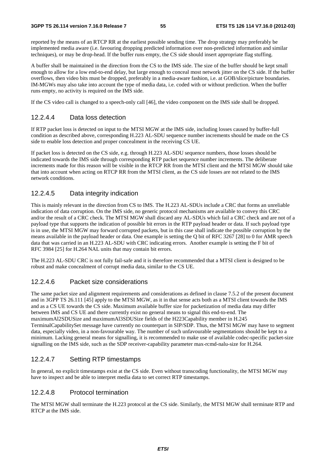reported by the means of an RTCP RR at the earliest possible sending time. The drop strategy may preferably be implemented media aware (i.e. favouring dropping predicted information over non-predicted information and similar techniques), or may be drop-head. If the buffer runs empty, the CS side should insert appropriate flag stuffing.

A buffer shall be maintained in the direction from the CS to the IMS side. The size of the buffer should be kept small enough to allow for a low end-to-end delay, but large enough to conceal most network jitter on the CS side. If the buffer overflows, then video bits must be dropped, preferably in a media-aware fashion, i.e. at GOB/slice/picture boundaries. IM-MGWs may also take into account the type of media data, i.e. coded with or without prediction. When the buffer runs empty, no activity is required on the IMS side.

If the CS video call is changed to a speech-only call [46], the video component on the IMS side shall be dropped.

### 12.2.4.4 Data loss detection

If RTP packet loss is detected on input to the MTSI MGW at the IMS side, including losses caused by buffer-full condition as described above, corresponding H.223 AL-SDU sequence number increments should be made on the CS side to enable loss detection and proper concealment in the receiving CS UE.

If packet loss is detected on the CS side, e.g. through H.223 AL-SDU sequence numbers, those losses should be indicated towards the IMS side through corresponding RTP packet sequence number increments. The deliberate increments made for this reason will be visible in the RTCP RR from the MTSI client and the MTSI MGW should take that into account when acting on RTCP RR from the MTSI client, as the CS side losses are not related to the IMS network conditions.

### 12.2.4.5 Data integrity indication

This is mainly relevant in the direction from CS to IMS. The H.223 AL-SDUs include a CRC that forms an unreliable indication of data corruption. On the IMS side, no generic protocol mechanisms are available to convey this CRC and/or the result of a CRC check. The MTSI MGW shall discard any AL-SDUs which fail a CRC check and are not of a payload type that supports the indication of possible bit errors in the RTP payload header or data. If such payload type is in use, the MTSI MGW may forward corrupted packets, but in this case shall indicate the possible corruption by the means available in the payload header or data. One example is setting the Q bit of RFC 3267 [28] to 0 for AMR speech data that was carried in an H.223 AL-SDU with CRC indicating errors. Another example is setting the F bit of RFC 3984 [25] for H.264 NAL units that may contain bit errors.

The H.223 AL-SDU CRC is not fully fail-safe and it is therefore recommended that a MTSI client is designed to be robust and make concealment of corrupt media data, similar to the CS UE.

### 12.2.4.6 Packet size considerations

The same packet size and alignment requirements and considerations as defined in clause 7.5.2 of the present document and in 3GPP TS 26.111 [45] apply to the MTSI MGW, as it in that sense acts both as a MTSI client towards the IMS and as a CS UE towards the CS side. Maximum available buffer size for packetization of media data may differ between IMS and CS UE and there currently exist no general means to signal this end-to-end. The maximumAl2SDUSize and maximumAl3SDUSize fields of the H223Capability member in H.245 TerminalCapabilitySet message have currently no counterpart in SIP/SDP. Thus, the MTSI MGW may have to segment data, especially video, in a non-favourable way. The number of such unfavourable segmentations should be kept to a minimum. Lacking general means for signalling, it is recommended to make use of available codec-specific packet-size signalling on the IMS side, such as the SDP receiver-capability parameter max-rcmd-nalu-size for H.264.

### 12.2.4.7 Setting RTP timestamps

In general, no explicit timestamps exist at the CS side. Even without transcoding functionality, the MTSI MGW may have to inspect and be able to interpret media data to set correct RTP timestamps.

### 12.2.4.8 Protocol termination

The MTSI MGW shall terminate the H.223 protocol at the CS side. Similarly, the MTSI MGW shall terminate RTP and RTCP at the IMS side.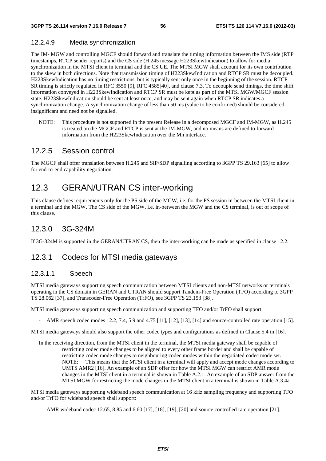## 12.2.4.9 Media synchronization

The IM- MGW and controlling MGCF should forward and translate the timing information between the IMS side (RTP timestamps, RTCP sender reports) and the CS side (H.245 message H223SkewIndication) to allow for media synchronization in the MTSI client in terminal and the CS UE. The MTSI MGW shall account for its own contribution to the skew in both directions. Note that transmission timing of H223SkewIndication and RTCP SR must be decoupled. H223SkewIndication has no timing restrictions, but is typically sent only once in the beginning of the session. RTCP SR timing is strictly regulated in RFC 3550 [9], RFC 4585[40], and clause 7.3. To decouple send timings, the time shift information conveyed in H223SkewIndication and RTCP SR must be kept as part of the MTSI MGW/MGCF session state. H223SkewIndication should be sent at least once, and may be sent again when RTCP SR indicates a synchronization change. A synchronization change of less than 50 ms (value to be confirmed) should be considered insignificant and need not be signalled.

NOTE: This procedure is not supported in the present Release in a decomposed MGCF and IM-MGW, as H.245 is treated on the MGCF and RTCP is sent at the IM-MGW, and no means are defined to forward information from the H223SkewIndication over the Mn interface.

## 12.2.5 Session control

The MGCF shall offer translation between H.245 and SIP/SDP signalling according to 3GPP TS 29.163 [65] to allow for end-to-end capability negotiation.

## 12.3 GERAN/UTRAN CS inter-working

This clause defines requirements only for the PS side of the MGW, i.e. for the PS session in-between the MTSI client in a terminal and the MGW. The CS side of the MGW, i.e. in-between the MGW and the CS terminal, is out of scope of this clause.

## 12.3.0 3G-324M

If 3G-324M is supported in the GERAN/UTRAN CS, then the inter-working can be made as specified in clause 12.2.

## 12.3.1 Codecs for MTSI media gateways

### 12.3.1.1 Speech

MTSI media gateways supporting speech communication between MTSI clients and non-MTSI networks or terminals operating in the CS domain in GERAN and UTRAN should support Tandem-Free Operation (TFO) according to 3GPP TS 28.062 [37], and Transcoder-Free Operation (TrFO), see 3GPP TS 23.153 [38].

MTSI media gateways supporting speech communication and supporting TFO and/or TrFO shall support:

AMR speech codec modes 12.2, 7.4, 5.9 and 4.75 [11], [12], [13], [14] and source-controlled rate operation [15].

MTSI media gateways should also support the other codec types and configurations as defined in Clause 5.4 in [16].

In the receiving direction, from the MTSI client in the terminal, the MTSI media gateway shall be capable of restricting codec mode changes to be aligned to every other frame border and shall be capable of restricting codec mode changes to neighbouring codec modes within the negotiated codec mode set. NOTE: This means that the MTSI client in a terminal will apply and accept mode changes according to UMTS AMR2 [16]. An example of an SDP offer for how the MTSI MGW can restrict AMR mode changes in the MTSI client in a terminal is shown in Table A.2.1. An example of an SDP answer from the MTSI MGW for restricting the mode changes in the MTSI client in a terminal is shown in Table A.3.4a.

MTSI media gateways supporting wideband speech communication at 16 kHz sampling frequency and supporting TFO and/or TrFO for wideband speech shall support:

- AMR wideband codec 12.65, 8.85 and 6.60 [17], [18], [19], [20] and source controlled rate operation [21].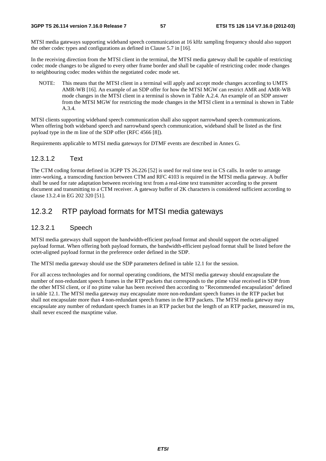MTSI media gateways supporting wideband speech communication at 16 kHz sampling frequency should also support the other codec types and configurations as defined in Clause 5.7 in [16].

In the receiving direction from the MTSI client in the terminal, the MTSI media gateway shall be capable of restricting codec mode changes to be aligned to every other frame border and shall be capable of restricting codec mode changes to neighbouring codec modes within the negotiated codec mode set.

NOTE: This means that the MTSI client in a terminal will apply and accept mode changes according to UMTS AMR-WB [16]. An example of an SDP offer for how the MTSI MGW can restrict AMR and AMR-WB mode changes in the MTSI client in a terminal is shown in Table A.2.4. An example of an SDP answer from the MTSI MGW for restricting the mode changes in the MTSI client in a terminal is shown in Table A.3.4.

MTSI clients supporting wideband speech communication shall also support narrowband speech communications. When offering both wideband speech and narrowband speech communication, wideband shall be listed as the first payload type in the m line of the SDP offer (RFC 4566 [8]).

Requirements applicable to MTSI media gateways for DTMF events are described in Annex G.

### 12.3.1.2 Text

The CTM coding format defined in 3GPP TS 26.226 [52] is used for real time text in CS calls. In order to arrange inter-working, a transcoding function between CTM and RFC 4103 is required in the MTSI media gateway. A buffer shall be used for rate adaptation between receiving text from a real-time text transmitter according to the present document and transmitting to a CTM receiver. A gateway buffer of 2K characters is considered sufficient according to clause 13.2.4 in EG 202 320 [51].

## 12.3.2 RTP payload formats for MTSI media gateways

### 12.3.2.1 Speech

MTSI media gateways shall support the bandwidth-efficient payload format and should support the octet-aligned payload format. When offering both payload formats, the bandwidth-efficient payload format shall be listed before the octet-aligned payload format in the preference order defined in the SDP.

The MTSI media gateway should use the SDP parameters defined in table 12.1 for the session.

For all access technologies and for normal operating conditions, the MTSI media gateway should encapsulate the number of non-redundant speech frames in the RTP packets that corresponds to the ptime value received in SDP from the other MTSI client, or if no ptime value has been received then according to "Recommended encapsulation" defined in table 12.1. The MTSI media gateway may encapsulate more non-redundant speech frames in the RTP packet but shall not encapsulate more than 4 non-redundant speech frames in the RTP packets. The MTSI media gateway may encapsulate any number of redundant speech frames in an RTP packet but the length of an RTP packet, measured in ms, shall never exceed the maxptime value.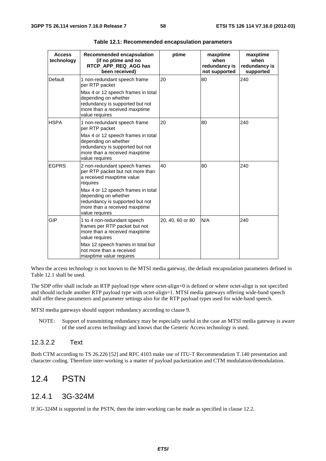| <b>Access</b><br>technology | <b>Recommended encapsulation</b><br>(if no ptime and no<br>RTCP APP REQ AGG has<br>been received)                                                                                                                                                              | ptime            | maxptime<br>when<br>redundancy is<br>not supported | maxptime<br>when<br>redundancy is<br>supported |
|-----------------------------|----------------------------------------------------------------------------------------------------------------------------------------------------------------------------------------------------------------------------------------------------------------|------------------|----------------------------------------------------|------------------------------------------------|
| Default                     | 1 non-redundant speech frame<br>per RTP packet<br>Max 4 or 12 speech frames in total<br>depending on whether<br>redundancy is supported but not<br>more than a received maxptime<br>value requires                                                             | 20               | 80                                                 | 240                                            |
| <b>HSPA</b>                 | 1 non-redundant speech frame<br>per RTP packet<br>Max 4 or 12 speech frames in total<br>depending on whether<br>redundancy is supported but not<br>more than a received maxptime<br>value requires                                                             | 20               | 80                                                 | 240                                            |
| <b>IEGPRS</b>               | 2 non-redundant speech frames<br>per RTP packet but not more than<br>a received maxptime value<br>requires<br>Max 4 or 12 speech frames in total<br>depending on whether<br>redundancy is supported but not<br>more than a received maxptime<br>value requires | 40               | 80                                                 | 240                                            |
| <b>GIP</b>                  | 1 to 4 non-redundant speech<br>frames per RTP packet but not<br>more than a received maxptime<br>value requires<br>Max 12 speech frames in total but<br>not more than a received<br>maxptime value requires                                                    | 20, 40, 60 or 80 | N/A                                                | 240                                            |

**Table 12.1: Recommended encapsulation parameters** 

When the access technology is not known to the MTSI media gateway, the default encapsulation parameters defined in Table 12.1 shall be used.

The SDP offer shall include an RTP payload type where octet-align=0 is defined or where octet-align is not specified and should include another RTP payload type with octet-align=1. MTSI media gateways offering wide-band speech shall offer these parameters and parameter settings also for the RTP payload types used for wide-band speech.

MTSI media gateways should support redundancy according to clause 9.

NOTE: Support of transmitting redundancy may be especially useful in the case an MTSI media gateway is aware of the used access technology and knows that the Generic Access technology is used.

### 12.3.2.2 Text

Both CTM according to TS 26.226 [52] and RFC 4103 make use of ITU-T Recommendation T.140 presentation and character coding. Therefore inter-working is a matter of payload packetization and CTM modulation/demodulation.

## 12.4 PSTN

### 12.4.1 3G-324M

If 3G-324M is supported in the PSTN, then the inter-working can be made as specified in clause 12.2.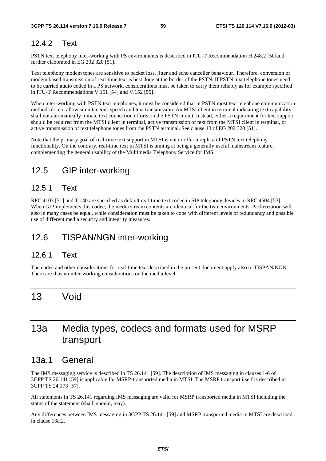## 12.4.2 Text

PSTN text telephony inter-working with PS environments is described in ITU-T Recommendation H.248.2 [50]and further elaborated in EG 202 320 [51].

Text telephony modem tones are sensitive to packet loss, jitter and echo canceller behaviour. Therefore, conversion of modem based transmission of real-time text is best done at the border of the PSTN. If PSTN text telephone tones need to be carried audio coded in a PS network, considerations must be taken to carry them reliably as for example specified in ITU-T Recommendations V.151 [54] and V.152 [55].

When inter-working with PSTN text telephones, it must be considered that in PSTN most text telephone communication methods do not allow simultaneous speech and text transmission. An MTSI client in terminal indicating text capability shall not automatically initiate text connection efforts on the PSTN circuit. Instead, either a requirement for text support should be required from the MTSI client in terminal, active transmission of text from the MTSI client in terminal, or active transmission of text telephone tones from the PSTN terminal. See clause 13 of EG 202 320 [51].

Note that the primary goal of real-time text support in MTSI is not to offer a replica of PSTN text telephony functionality. On the contrary, real-time text in MTSI is aiming at being a generally useful mainstream feature, complementing the general usability of the Multimedia Telephony Service for IMS.

# 12.5 GIP inter-working

## 12.5.1 Text

RFC 4103 [31] and T.140 are specified as default real-time text codec in SIP telephony devices in RFC 4504 [53]. When GIP implements this codec, the media stream contents are identical for the two environments. Packetization will also in many cases be equal, while consideration must be taken to cope with different levels of redundancy and possible use of different media security and integrity measures.

# 12.6 TISPAN/NGN inter-working

### 12.6.1 Text

The codec and other considerations for real-time text described in the present document apply also to TISPAN/NGN. There are thus no inter-working considerations on the media level.

# 13 Void

# 13a Media types, codecs and formats used for MSRP transport

## 13a.1 General

The IMS messaging service is described in TS 26.141 [59]. The description of IMS messaging in clauses 1-6 of 3GPP TS 26.141 [59] is applicable for MSRP-transported media in MTSI. The MSRP transport itself is described in 3GPP TS 24.173 [57].

All statements in TS 26.141 regarding IMS messaging are valid for MSRP transported media in MTSI including the status of the statement (shall, should, may).

Any differences between IMS messaging in 3GPP TS 26.141 [59] and MSRP transported media in MTSI are described in clause 13a.2.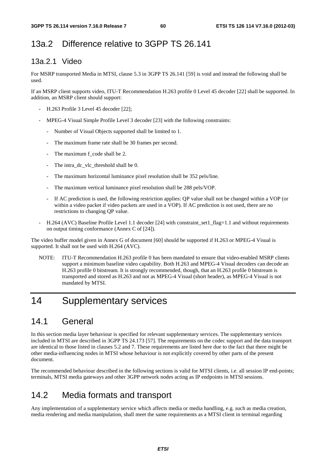# 13a.2 Difference relative to 3GPP TS 26.141

## 13a.2.1 Video

For MSRP transported Media in MTSI, clause 5.3 in 3GPP TS 26.141 [59] is void and instead the following shall be used.

If an MSRP client supports video, ITU-T Recommendation H.263 profile 0 Level 45 decoder [22] shall be supported. In addition, an MSRP client should support:

- H.263 Profile 3 Level 45 decoder [22];
- MPEG-4 Visual Simple Profile Level 3 decoder [23] with the following constraints:
	- Number of Visual Objects supported shall be limited to 1.
	- The maximum frame rate shall be 30 frames per second.
	- The maximum f\_code shall be 2.
	- The intra dc vlc threshold shall be 0.
	- The maximum horizontal luminance pixel resolution shall be 352 pels/line.
	- The maximum vertical luminance pixel resolution shall be 288 pels/VOP.
	- If AC prediction is used, the following restriction applies: QP value shall not be changed within a VOP (or within a video packet if video packets are used in a VOP). If AC prediction is not used, there are no restrictions to changing QP value.
- H.264 (AVC) Baseline Profile Level 1.1 decoder [24] with constraint\_set1\_flag=1.1 and without requirements on output timing conformance (Annex C of [24]).

The video buffer model given in Annex G of document [60] should be supported if H.263 or MPEG-4 Visual is supported. It shall not be used with H.264 (AVC).

NOTE: ITU-T Recommendation H.263 profile 0 has been mandated to ensure that video-enabled MSRP clients support a minimum baseline video capability. Both H.263 and MPEG-4 Visual decoders can decode an H.263 profile 0 bitstream. It is strongly recommended, though, that an H.263 profile 0 bitstream is transported and stored as H.263 and not as MPEG-4 Visual (short header), as MPEG-4 Visual is not mandated by MTSI.

# 14 Supplementary services

## 14.1 General

In this section media layer behaviour is specified for relevant supplementary services. The supplementary services included in MTSI are described in 3GPP TS 24.173 [57]. The requirements on the codec support and the data transport are identical to those listed in clauses 5.2 and 7. These requirements are listed here due to the fact that there might be other media-influencing nodes in MTSI whose behaviour is not explicitly covered by other parts of the present document.

The recommended behaviour described in the following sections is valid for MTSI clients, i.e. all session IP end-points; terminals, MTSI media gateways and other 3GPP network nodes acting as IP endpoints in MTSI sessions.

## 14.2 Media formats and transport

Any implementation of a supplementary service which affects media or media handling, e.g. such as media creation, media rendering and media manipulation, shall meet the same requirements as a MTSI client in terminal regarding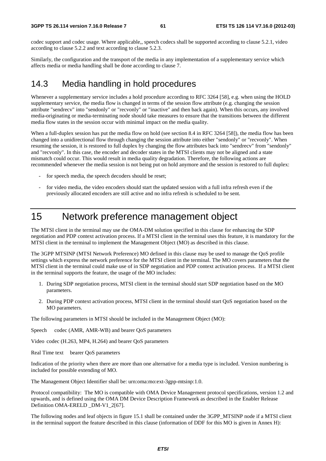codec support and codec usage. Where applicable,, speech codecs shall be supported according to clause 5.2.1, video according to clause 5.2.2 and text according to clause 5.2.3.

Similarly, the configuration and the transport of the media in any implementation of a supplementary service which affects media or media handling shall be done according to clause 7.

## 14.3 Media handling in hold procedures

Whenever a supplementary service includes a hold procedure according to RFC 3264 [58], e.g. when using the HOLD supplementary service, the media flow is changed in terms of the session flow attribute (e.g. changing the session attribute "sendrecv" into "sendonly" or "recvonly" or "inactive" and then back again). When this occurs, any involved media-originating or media-terminating node should take measures to ensure that the transitions between the different media flow states in the session occur with minimal impact on the media quality.

When a full-duplex session has put the media flow on hold (see section 8.4 in RFC 3264 [58]), the media flow has been changed into a unidirectional flow through changing the session attribute into either "sendonly" or "recvonly". When resuming the session, it is restored to full duplex by changing the flow attributes back into "sendrecv" from "sendonly" and "recvonly". In this case, the encoder and decoder states in the MTSI clients may not be aligned and a state mismatch could occur. This would result in media quality degradation. Therefore, the following actions are recommended whenever the media session is not being put on hold anymore and the session is restored to full duplex:

- for speech media, the speech decoders should be reset;
- for video media, the video encoders should start the updated session with a full infra refresh even if the previously allocated encoders are still active and no infra refresh is scheduled to be sent.

# 15 Network preference management object

The MTSI client in the terminal may use the OMA-DM solution specified in this clause for enhancing the SDP negotiation and PDP context activation process. If a MTSI client in the terminal uses this feature, it is mandatory for the MTSI client in the terminal to implement the Management Object (MO) as described in this clause.

The 3GPP MTSINP (MTSI Network Preference) MO defined in this clause may be used to manage the QoS profile settings which express the network preference for the MTSI client in the terminal. The MO covers parameters that the MTSI client in the terminal could make use of in SDP negotiation and PDP context activation process. If a MTSI client in the terminal supports the feature, the usage of the MO includes:

- 1. During SDP negotiation process, MTSI client in the terminal should start SDP negotiation based on the MO parameters.
- 2. During PDP context activation process, MTSI client in the terminal should start QoS negotiation based on the MO parameters.

The following parameters in MTSI should be included in the Management Object (MO):

Speech codec (AMR, AMR-WB) and bearer QoS parameters

Video codec (H.263, MP4, H.264) and bearer QoS parameters

Real Time text bearer QoS parameters

Indication of the priority when there are more than one alternative for a media type is included. Version numbering is included for possible extending of MO.

The Management Object Identifier shall be: urn:oma:mo:ext-3gpp-mtsinp:1.0.

Protocol compatibility: The MO is compatible with OMA Device Management protocol specifications, version 1.2 and upwards, and is defined using the OMA DM Device Description Framework as described in the Enabler Release Definition OMA-ERELD DM-V1 2[67].

The following nodes and leaf objects in figure 15.1 shall be contained under the 3GPP\_MTSINP node if a MTSI client in the terminal support the feature described in this clause (information of DDF for this MO is given in Annex H):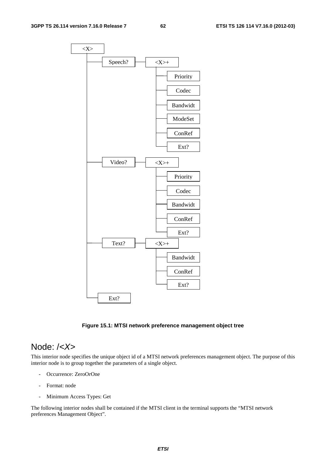

**Figure 15.1: MTSI network preference management object tree** 

## Node: /*<X>*

This interior node specifies the unique object id of a MTSI network preferences management object. The purpose of this interior node is to group together the parameters of a single object.

- Occurrence: ZeroOrOne
- Format: node
- Minimum Access Types: Get

The following interior nodes shall be contained if the MTSI client in the terminal supports the "MTSI network preferences Management Object".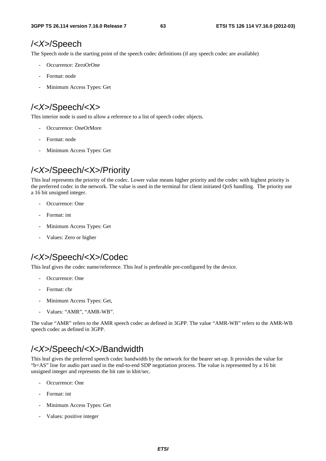## /*<X>*/Speech

The Speech node is the starting point of the speech codec definitions (if any speech codec are available)

- Occurrence: ZeroOrOne
- Format: node
- Minimum Access Types: Get

# /*<X>*/Speech/<X>

This interior node is used to allow a reference to a list of speech codec objects.

- Occurrence: OneOrMore
- Format: node
- Minimum Access Types: Get

# /*<X>*/Speech/<X>/Priority

This leaf represents the priority of the codec. Lower value means higher priority and the codec with highest priority is the preferred codec in the network. The value is used in the terminal for client initiated QoS handling. The priority use a 16 bit unsigned integer.

- Occurrence: One
- Format: int
- Minimum Access Types: Get
- Values: Zero or higher

# /*<X>*/Speech/<X>/Codec

This leaf gives the codec name/reference. This leaf is preferable pre-configured by the device.

- Occurrence: One
- Format: chr
- Minimum Access Types: Get,
- Values: "AMR", "AMR-WB".

The value "AMR" refers to the AMR speech codec as defined in 3GPP. The value "AMR-WB" refers to the AMR-WB speech codec as defined in 3GPP.

## /*<X>*/Speech/<X>/Bandwidth

This leaf gives the preferred speech codec bandwidth by the network for the bearer set-up. It provides the value for "b=AS" line for audio part used in the end-to-end SDP negotiation process. The value is represented by a 16 bit unsigned integer and represents the bit rate in kbit/sec.

- Occurrence: One
- Format: int
- Minimum Access Types: Get
- Values: positive integer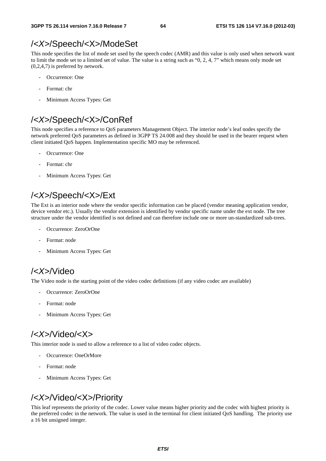## /*<X>*/Speech/<X>/ModeSet

This node specifies the list of mode set used by the speech codec (AMR) and this value is only used when network want to limit the mode set to a limited set of value. The value is a string such as "0, 2, 4, 7" which means only mode set (0,2,4,7) is preferred by network.

- Occurrence: One
- Format: chr
- Minimum Access Types: Get

# /*<X>*/Speech/<X>/ConRef

This node specifies a reference to QoS parameters Management Object. The interior node's leaf nodes specify the network preferred QoS parameters as defined in 3GPP TS 24.008 and they should be used in the bearer request when client initiated QoS happen. Implementation specific MO may be referenced.

- Occurrence: One
- Format: chr
- Minimum Access Types: Get

# /*<X>*/Speech/<X>/Ext

The Ext is an interior node where the vendor specific information can be placed (vendor meaning application vendor, device vendor etc.). Usually the vendor extension is identified by vendor specific name under the ext node. The tree structure under the vendor identified is not defined and can therefore include one or more un-standardized sub-trees.

- Occurrence: ZeroOrOne
- Format: node
- Minimum Access Types: Get

## /*<X>*/Video

The Video node is the starting point of the video codec definitions (if any video codec are available)

- Occurrence: ZeroOrOne
- Format: node
- Minimum Access Types: Get

# /*<X>*/Video/<X>

This interior node is used to allow a reference to a list of video codec objects.

- Occurrence: OneOrMore
- Format: node
- Minimum Access Types: Get

# /*<X>*/Video/<X>/Priority

This leaf represents the priority of the codec. Lower value means higher priority and the codec with highest priority is the preferred codec in the network. The value is used in the terminal for client initiated QoS handling. The priority use a 16 bit unsigned integer.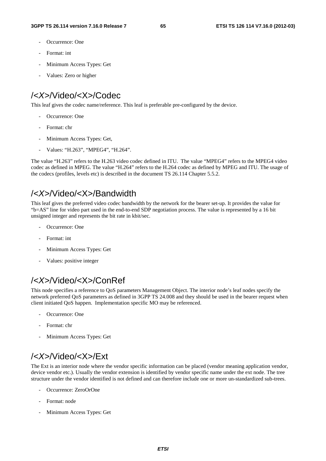- Occurrence: One
- Format: int
- Minimum Access Types: Get
- Values: Zero or higher

# /*<X>*/Video/<X>/Codec

This leaf gives the codec name/reference. This leaf is preferable pre-configured by the device.

- Occurrence: One
- Format: chr
- Minimum Access Types: Get,
- Values: "H.263", "MPEG4", "H.264".

The value "H.263" refers to the H.263 video codec defined in ITU. The value "MPEG4" refers to the MPEG4 video codec as defined in MPEG. The value "H.264" refers to the H.264 codec as defined by MPEG and ITU. The usage of the codecs (profiles, levels etc) is described in the document TS 26.114 Chapter 5.5.2.

## /*<X>*/Video/<X>/Bandwidth

This leaf gives the preferred video codec bandwidth by the network for the bearer set-up. It provides the value for "b=AS" line for video part used in the end-to-end SDP negotiation process. The value is represented by a 16 bit unsigned integer and represents the bit rate in kbit/sec.

- Occurrence: One
- Format: int
- Minimum Access Types: Get
- Values: positive integer

## /*<X>*/Video/<X>/ConRef

This node specifies a reference to QoS parameters Management Object. The interior node's leaf nodes specify the network preferred QoS parameters as defined in 3GPP TS 24.008 and they should be used in the bearer request when client initiated QoS happen. Implementation specific MO may be referenced.

- Occurrence: One
- Format: chr
- Minimum Access Types: Get

# /*<X>*/Video/<X>/Ext

The Ext is an interior node where the vendor specific information can be placed (vendor meaning application vendor, device vendor etc.). Usually the vendor extension is identified by vendor specific name under the ext node. The tree structure under the vendor identified is not defined and can therefore include one or more un-standardized sub-trees.

- Occurrence: ZeroOrOne
- Format: node
- Minimum Access Types: Get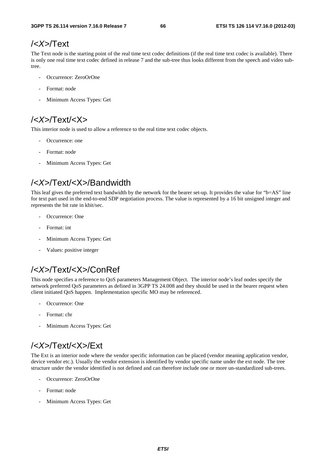# /*<X>*/Text

The Text node is the starting point of the real time text codec definitions (if the real time text codec is available). There is only one real time text codec defined in release 7 and the sub-tree thus looks different from the speech and video subtree.

- Occurrence: ZeroOrOne
- Format: node
- Minimum Access Types: Get

# /*<X>*/Text/<X>

This interior node is used to allow a reference to the real time text codec objects.

- Occurrence: one
- Format: node
- Minimum Access Types: Get

# /*<X>*/Text/<X>/Bandwidth

This leaf gives the preferred text bandwidth by the network for the bearer set-up. It provides the value for "b=AS" line for text part used in the end-to-end SDP negotiation process. The value is represented by a 16 bit unsigned integer and represents the bit rate in kbit/sec.

- Occurrence: One
- Format: int
- Minimum Access Types: Get
- Values: positive integer

# /*<X>*/Text/<X>/ConRef

This node specifies a reference to QoS parameters Management Object. The interior node's leaf nodes specify the network preferred QoS parameters as defined in 3GPP TS 24.008 and they should be used in the bearer request when client initiated QoS happen. Implementation specific MO may be referenced.

- Occurrence: One
- Format: chr
- Minimum Access Types: Get

# /*<X>*/Text/<X>/Ext

The Ext is an interior node where the vendor specific information can be placed (vendor meaning application vendor, device vendor etc.). Usually the vendor extension is identified by vendor specific name under the ext node. The tree structure under the vendor identified is not defined and can therefore include one or more un-standardized sub-trees.

- Occurrence: ZeroOrOne
- Format: node
- Minimum Access Types: Get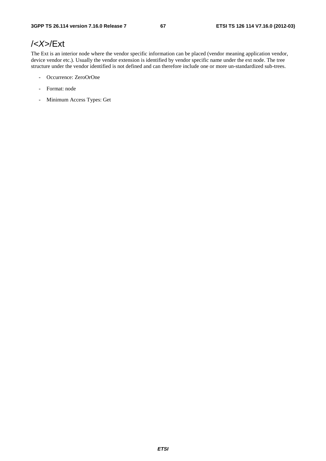## /*<X>*/Ext

The Ext is an interior node where the vendor specific information can be placed (vendor meaning application vendor, device vendor etc.). Usually the vendor extension is identified by vendor specific name under the ext node. The tree structure under the vendor identified is not defined and can therefore include one or more un-standardized sub-trees.

- Occurrence: ZeroOrOne
- Format: node
- Minimum Access Types: Get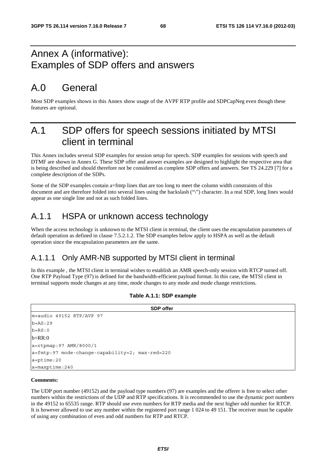# Annex A (informative): Examples of SDP offers and answers

# A.0 General

Most SDP examples shown in this Annex show usage of the AVPF RTP profile and SDPCapNeg even though these features are optional.

# A.1 SDP offers for speech sessions initiated by MTSI client in terminal

This Annex includes several SDP examples for session setup for speech. SDP examples for sessions with speech and DTMF are shown in Annex G. These SDP offer and answer examples are designed to highlight the respective area that is being described and should therefore not be considered as complete SDP offers and answers. See TS 24.229 [7] for a complete description of the SDPs.

Some of the SDP examples contain a=fmtp lines that are too long to meet the column width constraints of this document and are therefore folded into several lines using the backslash ("\") character. In a real SDP, long lines would appear as one single line and not as such folded lines.

## A.1.1 HSPA or unknown access technology

When the access technology is unknown to the MTSI client in terminal, the client uses the encapsulation parameters of default operation as defined in clause 7.5.2.1.2. The SDP examples below apply to HSPA as well as the default operation since the encapsulation parameters are the same.

## A.1.1.1 Only AMR-NB supported by MTSI client in terminal

In this example , the MTSI client in terminal wishes to establish an AMR speech-only session with RTCP turned off. One RTP Payload Type (97) is defined for the bandwidth-efficient payload format. In this case, the MTSI client in terminal supports mode changes at any time, mode changes to any mode and mode change restrictions.

| <b>SDP</b> offer                                |
|-------------------------------------------------|
| m=audio 49152 RTP/AVP 97                        |
| $b = AS: 29$                                    |
| $b = RS: 0$                                     |
| $b=RR:0$                                        |
| $a = r$ tpmap: 97 AMR/8000/1                    |
| a=fmtp:97 mode-change-capability=2; max-red=220 |
| $a = p$ time: 20                                |
| $a = maxptime: 240$                             |

### **Table A.1.1: SDP example**

#### **Comments:**

The UDP port number (49152) and the payload type numbers (97) are examples and the offerer is free to select other numbers within the restrictions of the UDP and RTP specifications. It is recommended to use the dynamic port numbers in the 49152 to 65535 range. RTP should use even numbers for RTP media and the next higher odd number for RTCP. It is however allowed to use any number within the registered port range 1 024 to 49 151. The receiver must be capable of using any combination of even and odd numbers for RTP and RTCP.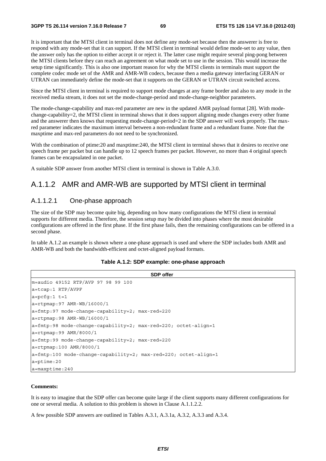It is important that the MTSI client in terminal does not define any mode-set because then the answerer is free to respond with any mode-set that it can support. If the MTSI client in terminal would define mode-set to any value, then the answer only has the option to either accept it or reject it. The latter case might require several ping-pong between the MTSI clients before they can reach an agreement on what mode set to use in the session. This would increase the setup time significantly. This is also one important reason for why the MTSI clients in terminals must support the complete codec mode set of the AMR and AMR-WB codecs, because then a media gateway interfacing GERAN or UTRAN can immediately define the mode-set that it supports on the GERAN or UTRAN circuit switched access.

Since the MTSI client in terminal is required to support mode changes at any frame border and also to any mode in the received media stream, it does not set the mode-change-period and mode-change-neighbor parameters.

The mode-change-capability and max-red parameter are new in the updated AMR payload format [28]. With modechange-capability=2, the MTSI client in terminal shows that it does support aligning mode changes every other frame and the answerer then knows that requesting mode-change-period=2 in the SDP answer will work properly. The maxred parameter indicates the maximum interval between a non-redundant frame and a redundant frame. Note that the maxptime and max-red parameters do not need to be synchronized.

With the combination of ptime: 20 and maxptime: 240, the MTSI client in terminal shows that it desires to receive one speech frame per packet but can handle up to 12 speech frames per packet. However, no more than 4 original speech frames can be encapsulated in one packet.

A suitable SDP answer from another MTSI client in terminal is shown in Table A.3.0.

### A.1.1.2 AMR and AMR-WB are supported by MTSI client in terminal

### A.1.1.2.1 One-phase approach

The size of the SDP may become quite big, depending on how many configurations the MTSI client in terminal supports for different media. Therefore, the session setup may be divided into phases where the most desirable configurations are offered in the first phase. If the first phase fails, then the remaining configurations can be offered in a second phase.

In table A.1.2 an example is shown where a one-phase approach is used and where the SDP includes both AMR and AMR-WB and both the bandwidth-efficient and octet-aligned payload formats.

#### **Table A.1.2: SDP example: one-phase approach**

```
SDP offer 
m=audio 49152 RTP/AVP 97 98 99 100 
a=tcap:1 RTP/AVPF 
a = pcfq:1 t=1a=rtpmap:97 AMR-WB/16000/1 
a=fmtp:97 mode-change-capability=2; max-red=220 
a=rtpmap:98 AMR-WB/16000/1 
a=fmtp:98 mode-change-capability=2; max-red=220; octet-align=1 
a=rtpmap:99 AMR/8000/1 
a=fmtp:99 mode-change-capability=2; max-red=220 
a=rtpmap:100 AMR/8000/1 
a=fmtp:100 mode-change-capability=2; max-red=220; octet-align=1 
a=ptime:20 
a=maxptime:240
```
#### **Comments:**

It is easy to imagine that the SDP offer can become quite large if the client supports many different configurations for one or several media. A solution to this problem is shown in Clause A.1.1.2.2.

A few possible SDP answers are outlined in Tables A.3.1, A.3.1a, A.3.2, A.3.3 and A.3.4.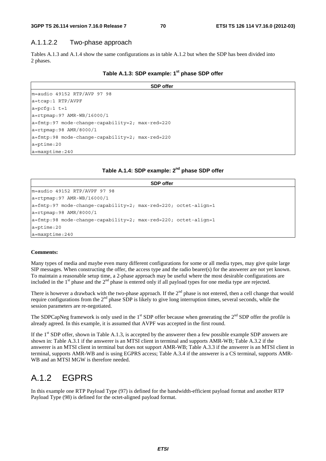### A.1.1.2.2 Two-phase approach

Tables A.1.3 and A.1.4 show the same configurations as in table A.1.2 but when the SDP has been divided into 2 phases.

|  | Table A.1.3: SDP example: 1 <sup>st</sup> phase SDP offer |
|--|-----------------------------------------------------------|
|--|-----------------------------------------------------------|

|                                                         | <b>SDP</b> offer |
|---------------------------------------------------------|------------------|
| $m = audio 49152 RTP/AVP 97 98$                         |                  |
| a=tcap:1 RTP/AVPF                                       |                  |
| $a = pcfg:1 t=1$                                        |                  |
| $a = rtpmap: 97$ AMR-WB/16000/1                         |                  |
| $a = f m t p: 97$ mode-change-capability=2; max-red=220 |                  |
| $a = r$ tpmap: 98 AMR/8000/1                            |                  |
| $a = f m t p: 98$ mode-change-capability=2; max-red=220 |                  |
| $a = p$ time: 20                                        |                  |
| $a = maxptime: 240$                                     |                  |

### **Table A.1.4: SDP example: 2nd phase SDP offer**

| <b>SDP</b> offer                                                  |
|-------------------------------------------------------------------|
| $m = audio 49152 RTP/AVPF 97 98$                                  |
| $a = r$ tpmap: 97 AMR-WB/16000/1                                  |
| $ a=fmtp:97$ mode-change-capability=2; max-red=220; octet-align=1 |
| $a = r$ tpmap: 98 AMR/8000/1                                      |
| $ a=fmtp:98$ mode-change-capability=2; max-red=220; octet-align=1 |
| $a = p$ time: 20                                                  |
| $a = maxptime: 240$                                               |

#### **Comments:**

Many types of media and maybe even many different configurations for some or all media types, may give quite large SIP messages. When constructing the offer, the access type and the radio bearer(s) for the answerer are not yet known. To maintain a reasonable setup time, a 2-phase approach may be useful where the most desirable configurations are included in the 1<sup>st</sup> phase and the 2<sup>nd</sup> phase is entered only if all payload types for one media type are rejected.

There is however a drawback with the two-phase approach. If the  $2^{nd}$  phase is not entered, then a cell change that would require configurations from the  $2<sup>nd</sup>$  phase SDP is likely to give long interruption times, several seconds, while the session parameters are re-negotiated.

The SDPCapNeg framework is only used in the  $1<sup>st</sup>$  SDP offer because when generating the  $2<sup>nd</sup>$  SDP offer the profile is already agreed. In this example, it is assumed that AVPF was accepted in the first round.

If the  $1<sup>st</sup> SDP$  offer, shown in Table A.1.3, is accepted by the answerer then a few possible example SDP answers are shown in: Table A.3.1 if the answerer is an MTSI client in terminal and supports AMR-WB; Table A.3.2 if the answerer is an MTSI client in terminal but does not support AMR-WB; Table A.3.3 if the answerer is an MTSI client in terminal, supports AMR-WB and is using EGPRS access; Table A.3.4 if the answerer is a CS terminal, supports AMR-WB and an MTSI MGW is therefore needed.

# A.1.2 EGPRS

In this example one RTP Payload Type (97) is defined for the bandwidth-efficient payload format and another RTP Payload Type (98) is defined for the octet-aligned payload format.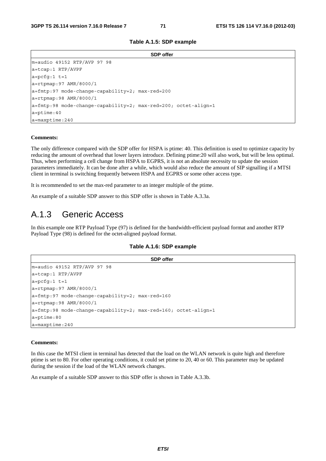**Table A.1.5: SDP example** 

| <b>SDP</b> offer                                                  |
|-------------------------------------------------------------------|
| $m = audio 49152 RTP/AVP 97 98$                                   |
| $a = tcap:1$ RTP/AVPF                                             |
| $a = pcfq:1 t=1$                                                  |
| $a = r$ tpmap: 97 AMR/8000/1                                      |
| $a = \text{fmtp:97}$ mode-change-capability=2; max-red=200        |
| $a = r$ tpmap: 98 AMR/8000/1                                      |
| $ a=fmtp:98$ mode-change-capability=2; max-red=200; octet-align=1 |
| $a = p$ time: 40                                                  |
| $a = maxptime: 240$                                               |

#### **Comments:**

The only difference compared with the SDP offer for HSPA is ptime: 40. This definition is used to optimize capacity by reducing the amount of overhead that lower layers introduce. Defining ptime:20 will also work, but will be less optimal. Thus, when performing a cell change from HSPA to EGPRS, it is not an absolute necessity to update the session parameters immediately. It can be done after a while, which would also reduce the amount of SIP signalling if a MTSI client in terminal is switching frequently between HSPA and EGPRS or some other access type.

It is recommended to set the max-red parameter to an integer multiple of the ptime.

An example of a suitable SDP answer to this SDP offer is shown in Table A.3.3a.

## A.1.3 Generic Access

In this example one RTP Payload Type (97) is defined for the bandwidth-efficient payload format and another RTP Payload Type (98) is defined for the octet-aligned payload format.

#### **Table A.1.6: SDP example**

| <b>SDP</b> offer                                                  |
|-------------------------------------------------------------------|
| $m = \text{audio } 49152$ RTP/AVP 97 98                           |
| $a = tcap: 1$ RTP/AVPF                                            |
| $a = pcfq:1 t=1$                                                  |
| $a = r$ tpmap: 97 AMR/8000/1                                      |
| $a = f m t p: 97$ mode-change-capability=2; max-red=160           |
| $a = r$ tpmap: 98 AMR/8000/1                                      |
| $ a=fmtp:98$ mode-change-capability=2; max-red=160; octet-align=1 |
| $a = p$ time:80                                                   |
| $a = maxptime: 240$                                               |

#### **Comments:**

In this case the MTSI client in terminal has detected that the load on the WLAN network is quite high and therefore ptime is set to 80. For other operating conditions, it could set ptime to 20, 40 or 60. This parameter may be updated during the session if the load of the WLAN network changes.

An example of a suitable SDP answer to this SDP offer is shown in Table A.3.3b.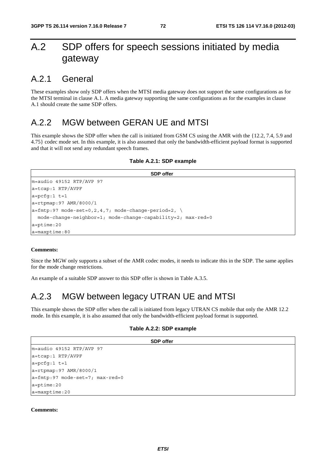# A.2 SDP offers for speech sessions initiated by media gateway

### A.2.1 General

These examples show only SDP offers when the MTSI media gateway does not support the same configurations as for the MTSI terminal in clause A.1. A media gateway supporting the same configurations as for the examples in clause A.1 should create the same SDP offers.

### A.2.2 MGW between GERAN UE and MTSI

This example shows the SDP offer when the call is initiated from GSM CS using the AMR with the {12.2, 7.4, 5.9 and 4.75} codec mode set. In this example, it is also assumed that only the bandwidth-efficient payload format is supported and that it will not send any redundant speech frames.

#### **Table A.2.1: SDP example**

```
SDP offer 
m=audio 49152 RTP/AVP 97 
a=tcap:1 RTP/AVPF 
a=pcfg:1 t=1 
a=rtpmap:97 AMR/8000/1 
a=fmtp:97 mode-set=0, 2, 4, 7; mode-change-period=2, \
  mode-change-neighbor=1; mode-change-capability=2; max-red=0 
a=ptime:20 
a=maxptime:80
```
#### **Comments:**

Since the MGW only supports a subset of the AMR codec modes, it needs to indicate this in the SDP. The same applies for the mode change restrictions.

An example of a suitable SDP answer to this SDP offer is shown in Table A.3.5.

### A.2.3 MGW between legacy UTRAN UE and MTSI

This example shows the SDP offer when the call is initiated from legacy UTRAN CS mobile that only the AMR 12.2 mode. In this example, it is also assumed that only the bandwidth-efficient payload format is supported.

### **Table A.2.2: SDP example**

| <b>SDP</b> offer                         |
|------------------------------------------|
| m=audio 49152 RTP/AVP 97                 |
| $a = tcap:1$ RTP/AVPF                    |
| $a = pcfq:1 t=1$                         |
| $a = r$ tpmap: 97 AMR/8000/1             |
| $a = f m t p : 97$ mode-set=7; max-red=0 |
| $a = p$ time: 20                         |
| a=maxptime:20                            |

#### **Comments:**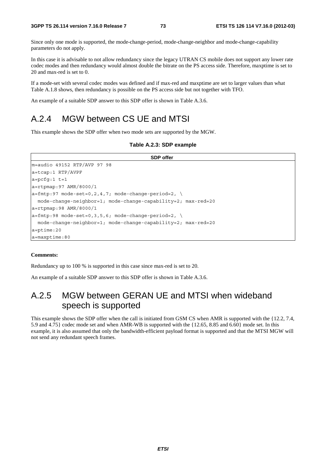Since only one mode is supported, the mode-change-period, mode-change-neighbor and mode-change-capability parameters do not apply.

In this case it is advisable to not allow redundancy since the legacy UTRAN CS mobile does not support any lower rate codec modes and then redundancy would almost double the bitrate on the PS access side. Therefore, maxptime is set to 20 and max-red is set to 0.

If a mode-set with several codec modes was defined and if max-red and maxptime are set to larger values than what Table A.1.8 shows, then redundancy is possible on the PS access side but not together with TFO.

An example of a suitable SDP answer to this SDP offer is shown in Table A.3.6.

### A.2.4 MGW between CS UE and MTSI

This example shows the SDP offer when two mode sets are supported by the MGW.

#### **Table A.2.3: SDP example**

| <b>SDP</b> offer                                              |
|---------------------------------------------------------------|
| m=audio 49152 RTP/AVP 97 98                                   |
| $a = tcap: 1$ RTP/AVPF                                        |
| $a = pcfq:1 t=1$                                              |
| $a = r$ tpmap: 97 AMR/8000/1                                  |
| $a = f m t p : 97 \mod e$ -set=0,2,4,7; mode-change-period=2, |
| mode-change-neighbor=1; mode-change-capability=2; max-red=20  |
| $a = r$ tpmap: 98 AMR/8000/1                                  |
| $a = f m t p : 98$ mode-set=0,3,5,6; mode-change-period=2,    |
| mode-change-neighbor=1; mode-change-capability=2; max-red=20  |
| $a = p$ time: 20                                              |
| $a = maxptime:80$                                             |

#### **Comments:**

Redundancy up to 100 % is supported in this case since max-red is set to 20.

An example of a suitable SDP answer to this SDP offer is shown in Table A.3.6.

### A.2.5 MGW between GERAN UE and MTSI when wideband speech is supported

This example shows the SDP offer when the call is initiated from GSM CS when AMR is supported with the {12.2, 7.4, 5.9 and 4.75} codec mode set and when AMR-WB is supported with the {12.65, 8.85 and 6.60} mode set. In this example, it is also assumed that only the bandwidth-efficient payload format is supported and that the MTSI MGW will not send any redundant speech frames.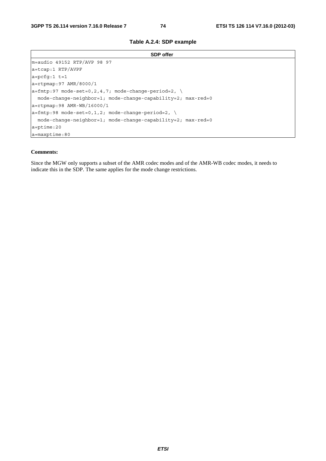### **Table A.2.4: SDP example**

| <b>SDP</b> offer                                                         |
|--------------------------------------------------------------------------|
| $m = audio 49152 RTP/AVP 98 97$                                          |
| $a = tcap:1$ RTP/AVPF                                                    |
| $a = pcfq:1 t=1$                                                         |
| $a = r$ tpmap: 97 AMR/8000/1                                             |
| $ a=fmtp: 97 \text{ mode-set}=0, 2, 4, 7; \text{ mode-change-period}=2,$ |
| mode-change-neighbor=1; mode-change-capability=2; max-red=0              |
| $ a=rtpmap:98$ AMR-WB/16000/1                                            |
| $ a=fmtp:98$ mode-set=0,1,2; mode-change-period=2,                       |
| mode-change-neighbor=1; mode-change-capability=2; max-red=0              |
| $a = p$ time: 20                                                         |
| $a = maxptime:80$                                                        |

### **Comments:**

Since the MGW only supports a subset of the AMR codec modes and of the AMR-WB codec modes, it needs to indicate this in the SDP. The same applies for the mode change restrictions.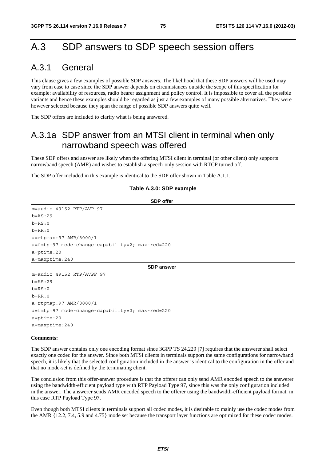# A.3 SDP answers to SDP speech session offers

# A.3.1 General

This clause gives a few examples of possible SDP answers. The likelihood that these SDP answers will be used may vary from case to case since the SDP answer depends on circumstances outside the scope of this specification for example: availability of resources, radio bearer assignment and policy control. It is impossible to cover all the possible variants and hence these examples should be regarded as just a few examples of many possible alternatives. They were however selected because they span the range of possible SDP answers quite well.

The SDP offers are included to clarify what is being answered.

## A.3.1a SDP answer from an MTSI client in terminal when only narrowband speech was offered

These SDP offers and answer are likely when the offering MTSI client in terminal (or other client) only supports narrowband speech (AMR) and wishes to establish a speech-only session with RTCP turned off.

The SDP offer included in this example is identical to the SDP offer shown in Table A.1.1.

### **SDP offer**  m=audio 49152 RTP/AVP 97  $b=AS:29$  $b=RS:0$  $b=RR:0$ a=rtpmap:97 AMR/8000/1 a=fmtp:97 mode-change-capability=2; max-red=220 a=ptime:20 a=maxptime:240 **SDP answer**  m=audio 49152 RTP/AVPF 97  $b=AS:29$  $b=RS:0$  $b=RR:0$ a=rtpmap:97 AMR/8000/1 a=fmtp:97 mode-change-capability=2; max-red=220 a=ptime:20 a=maxptime:240

### **Table A.3.0: SDP example**

#### **Comments:**

The SDP answer contains only one encoding format since 3GPP TS 24.229 [7] requires that the answerer shall select exactly one codec for the answer. Since both MTSI clients in terminals support the same configurations for narrowband speech, it is likely that the selected configuration included in the answer is identical to the configuration in the offer and that no mode-set is defined by the terminating client.

The conclusion from this offer-answer procedure is that the offerer can only send AMR encoded speech to the answerer using the bandwidth-efficient payload type with RTP Payload Type 97, since this was the only configuration included in the answer. The answerer sends AMR encoded speech to the offerer using the bandwidth-efficient payload format, in this case RTP Payload Type 97.

Even though both MTSI clients in terminals support all codec modes, it is desirable to mainly use the codec modes from the AMR {12.2, 7.4, 5.9 and 4.75} mode set because the transport layer functions are optimized for these codec modes.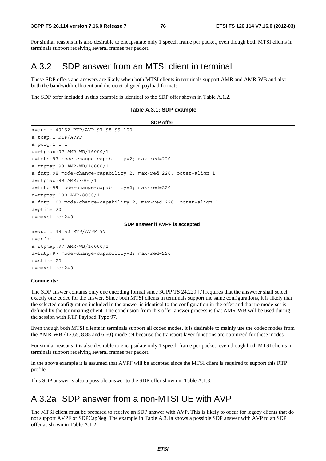For similar reasons it is also desirable to encapsulate only 1 speech frame per packet, even though both MTSI clients in terminals support receiving several frames per packet.

# A.3.2 SDP answer from an MTSI client in terminal

These SDP offers and answers are likely when both MTSI clients in terminals support AMR and AMR-WB and also both the bandwidth-efficient and the octet-aligned payload formats.

The SDP offer included in this example is identical to the SDP offer shown in Table A.1.2.

**Table A.3.1: SDP example** 

| <b>SDP</b> offer                                                        |
|-------------------------------------------------------------------------|
| m=audio 49152 RTP/AVP 97 98 99 100                                      |
| $a = tcap: 1$ RTP/AVPF                                                  |
| $a = pcfg:1 t=1$                                                        |
| $a = r$ tpmap: 97 AMR-WB/16000/1                                        |
| a=fmtp:97 mode-change-capability=2; max-red=220                         |
| $a = r$ tpmap: 98 AMR-WB/16000/1                                        |
| $a = f m t p : 98$ mode-change-capability=2; max-red=220; octet-align=1 |
| $a = r$ tpmap: 99 AMR/8000/1                                            |
| a=fmtp:99 mode-change-capability=2; max-red=220                         |
| $a = r$ tpmap:100 AMR/8000/1                                            |
| $a = f m t p: 100$ mode-change-capability=2; max-red=220; octet-align=1 |
| $a = p$ time: 20                                                        |
| $a = maxptime: 240$                                                     |
| SDP answer if AVPF is accepted                                          |
| $m = audio 49152 RTP/AVPF 97$                                           |
| $a = acfq:1 t=1$                                                        |
| $a = rtpmap: 97$ AMR-WB/16000/1                                         |
| a=fmtp:97 mode-change-capability=2; max-red=220                         |
| $a = p$ time: 20                                                        |
| $a = maxptime: 240$                                                     |

#### **Comments:**

The SDP answer contains only one encoding format since 3GPP TS 24.229 [7] requires that the answerer shall select exactly one codec for the answer. Since both MTSI clients in terminals support the same configurations, it is likely that the selected configuration included in the answer is identical to the configuration in the offer and that no mode-set is defined by the terminating client. The conclusion from this offer-answer process is that AMR-WB will be used during the session with RTP Payload Type 97.

Even though both MTSI clients in terminals support all codec modes, it is desirable to mainly use the codec modes from the AMR-WB {12.65, 8.85 and 6.60} mode set because the transport layer functions are optimized for these modes.

For similar reasons it is also desirable to encapsulate only 1 speech frame per packet, even though both MTSI clients in terminals support receiving several frames per packet.

In the above example it is assumed that AVPF will be accepted since the MTSI client is required to support this RTP profile.

This SDP answer is also a possible answer to the SDP offer shown in Table A.1.3.

## A.3.2a SDP answer from a non-MTSI UE with AVP

The MTSI client must be prepared to receive an SDP answer with AVP. This is likely to occur for legacy clients that do not support AVPF or SDPCapNeg. The example in Table A.3.1a shows a possible SDP answer with AVP to an SDP offer as shown in Table A.1.2.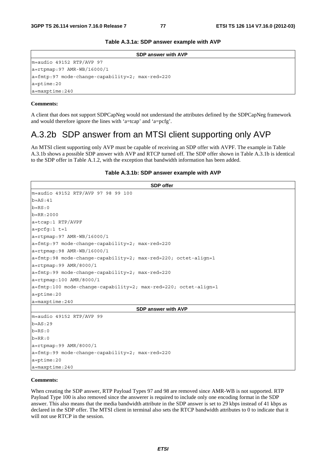**Table A.3.1a: SDP answer example with AVP** 

| <b>SDP answer with AVP</b>                         |
|----------------------------------------------------|
| m=audio 49152 RTP/AVP 97                           |
| $a = rtpmap: 97$ AMR-WB/16000/1                    |
| $ a=fmtp:97$ mode-change-capability=2; max-red=220 |
| $a = p$ time: 20                                   |
| $a = maxptime: 240$                                |

#### **Comments:**

A client that does not support SDPCapNeg would not understand the attributes defined by the SDPCapNeg framework and would therefore ignore the lines with 'a=tcap' and 'a=pcfg'.

### A.3.2b SDP answer from an MTSI client supporting only AVP

An MTSI client supporting only AVP must be capable of receiving an SDP offer with AVPF. The example in Table A.3.1b shows a possible SDP answer with AVP and RTCP turned off. The SDP offer shown in Table A.3.1b is identical to the SDP offer in Table A.1.2, with the exception that bandwidth information has been added.

| Table A.3.1b: SDP answer example with AVP |  |
|-------------------------------------------|--|
|-------------------------------------------|--|

```
SDP offer 
m=audio 49152 RTP/AVP 97 98 99 100 
b=AS:41b=RS:0b=RR:2000 
a=tcap:1 RTP/AVPF 
a=pcfg:1 t=1 
a=rtpmap:97 AMR-WB/16000/1 
a=fmtp:97 mode-change-capability=2; max-red=220 
a=rtpmap:98 AMR-WB/16000/1 
a=fmtp:98 mode-change-capability=2; max-red=220; octet-align=1 
a=rtpmap:99 AMR/8000/1 
a=fmtp:99 mode-change-capability=2; max-red=220 
a=rtpmap:100 AMR/8000/1 
a=fmtp:100 mode-change-capability=2; max-red=220; octet-align=1 
a=ptime:20 
a=maxptime:240 
                                     SDP answer with AVP 
m=audio 49152 RTP/AVP 99 
h-\Delta S.29b=RS:0b=RR:0a=rtpmap:99 AMR/8000/1 
a=fmtp:99 mode-change-capability=2; max-red=220 
a=ptime:20 
a=maxptime:240
```
### **Comments:**

When creating the SDP answer, RTP Payload Types 97 and 98 are removed since AMR-WB is not supported. RTP Payload Type 100 is also removed since the answerer is required to include only one encoding format in the SDP answer. This also means that the media bandwidth attribute in the SDP answer is set to 29 kbps instead of 41 kbps as declared in the SDP offer. The MTSI client in terminal also sets the RTCP bandwidth attributes to 0 to indicate that it will not use RTCP in the session.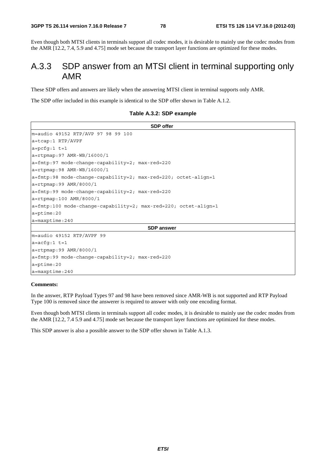Even though both MTSI clients in terminals support all codec modes, it is desirable to mainly use the codec modes from the AMR [12.2, 7.4, 5.9 and 4.75] mode set because the transport layer functions are optimized for these modes.

### A.3.3 SDP answer from an MTSI client in terminal supporting only AMR

These SDP offers and answers are likely when the answering MTSI client in terminal supports only AMR.

The SDP offer included in this example is identical to the SDP offer shown in Table A.1.2.

|  |  |  | Table A.3.2: SDP example |
|--|--|--|--------------------------|
|--|--|--|--------------------------|

**SDP offer**  m=audio 49152 RTP/AVP 97 98 99 100 a=tcap:1 RTP/AVPF a=pcfg:1 t=1 a=rtpmap:97 AMR-WB/16000/1 a=fmtp:97 mode-change-capability=2; max-red=220 a=rtpmap:98 AMR-WB/16000/1 a=fmtp:98 mode-change-capability=2; max-red=220; octet-align=1 a=rtpmap:99 AMR/8000/1 a=fmtp:99 mode-change-capability=2; max-red=220 a=rtpmap:100 AMR/8000/1 a=fmtp:100 mode-change-capability=2; max-red=220; octet-align=1 a=ptime:20 a=maxptime:240 **SDP answer**  m=audio 49152 RTP/AVPF 99 a=acfg:1 t=1 a=rtpmap:99 AMR/8000/1 a=fmtp:99 mode-change-capability=2; max-red=220 a=ptime:20 a=maxptime:240

### **Comments:**

In the answer, RTP Payload Types 97 and 98 have been removed since AMR-WB is not supported and RTP Payload Type 100 is removed since the answerer is required to answer with only one encoding format.

Even though both MTSI clients in terminals support all codec modes, it is desirable to mainly use the codec modes from the AMR [12.2, 7.4 5.9 and 4.75] mode set because the transport layer functions are optimized for these modes.

This SDP answer is also a possible answer to the SDP offer shown in Table A.1.3.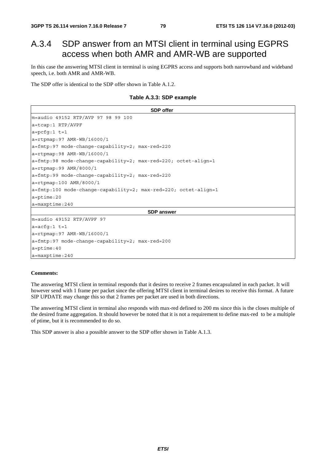## A.3.4 SDP answer from an MTSI client in terminal using EGPRS access when both AMR and AMR-WB are supported

In this case the answering MTSI client in terminal is using EGPRS access and supports both narrowband and wideband speech, i.e. both AMR and AMR-WB.

The SDP offer is identical to the SDP offer shown in Table A.1.2.

### **Table A.3.3: SDP example**

```
SDP offer 
m=audio 49152 RTP/AVP 97 98 99 100 
a=tcap:1 RTP/AVPF 
a = pcfq:1 t=1a=rtpmap:97 AMR-WB/16000/1 
a=fmtp:97 mode-change-capability=2; max-red=220 
a=rtpmap:98 AMR-WB/16000/1 
a=fmtp:98 mode-change-capability=2; max-red=220; octet-align=1 
a=rtpmap:99 AMR/8000/1 
a=fmtp:99 mode-change-capability=2; max-red=220 
a=rtpmap:100 AMR/8000/1 
a=fmtp:100 mode-change-capability=2; max-red=220; octet-align=1 
a=ptime:20 
a=maxptime:240
                                         SDP answer 
m=audio 49152 RTP/AVPF 97 
a=acfg:1 t=1 
a=rtpmap:97 AMR-WB/16000/1 
a=fmtp:97 mode-change-capability=2; max-red=200 
a=ptime:40 
a=maxptime:240
```
#### **Comments:**

The answering MTSI client in terminal responds that it desires to receive 2 frames encapsulated in each packet. It will however send with 1 frame per packet since the offering MTSI client in terminal desires to receive this format. A future SIP UPDATE may change this so that 2 frames per packet are used in both directions.

The answering MTSI client in terminal also responds with max-red defined to 200 ms since this is the closes multiple of the desired frame aggregation. It should however be noted that it is not a requirement to define max-red to be a multiple of ptime, but it is recommended to do so.

This SDP answer is also a possible answer to the SDP offer shown in Table A.1.3.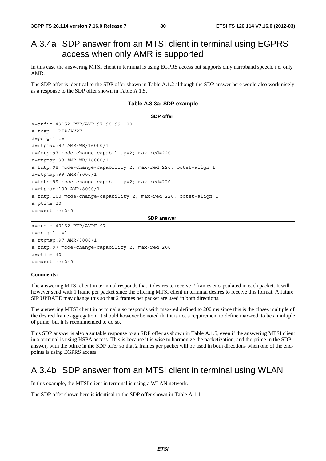# A.3.4a SDP answer from an MTSI client in terminal using EGPRS access when only AMR is supported

In this case the answering MTSI client in terminal is using EGPRS access but supports only narroband speech, i.e. only AMR.

The SDP offer is identical to the SDP offer shown in Table A.1.2 although the SDP answer here would also work nicely as a response to the SDP offer shown in Table A.1.5.

**Table A.3.3a: SDP example** 

| <b>SDP</b> offer                                               |
|----------------------------------------------------------------|
| m=audio 49152 RTP/AVP 97 98 99 100                             |
| $a = tcap:1$ RTP/AVPF                                          |
| $a = pcfq:1 t=1$                                               |
| $a = rtpmap: 97$ AMR-WB/16000/1                                |
| $a = \text{fmtp:97}$ mode-change-capability=2; max-red=220     |
| a=rtpmap:98 AMR-WB/16000/1                                     |
| a=fmtp:98 mode-change-capability=2; max-red=220; octet-align=1 |
| $a = r$ tpmap: 99 AMR/8000/1                                   |
| a=fmtp:99 mode-change-capability=2; max-red=220                |
| $a = r$ tpmap:100 AMR/8000/1                                   |
|                                                                |
| $a = p$ time: 20                                               |
| $a = maxptime: 240$                                            |
| <b>SDP</b> answer                                              |
| m=audio 49152 RTP/AVPF 97                                      |
| $a = acfq:1 t=1$                                               |
| $a = r$ tpmap: 97 AMR/8000/1                                   |
| $a = \text{fmtp:97}$ mode-change-capability=2; max-red=200     |
| $a = p$ time: 40                                               |
| $a = maxptime: 240$                                            |

### **Comments:**

The answering MTSI client in terminal responds that it desires to receive 2 frames encapsulated in each packet. It will however send with 1 frame per packet since the offering MTSI client in terminal desires to receive this format. A future SIP UPDATE may change this so that 2 frames per packet are used in both directions.

The answering MTSI client in terminal also responds with max-red defined to 200 ms since this is the closes multiple of the desired frame aggregation. It should however be noted that it is not a requirement to define max-red to be a multiple of ptime, but it is recommended to do so.

This SDP answer is also a suitable response to an SDP offer as shown in Table A.1.5, even if the answering MTSI client in a terminal is using HSPA access. This is because it is wise to harmonize the packetization, and the ptime in the SDP answer, with the ptime in the SDP offer so that 2 frames per packet will be used in both directions when one of the endpoints is using EGPRS access.

### A.3.4b SDP answer from an MTSI client in terminal using WLAN

In this example, the MTSI client in terminal is using a WLAN network.

The SDP offer shown here is identical to the SDP offer shown in Table A.1.1.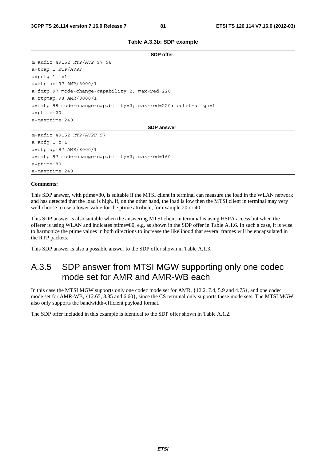| <b>SDP</b> offer                                                        |
|-------------------------------------------------------------------------|
| $m = audio 49152 RTP/AVP 97 98$                                         |
| a=tcap:1 RTP/AVPF                                                       |
| $a = pcfq:1 t=1$                                                        |
| a=rtpmap:97 AMR/8000/1                                                  |
| $a = \text{fmtp:97}$ mode-change-capability=2; max-red=220              |
| a=rtpmap:98 AMR/8000/1                                                  |
| $a = f m t p : 98$ mode-change-capability=2; max-red=220; octet-align=1 |
| $a = p$ time: 20                                                        |
| $a = maxptime: 240$                                                     |
| <b>SDP</b> answer                                                       |
| m=audio 49152 RTP/AVPF 97                                               |
| $a = acfq:1 t=1$                                                        |
| a=rtpmap:97 AMR/8000/1                                                  |
| $a = \text{fmtp:97}$ mode-change-capability=2; max-red=160              |
| $a = p$ time: 80                                                        |
| $a = maxptime: 240$                                                     |

#### **Comments:**

This SDP answer, with ptime=80, is suitable if the MTSI client in terminal can measure the load in the WLAN network and has detected that the load is high. If, on the other hand, the load is low then the MTSI client in terminal may very well choose to use a lower value for the ptime attribute, for example 20 or 40.

This SDP answer is also suitable when the answering MTSI client in terminal is using HSPA access but when the offerer is using WLAN and indicates ptime=80, e.g. as shown in the SDP offer in Table A.1.6. In such a case, it is wise to harmonize the ptime values in both directions to increase the likelihood that several frames will be encapsulated in the RTP packets.

This SDP answer is also a possible answer to the SDP offer shown in Table A.1.3.

### A.3.5 SDP answer from MTSI MGW supporting only one codec mode set for AMR and AMR-WB each

In this case the MTSI MGW supports only one codec mode set for AMR,  $\{12.2, 7.4, 5.9, \text{ and } 4.75\}$ , and one codec mode set for AMR-WB, {12.65, 8.85 and 6.60}, since the CS terminal only supports these mode sets. The MTSI MGW also only supports the bandwidth-efficient payload format.

The SDP offer included in this example is identical to the SDP offer shown in Table A.1.2.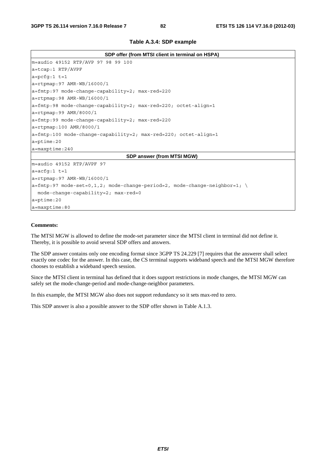| SDP offer (from MTSI client in terminal on HSPA)                                   |
|------------------------------------------------------------------------------------|
| m=audio 49152 RTP/AVP 97 98 99 100                                                 |
| a=tcap:1 RTP/AVPF                                                                  |
| $a = pcfq:1 t=1$                                                                   |
| $a = rtpmap: 97$ AMR-WB/16000/1                                                    |
| $a = \text{fmtp:97}$ mode-change-capability=2; max-red=220                         |
| $a = rtpmap: 98$ AMR-WB/16000/1                                                    |
| $a = f m t p : 98$ mode-change-capability=2; max-red=220; octet-align=1            |
| $a = r$ tpmap: 99 AMR/8000/1                                                       |
| a=fmtp:99 mode-change-capability=2; max-red=220                                    |
| $a = r$ tpmap:100 AMR/8000/1                                                       |
| a=fmtp:100 mode-change-capability=2; max-red=220; octet-align=1                    |
| $a = p$ time: 20                                                                   |
| $a = maxptime: 240$                                                                |
| SDP answer (from MTSI MGW)                                                         |
| m=audio 49152 RTP/AVPF 97                                                          |
| $a = acfq:1 t=1$                                                                   |
| $a = r$ tpmap: 97 AMR-WB/16000/1                                                   |
| $ a=fmtp:97 \mod e-set=0,1,2; \mod -change-period=2, \mod -change-neighbor=1; \n\$ |
| mode-change-capability=2; max-red=0                                                |
| $a = p$ time: 20                                                                   |
| a=maxptime:80                                                                      |

### **Comments:**

The MTSI MGW is allowed to define the mode-set parameter since the MTSI client in terminal did not define it. Thereby, it is possible to avoid several SDP offers and answers.

The SDP answer contains only one encoding format since 3GPP TS 24.229 [7] requires that the answerer shall select exactly one codec for the answer. In this case, the CS terminal supports wideband speech and the MTSI MGW therefore chooses to establish a wideband speech session.

Since the MTSI client in terminal has defined that it does support restrictions in mode changes, the MTSI MGW can safely set the mode-change-period and mode-change-neighbor parameters.

In this example, the MTSI MGW also does not support redundancy so it sets max-red to zero.

This SDP answer is also a possible answer to the SDP offer shown in Table A.1.3.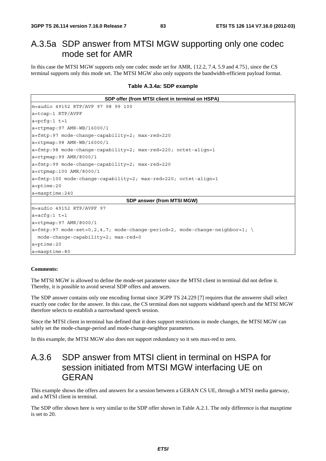### A.3.5a SDP answer from MTSI MGW supporting only one codec mode set for AMR

In this case the MTSI MGW supports only one codec mode set for AMR, {12.2, 7.4, 5.9 and 4.75}, since the CS terminal supports only this mode set. The MTSI MGW also only supports the bandwidth-efficient payload format.

**Table A.3.4a: SDP example** 

**SDP offer (from MTSI client in terminal on HSPA)**  m=audio 49152 RTP/AVP 97 98 99 100 a=tcap:1 RTP/AVPF a=pcfg:1 t=1 a=rtpmap:97 AMR-WB/16000/1 a=fmtp:97 mode-change-capability=2; max-red=220 a=rtpmap:98 AMR-WB/16000/1 a=fmtp:98 mode-change-capability=2; max-red=220; octet-align=1 a=rtpmap:99 AMR/8000/1 a=fmtp:99 mode-change-capability=2; max-red=220 a=rtpmap:100 AMR/8000/1 a=fmtp:100 mode-change-capability=2; max-red=220; octet-align=1 a=ptime:20 a=maxptime:240 **SDP answer (from MTSI MGW)**  m=audio 49152 RTP/AVPF 97 a=acfg:1 t=1 a=rtpmap:97 AMR/8000/1  $a=fmtp:97 \text{ mode-set}=0,2,4,7; \text{ mode-change-period}=2, \text{ mode-change-neighbor}=1; \setminus$  mode-change-capability=2; max-red=0 a=ptime:20 a=maxptime:80

#### **Comments:**

The MTSI MGW is allowed to define the mode-set parameter since the MTSI client in terminal did not define it. Thereby, it is possible to avoid several SDP offers and answers.

The SDP answer contains only one encoding format since 3GPP TS 24.229 [7] requires that the answerer shall select exactly one codec for the answer. In this case, the CS terminal does not supports wideband speech and the MTSI MGW therefore selects to establish a narrowband speech session.

Since the MTSI client in terminal has defined that it does support restrictions in mode changes, the MTSI MGW can safely set the mode-change-period and mode-change-neighbor parameters.

In this example, the MTSI MGW also does not support redundancy so it sets max-red to zero.

### A.3.6 SDP answer from MTSI client in terminal on HSPA for session initiated from MTSI MGW interfacing UE on GERAN

This example shows the offers and answers for a session between a GERAN CS UE, through a MTSI media gateway, and a MTSI client in terminal.

The SDP offer shown here is very similar to the SDP offer shown in Table A.2.1. The only difference is that maxptime is set to 20.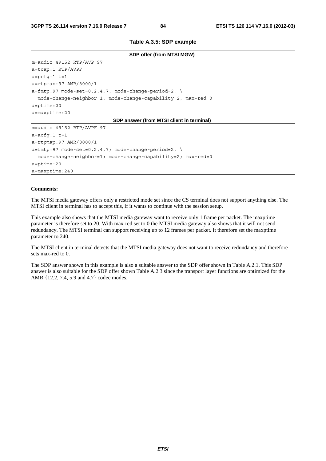**Table A.3.5: SDP example** 

| SDP offer (from MTSI MGW)                                        |
|------------------------------------------------------------------|
| $m = audio 49152 RTP/AVP 97$                                     |
| a=tcap:1 RTP/AVPF                                                |
| $a = pcfg:1 t=1$                                                 |
| $a = r$ tpmap: 97 AMR/8000/1                                     |
| $ a = \text{fmtp:} 97$ mode-set=0,2,4,7; mode-change-period=2, \ |
| mode-change-neighbor=1; mode-change-capability=2; max-red=0      |
| $a = p$ time: 20                                                 |
| $a = maxptime: 20$                                               |
| SDP answer (from MTSI client in terminal)                        |
| m=audio 49152 RTP/AVPF 97                                        |
| $a = acfq:1 t = 1$                                               |
| a=rtpmap: 97 AMR/8000/1                                          |
| $ a=fmtp:97$ mode-set=0,2,4,7; mode-change-period=2, $\setminus$ |
| $mode$ -change-neighbor=1; mode-change-capability=2; max-red=0   |
| $a = p$ time: 20                                                 |
| $a = maxptime: 240$                                              |

#### **Comments:**

The MTSI media gateway offers only a restricted mode set since the CS terminal does not support anything else. The MTSI client in terminal has to accept this, if it wants to continue with the session setup.

This example also shows that the MTSI media gateway want to receive only 1 frame per packet. The maxptime parameter is therefore set to 20. With max-red set to 0 the MTSI media gateway also shows that it will not send redundancy. The MTSI terminal can support receiving up to 12 frames per packet. It therefore set the maxptime parameter to 240.

The MTSI client in terminal detects that the MTSI media gateway does not want to receive redundancy and therefore sets max-red to 0.

The SDP answer shown in this example is also a suitable answer to the SDP offer shown in Table A.2.1. This SDP answer is also suitable for the SDP offer shown Table A.2.3 since the transport layer functions are optimized for the AMR {12.2, 7.4, 5.9 and 4.7} codec modes.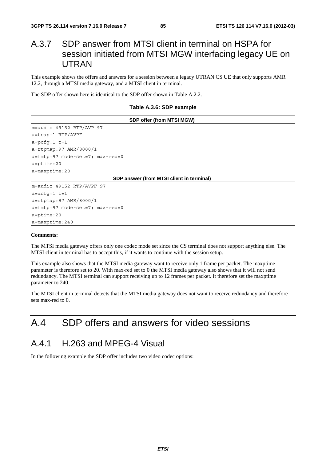### A.3.7 SDP answer from MTSI client in terminal on HSPA for session initiated from MTSI MGW interfacing legacy UE on UTRAN

This example shows the offers and answers for a session between a legacy UTRAN CS UE that only supports AMR 12.2, through a MTSI media gateway, and a MTSI client in terminal.

The SDP offer shown here is identical to the SDP offer shown in Table A.2.2.

#### **Table A.3.6: SDP example**

| SDP offer (from MTSI MGW)                                      |
|----------------------------------------------------------------|
| $m = audio 49152 RTP/AVP 97$                                   |
| $a = tcap:1$ RTP/AVPF                                          |
| $a = pcfq:1 t=1$                                               |
| $a = r$ tpmap: 97 AMR/8000/1                                   |
| $a = \text{fmtp: } 97 \text{ mode-set} = 7; \text{ max-red}=0$ |
| $a = p$ time: 20                                               |
| $a = maxptime: 20$                                             |
| SDP answer (from MTSI client in terminal)                      |
| m=audio 49152 RTP/AVPF 97                                      |
| $a = acfq:1 t=1$                                               |
| a=rtpmap:97 AMR/8000/1                                         |
| $a = \text{fmtp: } 97 \text{ mode-set} = 7; \text{ max-red}=0$ |
| $a = p$ time: 20                                               |
| $a = maxptime: 240$                                            |

#### **Comments:**

The MTSI media gateway offers only one codec mode set since the CS terminal does not support anything else. The MTSI client in terminal has to accept this, if it wants to continue with the session setup.

This example also shows that the MTSI media gateway want to receive only 1 frame per packet. The maxptime parameter is therefore set to 20. With max-red set to 0 the MTSI media gateway also shows that it will not send redundancy. The MTSI terminal can support receiving up to 12 frames per packet. It therefore set the maxptime parameter to 240.

The MTSI client in terminal detects that the MTSI media gateway does not want to receive redundancy and therefore sets max-red to 0.

# A.4 SDP offers and answers for video sessions

### A.4.1 H.263 and MPEG-4 Visual

In the following example the SDP offer includes two video codec options: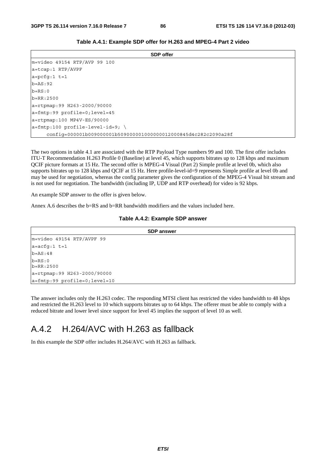| <b>SDP</b> offer                                                |
|-----------------------------------------------------------------|
| $m =$ video 49154 RTP/AVP 99 100                                |
| $a = tcap:1$ RTP/AVPF                                           |
| $a = pcfq:1 t=1$                                                |
| $b = AS: 92$                                                    |
| $b = RS: 0$                                                     |
| $b = RR: 2500$                                                  |
| a=rtpmap:99 H263-2000/90000                                     |
| a=fmtp:99 profile=0;level=45                                    |
| $a = r$ tpmap:100 MP4V-ES/90000                                 |
| $a = f m t p: 100$ profile-level-id=9; \                        |
| config=000001b009000001b509000001000000012000845d4c282c2090a28f |

|  |  | Table A.4.1: Example SDP offer for H.263 and MPEG-4 Part 2 video |  |
|--|--|------------------------------------------------------------------|--|
|--|--|------------------------------------------------------------------|--|

The two options in table 4.1 are associated with the RTP Payload Type numbers 99 and 100. The first offer includes ITU-T Recommendation H.263 Profile 0 (Baseline) at level 45, which supports bitrates up to 128 kbps and maximum QCIF picture formats at 15 Hz. The second offer is MPEG-4 Visual (Part 2) Simple profile at level 0b, which also supports bitrates up to 128 kbps and QCIF at 15 Hz. Here profile-level-id=9 represents Simple profile at level 0b and may be used for negotiation, whereas the config parameter gives the configuration of the MPEG-4 Visual bit stream and is not used for negotiation. The bandwidth (including IP, UDP and RTP overhead) for video is 92 kbps.

An example SDP answer to the offer is given below.

Annex A.6 describes the b=RS and b=RR bandwidth modifiers and the values included here.

### **Table A.4.2: Example SDP answer**

| <b>SDP answer</b>            |  |
|------------------------------|--|
| m=video 49154 RTP/AVPF 99    |  |
| $a = acfg:1 t=1$             |  |
| $b = AS:48$                  |  |
| $b = RS:0$<br>$b = RR: 2500$ |  |
| a=rtpmap:99 H263-2000/90000  |  |
| a=fmtp:99 profile=0;level=10 |  |

The answer includes only the H.263 codec. The responding MTSI client has restricted the video bandwidth to 48 kbps and restricted the H.263 level to 10 which supports bitrates up to 64 kbps. The offerer must be able to comply with a reduced bitrate and lower level since support for level 45 implies the support of level 10 as well.

### A.4.2 H.264/AVC with H.263 as fallback

In this example the SDP offer includes H.264/AVC with H.263 as fallback.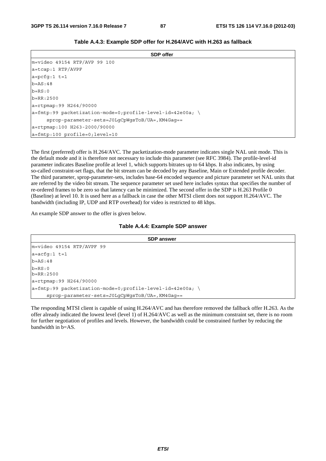| <b>SDP</b> offer                                          |
|-----------------------------------------------------------|
| $m =$ video 49154 RTP/AVP 99 100                          |
| a=tcap:1 RTP/AVPF                                         |
| $a = pcfq:1 t=1$                                          |
| $b = AS : 48$                                             |
| $b = RS: 0$                                               |
| $b = RR: 2500$                                            |
| $a = r$ tpmap: 99 H264/90000                              |
| a=fmtp:99 packetization-mode=0;profile-level-id=42e00a; \ |
| sprop-parameter-sets=J0LqCpWqsToB/UA=, KM4Gaq==           |
| a=rtpmap:100 H263-2000/90000                              |
| a=fmtp:100 profile=0;level=10                             |

**Table A.4.3: Example SDP offer for H.264/AVC with H.263 as fallback** 

The first (preferred) offer is H.264/AVC. The packetization-mode parameter indicates single NAL unit mode. This is the default mode and it is therefore not necessary to include this parameter (see RFC 3984). The profile-level-id parameter indicates Baseline profile at level 1, which supports bitrates up to 64 kbps. It also indicates, by using so-called constraint-set flags, that the bit stream can be decoded by any Baseline, Main or Extended profile decoder. The third parameter, sprop-parameter-sets, includes base-64 encoded sequence and picture parameter set NAL units that are referred by the video bit stream. The sequence parameter set used here includes syntax that specifies the number of re-ordered frames to be zero so that latency can be minimized. The second offer in the SDP is H.263 Profile 0 (Baseline) at level 10. It is used here as a fallback in case the other MTSI client does not support H.264/AVC. The bandwidth (including IP, UDP and RTP overhead) for video is restricted to 48 kbps.

An example SDP answer to the offer is given below.

### **Table A.4.4: Example SDP answer**

| <b>SDP answer</b>                                         |  |
|-----------------------------------------------------------|--|
| m=video 49154 RTP/AVPF 99                                 |  |
| $a = acfq:1 t = 1$                                        |  |
| $b = AS:48$                                               |  |
| $b = RS: 0$<br>$b = RR: 2500$                             |  |
| a=rtpmap:99 H264/90000                                    |  |
| a=fmtp:99 packetization-mode=0;profile-level-id=42e00a; \ |  |
| sprop-parameter-sets=J0LgCpWgsToB/UA=, KM4Gaq==           |  |

The responding MTSI client is capable of using H.264/AVC and has therefore removed the fallback offer H.263. As the offer already indicated the lowest level (level 1) of H.264/AVC as well as the minimum constraint set, there is no room for further negotiation of profiles and levels. However, the bandwidth could be constrained further by reducing the bandwidth in b=AS.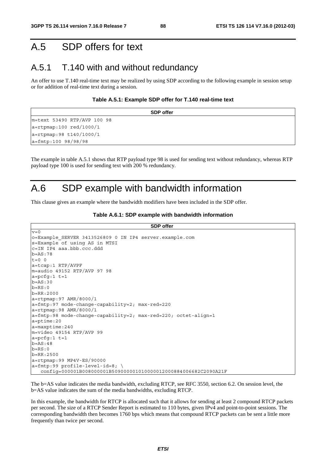## A.5 SDP offers for text

### A.5.1 T.140 with and without redundancy

An offer to use T.140 real-time text may be realized by using SDP according to the following example in session setup or for addition of real-time text during a session.

#### **Table A.5.1: Example SDP offer for T.140 real-time text**

| <b>SDP</b> offer              |
|-------------------------------|
| m=text 53490 RTP/AVP 100 98   |
| $a = r$ tpmap:100 red/1000/1  |
| $a = r$ tpmap: 98 t140/1000/1 |
| $a = f m t p: 100 98/98/98$   |

The example in table A.5.1 shows that RTP payload type 98 is used for sending text without redundancy, whereas RTP payload type 100 is used for sending text with 200 % redundancy.

### A.6 SDP example with bandwidth information

This clause gives an example where the bandwidth modifiers have been included in the SDP offer.

#### **Table A.6.1: SDP example with bandwidth information**

```
SDP offer
v=0o=Example_SERVER 3413526809 0 IN IP4 server.example.com 
s=Example of using AS in MTSI 
c=IN IP4 aaa.bbb.ccc.ddd 
b=AS:78 
t=0 0
a=tcap:1 RTP/AVPF 
m=audio 49152 RTP/AVP 97 98 
a=pcfg:1 t=1 
b=AS:30b=RS:0b=RR:2000 
a=rtpmap:97 AMR/8000/1 
a=fmtp:97 mode-change-capability=2; max-red=220 
a=rtpmap:98 AMR/8000/1 
a=fmtp:98 mode-change-capability=2; max-red=220; octet-align=1 
a=ptime:20 
a=maxptime:240 
m=video 49154 RTP/AVP 99 
a = pcfg:1 t=1b=AS:48b=RS:0b=RR:2500 
a=rtpmap:99 MP4V-ES/90000 
a=fmtp:99 profile-level-id=8; \ 
    config=000001B008000001B509000001010000012000884006682C2090A21F
```
The b=AS value indicates the media bandwidth, excluding RTCP, see RFC 3550, section 6.2. On session level, the b=AS value indicates the sum of the media bandwidths, excluding RTCP.

In this example, the bandwidth for RTCP is allocated such that it allows for sending at least 2 compound RTCP packets per second. The size of a RTCP Sender Report is estimated to 110 bytes, given IPv4 and point-to-point sessions. The corresponding bandwidth then becomes 1760 bps which means that compound RTCP packets can be sent a little more frequently than twice per second.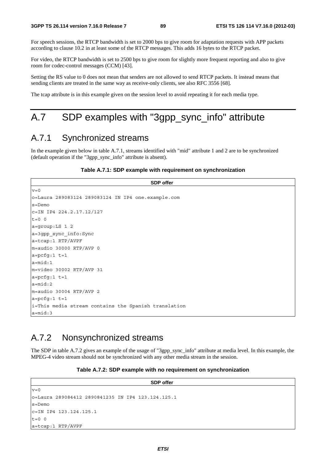For speech sessions, the RTCP bandwidth is set to 2000 bps to give room for adaptation requests with APP packets according to clause 10.2 in at least some of the RTCP messages. This adds 16 bytes to the RTCP packet.

For video, the RTCP bandwidth is set to 2500 bps to give room for slightly more frequent reporting and also to give room for codec-control messages (CCM) [43].

Setting the RS value to 0 does not mean that senders are not allowed to send RTCP packets. It instead means that sending clients are treated in the same way as receive-only clients, see also RFC 3556 [68].

The tcap attribute is in this example given on the session level to avoid repeating it for each media type.

## A.7 SDP examples with "3gpp\_sync\_info" attribute

### A.7.1 Synchronized streams

In the example given below in table A.7.1, streams identified with "mid" attribute 1 and 2 are to be synchronized (default operation if the "3gpp\_sync\_info" attribute is absent).

#### **Table A.7.1: SDP example with requirement on synchronization**

```
SDP offer 
\overline{v} = 0
o=Laura 289083124 289083124 IN IP4 one.example.com 
s=Demo 
c=IN IP4 224.2.17.12/127 
t=0 0
a=group:LS 1 2 
a=3gpp_sync_info:Sync 
a=tcap:1 RTP/AVPF 
m=audio 30000 RTP/AVP 0 
a = pcfq:1 t=1a=mid:1 
m=video 30002 RTP/AVP 31 
a = pcfq:1 t=1a=mid:2 
m=audio 30004 RTP/AVP 2 
a = pcfq:1 t=1i=This media stream contains the Spanish translation 
a=mid:3
```
### A.7.2 Nonsynchronized streams

The SDP in table A.7.2 gives an example of the usage of "3gpp\_sync\_info" attribute at media level. In this example, the MPEG-4 video stream should not be synchronized with any other media stream in the session.

**Table A.7.2: SDP example with no requirement on synchronization** 

```
SDP offer 
v=0o=Laura 289084412 2890841235 IN IP4 123.124.125.1 
s=Demo 
c=IN IP4 123.124.125.1 
t=0 0
a=tcap:1 RTP/AVPF
```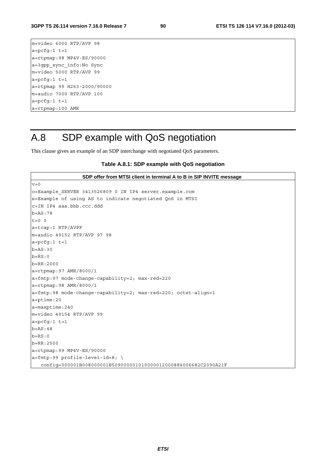m=video 6000 RTP/AVP 98  $a = pcfg:1 t=1$ a=rtpmap:98 MP4V-ES/90000 a=3gpp\_sync\_info:No Sync m=video 5000 RTP/AVP 99  $a = pcfg:1 t=1$ a=rtpmap 99 H263-2000/90000 m=audio 7000 RTP/AVP 100  $a = pcfg:1 t=1$ a=rtpmap:100 AMR

# A.8 SDP example with QoS negotiation

This clause gives an example of an SDP interchange with negotiated QoS parameters.

### **Table A.8.1: SDP example with QoS negotiation**

| SDP offer from MTSI client in terminal A to B in SIP INVITE message |
|---------------------------------------------------------------------|
| $v = 0$                                                             |
| o=Example SERVER 3413526809 0 IN IP4 server.example.com             |
| s=Example of using AS to indicate negotiated QoS in MTSI            |
| $c=IN$ IP4 aaa.bbb.ccc.ddd                                          |
| $b = AS:78$                                                         |
| $t=0$ 0                                                             |
| $a = tcap: 1$ RTP/AVPF                                              |
| $m = audio 49152 RTP/AVP 97 98$                                     |
| $a = pcfq:1$ t=1                                                    |
| $b = AS:30$                                                         |
| $b = RS:0$                                                          |
| $b = RR: 2000$                                                      |
| $a = r$ tpmap: 97 AMR/8000/1                                        |
| a=fmtp:97 mode-change-capability=2; max-red=220                     |
| $a = r$ tpmap: 98 AMR/8000/1                                        |
| a=fmtp:98 mode-change-capability=2; max-red=220; octet-align=1      |
| a=ptime:20                                                          |
| $a = maxptime: 240$                                                 |
| m=video 49154 RTP/AVP 99                                            |
| $a = pcfq:1 t=1$                                                    |
| $b = AS: 48$                                                        |
| $b = RS: 0$                                                         |
| $b = RR: 2500$                                                      |
| a=rtpmap:99 MP4V-ES/90000                                           |
| $a = \text{fmtp:99 profile-level-id=8; }$                           |
| config=000001B008000001B509000001010000012000884006682C2090A21F     |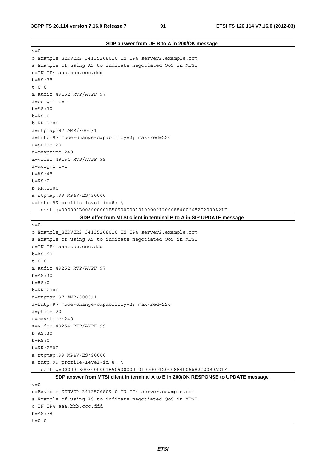| SDP answer from UE B to A in 200/OK message                                         |
|-------------------------------------------------------------------------------------|
| $v = 0$                                                                             |
| o=Example SERVER2 34135268010 IN IP4 server2.example.com                            |
| s=Example of using AS to indicate negotiated QoS in MTSI                            |
| c=IN IP4 aaa.bbb.ccc.ddd                                                            |
| $b = AS : 78$                                                                       |
| $t=0$ 0                                                                             |
| m=audio 49152 RTP/AVPF 97                                                           |
| $a = pcfg:1 t=1$                                                                    |
| $b = AS:30$                                                                         |
| $b = RS:0$                                                                          |
| $b = RR: 2000$                                                                      |
| a=rtpmap: 97 AMR/8000/1                                                             |
| a=fmtp:97 mode-change-capability=2; max-red=220                                     |
| a=ptime:20                                                                          |
| $a = maxptime: 240$                                                                 |
| m=video 49154 RTP/AVPF 99                                                           |
| $a = acfg:1 t=1$                                                                    |
| $b = AS:48$                                                                         |
| $b = RS:0$                                                                          |
| $b = RR: 2500$                                                                      |
| a=rtpmap:99 MP4V-ES/90000                                                           |
| $a = f m t p: 99$ profile-level-id=8; \                                             |
| config=000001B008000001B509000001010000012000884006682C2090A21F                     |
| SDP offer from MTSI client in terminal B to A in SIP UPDATE message                 |
| $v = 0$                                                                             |
| o=Example_SERVER2 34135268010 IN IP4 server2.example.com                            |
| s=Example of using AS to indicate negotiated QoS in MTSI                            |
| c=IN IP4 aaa.bbb.ccc.ddd                                                            |
| $b = AS:60$                                                                         |
| $t=0$ 0                                                                             |
| m=audio 49252 RTP/AVPF 97                                                           |
| $b = AS:30$                                                                         |
| $b = RS:0$                                                                          |
| $b = RR: 2000$                                                                      |
| a=rtpmap: 97 AMR/8000/1                                                             |
| a=fmtp:97 mode-change-capability=2; max-red=220                                     |
| $a = p$ time: 20                                                                    |
| $a = maxptime: 240$                                                                 |
| m=video 49254 RTP/AVPF 99                                                           |
| $b = AS:30$                                                                         |
| $b = RS:0$                                                                          |
| $b = RR: 2500$                                                                      |
| a=rtpmap:99 MP4V-ES/90000                                                           |
| $a = f m t p : 99$ profile-level-id=8; \                                            |
| config=000001B008000001B509000001010000012000884006682C2090A21F                     |
| SDP answer from MTSI client in terminal A to B in 200/OK RESPONSE to UPDATE message |
| $v = 0$                                                                             |
| o=Example_SERVER 3413526809 0 IN IP4 server.example.com                             |
| s=Example of using AS to indicate negotiated QoS in MTSI                            |
| c=IN IP4 aaa.bbb.ccc.ddd                                                            |
| $b = AS:78$                                                                         |
| $t=0$ 0                                                                             |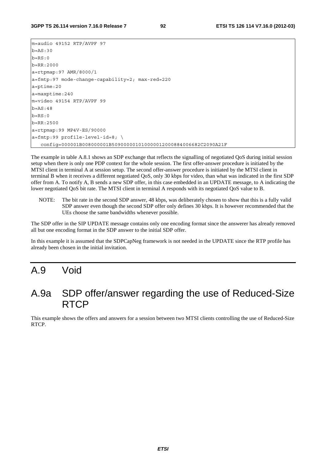m=audio 49152 RTP/AVPF 97 b=AS:30  $b=RS:0$ b=RR:2000 a=rtpmap:97 AMR/8000/1 a=fmtp:97 mode-change-capability=2; max-red=220 a=ptime:20 a=maxptime:240 m=video 49154 RTP/AVPF 99 b=AS:48  $b=RS:0$ b=RR:2500 a=rtpmap:99 MP4V-ES/90000  $a=f$ mtp:99 profile-level-id=8; \ config=000001B008000001B509000001010000012000884006682C2090A21F

The example in table A.8.1 shows an SDP exchange that reflects the signalling of negotiated QoS during initial session setup when there is only one PDP context for the whole session. The first offer-answer procedure is initiated by the MTSI client in terminal A at session setup. The second offer-answer procedure is initiated by the MTSI client in terminal B when it receives a different negotiated QoS, only 30 kbps for video, than what was indicated in the first SDP offer from A. To notify A, B sends a new SDP offer, in this case embedded in an UPDATE message, to A indicating the lower negotiated QoS bit rate. The MTSI client in terminal A responds with its negotiated QoS value to B.

NOTE: The bit rate in the second SDP answer, 48 kbps, was deliberately chosen to show that this is a fully valid SDP answer even though the second SDP offer only defines 30 kbps. It is however recommended that the UEs choose the same bandwidths whenever possible.

The SDP offer in the SIP UPDATE message contains only one encoding format since the answerer has already removed all but one encoding format in the SDP answer to the initial SDP offer.

In this example it is assumed that the SDPCapNeg framework is not needed in the UPDATE since the RTP profile has already been chosen in the initial invitation.

## A.9 Void

## A.9a SDP offer/answer regarding the use of Reduced-Size RTCP

This example shows the offers and answers for a session between two MTSI clients controlling the use of Reduced-Size RTCP.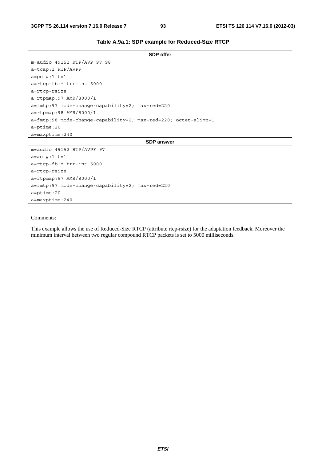| Table A.9a.1: SDP example for Reduced-Size RTCP |  |  |  |
|-------------------------------------------------|--|--|--|
|-------------------------------------------------|--|--|--|

| m=audio 49152 RTP/AVP 97 98<br>a=tcap:1 RTP/AVPF<br>$a = pcfq:1 t=1$<br>a=rtcp-fb:* trr-int 5000<br>a=rtcp-rsize<br>$a = r$ tpmap: 97 AMR/8000/1<br>a=fmtp:97 mode-change-capability=2; max-red=220<br>a=rtpmap:98 AMR/8000/1<br>$a = f m t p : 98$ mode-change-capability=2; max-red=220; octet-align=1<br>$a = p$ time: 20<br>$a = maxptime: 240$<br><b>SDP</b> answer<br>m=audio 49152 RTP/AVPF 97<br>$a = acfg:1 t = 1$<br>a=rtcp-fb:* trr-int 5000<br>a=rtcp-rsize<br>a=rtpmap:97 AMR/8000/1<br>a=fmtp:97 mode-change-capability=2; max-red=220 | <b>SDP</b> offer |
|------------------------------------------------------------------------------------------------------------------------------------------------------------------------------------------------------------------------------------------------------------------------------------------------------------------------------------------------------------------------------------------------------------------------------------------------------------------------------------------------------------------------------------------------------|------------------|
|                                                                                                                                                                                                                                                                                                                                                                                                                                                                                                                                                      |                  |
|                                                                                                                                                                                                                                                                                                                                                                                                                                                                                                                                                      |                  |
|                                                                                                                                                                                                                                                                                                                                                                                                                                                                                                                                                      |                  |
|                                                                                                                                                                                                                                                                                                                                                                                                                                                                                                                                                      |                  |
|                                                                                                                                                                                                                                                                                                                                                                                                                                                                                                                                                      |                  |
|                                                                                                                                                                                                                                                                                                                                                                                                                                                                                                                                                      |                  |
|                                                                                                                                                                                                                                                                                                                                                                                                                                                                                                                                                      |                  |
|                                                                                                                                                                                                                                                                                                                                                                                                                                                                                                                                                      |                  |
|                                                                                                                                                                                                                                                                                                                                                                                                                                                                                                                                                      |                  |
|                                                                                                                                                                                                                                                                                                                                                                                                                                                                                                                                                      |                  |
|                                                                                                                                                                                                                                                                                                                                                                                                                                                                                                                                                      |                  |
|                                                                                                                                                                                                                                                                                                                                                                                                                                                                                                                                                      |                  |
|                                                                                                                                                                                                                                                                                                                                                                                                                                                                                                                                                      |                  |
|                                                                                                                                                                                                                                                                                                                                                                                                                                                                                                                                                      |                  |
|                                                                                                                                                                                                                                                                                                                                                                                                                                                                                                                                                      |                  |
|                                                                                                                                                                                                                                                                                                                                                                                                                                                                                                                                                      |                  |
|                                                                                                                                                                                                                                                                                                                                                                                                                                                                                                                                                      |                  |
|                                                                                                                                                                                                                                                                                                                                                                                                                                                                                                                                                      |                  |
| $a = p$ time: 20                                                                                                                                                                                                                                                                                                                                                                                                                                                                                                                                     |                  |
| $a = maxptime: 240$                                                                                                                                                                                                                                                                                                                                                                                                                                                                                                                                  |                  |

#### Comments:

This example allows the use of Reduced-Size RTCP (attribute rtcp-rsize) for the adaptation feedback. Moreover the minimum interval between two regular compound RTCP packets is set to 5000 milliseconds.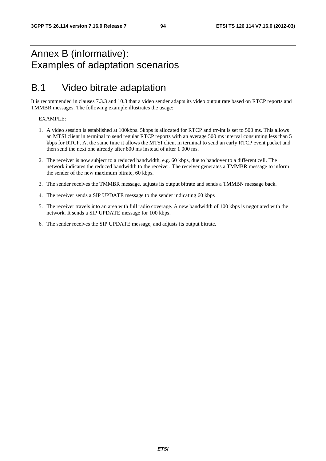# Annex B (informative): Examples of adaptation scenarios

# B.1 Video bitrate adaptation

It is recommended in clauses 7.3.3 and 10.3 that a video sender adapts its video output rate based on RTCP reports and TMMBR messages. The following example illustrates the usage:

### EXAMPLE:

- 1. A video session is established at 100kbps. 5kbps is allocated for RTCP and trr-int is set to 500 ms. This allows an MTSI client in terminal to send regular RTCP reports with an average 500 ms interval consuming less than 5 kbps for RTCP. At the same time it allows the MTSI client in terminal to send an early RTCP event packet and then send the next one already after 800 ms instead of after 1 000 ms.
- 2. The receiver is now subject to a reduced bandwidth, e.g. 60 kbps, due to handover to a different cell. The network indicates the reduced bandwidth to the receiver. The receiver generates a TMMBR message to inform the sender of the new maximum bitrate, 60 kbps.
- 3. The sender receives the TMMBR message, adjusts its output bitrate and sends a TMMBN message back.
- 4. The receiver sends a SIP UPDATE message to the sender indicating 60 kbps
- 5. The receiver travels into an area with full radio coverage. A new bandwidth of 100 kbps is negotiated with the network. It sends a SIP UPDATE message for 100 kbps.
- 6. The sender receives the SIP UPDATE message, and adjusts its output bitrate.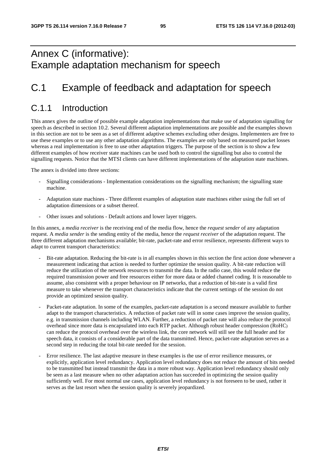# Annex C (informative): Example adaptation mechanism for speech

# C.1 Example of feedback and adaptation for speech

### C.1.1 Introduction

This annex gives the outline of possible example adaptation implementations that make use of adaptation signalling for speech as described in section 10.2. Several different adaptation implementations are possible and the examples shown in this section are not to be seen as a set of different adaptive schemes excluding other designs. Implementers are free to use these examples or to use any other adaptation algorithms. The examples are only based on measured packet losses whereas a real implementation is free to use other adaptation triggers. The purpose of the section is to show a few different examples of how receiver state machines can be used both to control the signalling but also to control the signalling requests. Notice that the MTSI clients can have different implementations of the adaptation state machines.

The annex is divided into three sections:

- Signalling considerations Implementation considerations on the signalling mechanism; the signalling state machine.
- Adaptation state machines Three different examples of adaptation state machines either using the full set of adaptation dimensions or a subset thereof.
- Other issues and solutions Default actions and lower layer triggers.

In this annex, a *media receiver* is the receiving end of the media flow, hence the *request sender* of any adaptation request. A *media sender* is the sending entity of the media, hence the *request receiver* of the adaptation request. The three different adaptation mechanisms available; bit-rate, packet-rate and error resilience, represents different ways to adapt to current transport characteristics:

- Bit-rate adaptation. Reducing the bit-rate is in all examples shown in this section the first action done whenever a measurement indicating that action is needed to further optimize the session quality. A bit-rate reduction will reduce the utilization of the network resources to transmit the data. In the radio case, this would reduce the required transmission power and free resources either for more data or added channel coding. It is reasonable to assume, also consistent with a proper behaviour on IP networks, that a reduction of bit-rate is a valid first measure to take whenever the transport characteristics indicate that the current settings of the session do not provide an optimized session quality.
- Packet-rate adaptation. In some of the examples, packet-rate adaptation is a second measure available to further adapt to the transport characteristics. A reduction of packet rate will in some cases improve the session quality, e.g. in transmission channels including WLAN. Further, a reduction of packet rate will also reduce the protocol overhead since more data is encapsulated into each RTP packet. Although robust header compression (RoHC) can reduce the protocol overhead over the wireless link, the core network will still see the full header and for speech data, it consists of a considerable part of the data transmitted. Hence, packet-rate adaptation serves as a second step in reducing the total bit-rate needed for the session.
- Error resilience. The last adaptive measure in these examples is the use of error resilience measures, or explicitly, application level redundancy. Application level redundancy does not reduce the amount of bits needed to be transmitted but instead transmit the data in a more robust way. Application level redundancy should only be seen as a last measure when no other adaptation action has succeeded in optimizing the session quality sufficiently well. For most normal use cases, application level redundancy is not foreseen to be used, rather it serves as the last resort when the session quality is severely jeopardized.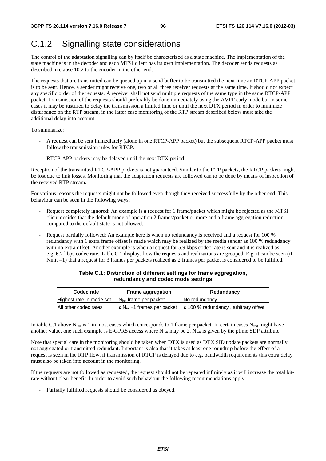# C.1.2 Signalling state considerations

The control of the adaptation signalling can by itself be characterized as a state machine. The implementation of the state machine is in the decoder and each MTSI client has its own implementation. The decoder sends requests as described in clause 10.2 to the encoder in the other end.

The requests that are transmitted can be queued up in a send buffer to be transmitted the next time an RTCP-APP packet is to be sent. Hence, a sender might receive one, two or all three receiver requests at the same time. It should not expect any specific order of the requests. A receiver shall not send multiple requests of the same type in the same RTCP-APP packet. Transmission of the requests should preferably be done immediately using the AVPF early mode but in some cases it may be justified to delay the transmission a limited time or until the next DTX period in order to minimize disturbance on the RTP stream, in the latter case monitoring of the RTP stream described below must take the additional delay into account.

To summarize:

- A request can be sent immediately (alone in one RTCP-APP packet) but the subsequent RTCP-APP packet must follow the transmission rules for RTCP.
- RTCP-APP packets may be delayed until the next DTX period.

Reception of the transmitted RTCP-APP packets is not guaranteed. Similar to the RTP packets, the RTCP packets might be lost due to link losses. Monitoring that the adaptation requests are followed can to be done by means of inspection of the received RTP stream.

For various reasons the requests might not be followed even though they received successfully by the other end. This behaviour can be seen in the following ways:

- Request completely ignored: An example is a request for 1 frame/packet which might be rejected as the MTSI client decides that the default mode of operation 2 frames/packet or more and a frame aggregation reduction compared to the default state is not allowed.
- Request partially followed: An example here is when no redundancy is received and a request for 100 % redundancy with 1 extra frame offset is made which may be realized by the media sender as 100 % redundancy with no extra offset. Another example is when a request for 5.9 kbps codec rate is sent and it is realized as e.g. 6.7 kbps codec rate. Table C.1 displays how the requests and realizations are grouped. E.g. it can be seen (if Ninit =1) that a request for 3 frames per packets realized as 2 frames per packet is considered to be fulfilled.

| Codec rate               | <b>Frame aggregation</b>            | Redundancy                                |
|--------------------------|-------------------------------------|-------------------------------------------|
| Highest rate in mode set | $N_{init}$ frame per packet         | No redundancy                             |
| All other codec rates    | $\geq N_{init}+1$ frames per packet | $\geq$ 100 % redundancy, arbitrary offset |

### **Table C.1: Distinction of different settings for frame aggregation, redundancy and codec mode settings**

In table C.1 above N<sub>init</sub> is 1 in most cases which corresponds to 1 frame per packet. In certain cases N<sub>init</sub> might have another value, one such example is E-GPRS access where  $N_{init}$  may be 2.  $N_{init}$  is given by the ptime SDP attribute.

Note that special care in the monitoring should be taken when DTX is used as DTX SID update packets are normally not aggregated or transmitted redundant. Important is also that it takes at least one roundtrip before the effect of a request is seen in the RTP flow, if transmission of RTCP is delayed due to e.g. bandwidth requirements this extra delay must also be taken into account in the monitoring.

If the requests are not followed as requested, the request should not be repeated infinitely as it will increase the total bitrate without clear benefit. In order to avoid such behaviour the following recommendations apply:

Partially fulfilled requests should be considered as obeyed.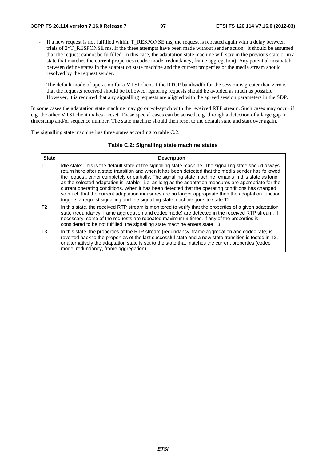- If a new request is not fulfilled within T\_RESPONSE ms, the request is repeated again with a delay between trials of 2\*T\_RESPONSE ms. If the three attempts have been made without sender action, it should be assumed that the request cannot be fulfilled. In this case, the adaptation state machine will stay in the previous state or in a state that matches the current properties (codec mode, redundancy, frame aggregation). Any potential mismatch between define states in the adaptation state machine and the current properties of the media stream should resolved by the request sender.
- The default mode of operation for a MTSI client if the RTCP bandwidth for the session is greater than zero is that the requests received should be followed. Ignoring requests should be avoided as much as possible. However, it is required that any signalling requests are aligned with the agreed session parameters in the SDP.

In some cases the adaptation state machine may go out-of-synch with the received RTP stream. Such cases may occur if e.g. the other MTSI client makes a reset. These special cases can be sensed, e.g. through a detection of a large gap in timestamp and/or sequence number. The state machine should then reset to the default state and start over again.

The signalling state machine has three states according to table C.2.

### **Table C.2: Signalling state machine states**

| <b>State</b>   | <b>Description</b>                                                                                                                                                                                                                                                                                                                                                                                                                                                                                                                                                                                                                                                                                                                       |
|----------------|------------------------------------------------------------------------------------------------------------------------------------------------------------------------------------------------------------------------------------------------------------------------------------------------------------------------------------------------------------------------------------------------------------------------------------------------------------------------------------------------------------------------------------------------------------------------------------------------------------------------------------------------------------------------------------------------------------------------------------------|
| T1             | Idle state: This is the default state of the signalling state machine. The signalling state should always<br>return here after a state transition and when it has been detected that the media sender has followed<br>the request, either completely or partially. The signalling state machine remains in this state as long<br>as the selected adaptation is "stable", i.e. as long as the adaptation measures are appropriate for the<br>current operating conditions. When it has been detected that the operating conditions has changed<br>so much that the current adaptation measures are no longer appropriate then the adaptation function<br>triggers a request signalling and the signalling state machine goes to state T2. |
| T <sub>2</sub> | In this state, the received RTP stream is monitored to verify that the properties of a given adaptation<br>state (redundancy, frame aggregation and codec mode) are detected in the received RTP stream. If<br>necessary, some of the requests are repeated maximum 3 times. If any of the properties is<br>considered to be not fulfilled, the signalling state machine enters state T3.                                                                                                                                                                                                                                                                                                                                                |
| T <sub>3</sub> | In this state, the properties of the RTP stream (redundancy, frame aggregation and codec rate) is<br>reverted back to the properties of the last successful state and a new state transition is tested in T2,<br>or alternatively the adaptation state is set to the state that matches the current properties (codec<br>mode, redundancy, frame aggregation).                                                                                                                                                                                                                                                                                                                                                                           |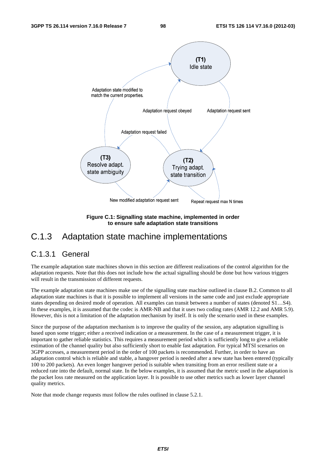

**Figure C.1: Signalling state machine, implemented in order to ensure safe adaptation state transitions** 

### C.1.3 Adaptation state machine implementations

### C.1.3.1 General

The example adaptation state machines shown in this section are different realizations of the control algorithm for the adaptation requests. Note that this does not include how the actual signalling should be done but how various triggers will result in the transmission of different requests.

The example adaptation state machines make use of the signalling state machine outlined in clause B.2. Common to all adaptation state machines is that it is possible to implement all versions in the same code and just exclude appropriate states depending on desired mode of operation. All examples can transit between a number of states (denoted S1…S4). In these examples, it is assumed that the codec is AMR-NB and that it uses two coding rates (AMR 12.2 and AMR 5.9). However, this is not a limitation of the adaptation mechanism by itself. It is only the scenario used in these examples.

Since the purpose of the adaptation mechanism is to improve the quality of the session, any adaptation signalling is based upon some trigger; either a received indication or a measurement. In the case of a measurement trigger, it is important to gather reliable statistics. This requires a measurement period which is sufficiently long to give a reliable estimation of the channel quality but also sufficiently short to enable fast adaptation. For typical MTSI scenarios on 3GPP accesses, a measurement period in the order of 100 packets is recommended. Further, in order to have an adaptation control which is reliable and stable, a hangover period is needed after a new state has been entered (typically 100 to 200 packets). An even longer hangover period is suitable when transiting from an error resilient state or a reduced rate into the default, normal state. In the below examples, it is assumed that the metric used in the adaptation is the packet loss rate measured on the application layer. It is possible to use other metrics such as lower layer channel quality metrics.

Note that mode change requests must follow the rules outlined in clause 5.2.1.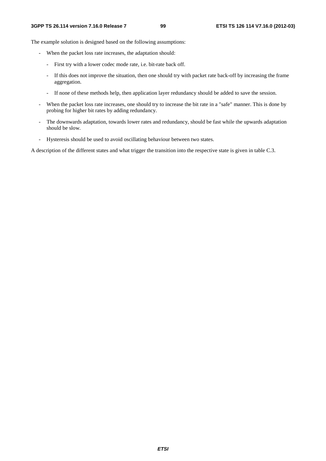The example solution is designed based on the following assumptions:

- When the packet loss rate increases, the adaptation should:
	- First try with a lower codec mode rate, i.e. bit-rate back off.
	- If this does not improve the situation, then one should try with packet rate back-off by increasing the frame aggregation.
	- If none of these methods help, then application layer redundancy should be added to save the session.
- When the packet loss rate increases, one should try to increase the bit rate in a "safe" manner. This is done by probing for higher bit rates by adding redundancy.
- The downwards adaptation, towards lower rates and redundancy, should be fast while the upwards adaptation should be slow.
- Hysteresis should be used to avoid oscillating behaviour between two states.

A description of the different states and what trigger the transition into the respective state is given in table C.3.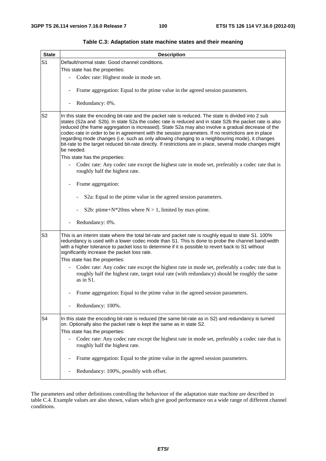| <b>State</b>   | <b>Description</b>                                                                                                                                                                                                                                                                                                                                                                                                                                                                                                                                                                                                                                       |  |
|----------------|----------------------------------------------------------------------------------------------------------------------------------------------------------------------------------------------------------------------------------------------------------------------------------------------------------------------------------------------------------------------------------------------------------------------------------------------------------------------------------------------------------------------------------------------------------------------------------------------------------------------------------------------------------|--|
| S <sub>1</sub> | Default/normal state: Good channel conditions.                                                                                                                                                                                                                                                                                                                                                                                                                                                                                                                                                                                                           |  |
|                | This state has the properties:                                                                                                                                                                                                                                                                                                                                                                                                                                                                                                                                                                                                                           |  |
|                | Codec rate: Highest mode in mode set.                                                                                                                                                                                                                                                                                                                                                                                                                                                                                                                                                                                                                    |  |
|                | Frame aggregation: Equal to the ptime value in the agreed session parameters.                                                                                                                                                                                                                                                                                                                                                                                                                                                                                                                                                                            |  |
|                | Redundancy: 0%.                                                                                                                                                                                                                                                                                                                                                                                                                                                                                                                                                                                                                                          |  |
| S2             | In this state the encoding bit-rate and the packet rate is reduced. The state is divided into 2 sub<br>states (S2a and S2b). In state S2a the codec rate is reduced and in state S2b the packet rate is also<br>reduced (the frame aggregation is increased). State S2a may also involve a gradual decrease of the<br>codec-rate in order to be in agreement with the session parameters. If no restrictions are in place<br>regarding mode changes (i.e. such as only allowing changing to a neighbouring mode), it changes<br>bit-rate to the target reduced bit-rate directly. If restrictions are in place, several mode changes might<br>be needed. |  |
|                | This state has the properties:                                                                                                                                                                                                                                                                                                                                                                                                                                                                                                                                                                                                                           |  |
|                | Codec rate: Any codec rate except the highest rate in mode set, preferably a codec rate that is<br>roughly half the highest rate.                                                                                                                                                                                                                                                                                                                                                                                                                                                                                                                        |  |
|                | Frame aggregation:                                                                                                                                                                                                                                                                                                                                                                                                                                                                                                                                                                                                                                       |  |
|                | S2a: Equal to the ptime value in the agreed session parameters.                                                                                                                                                                                                                                                                                                                                                                                                                                                                                                                                                                                          |  |
|                | S2b: ptime+ $N^*$ 20ms where $N > 1$ , limited by max-ptime.                                                                                                                                                                                                                                                                                                                                                                                                                                                                                                                                                                                             |  |
|                | Redundancy: 0%.                                                                                                                                                                                                                                                                                                                                                                                                                                                                                                                                                                                                                                          |  |
| S <sub>3</sub> | This is an interim state where the total bit-rate and packet rate is roughly equal to state S1. 100%<br>redundancy is used with a lower codec mode than S1. This is done to probe the channel band-width<br>with a higher tolerance to packet loss to determine if it is possible to revert back to S1 without<br>significantly increase the packet loss rate.                                                                                                                                                                                                                                                                                           |  |
|                | This state has the properties:                                                                                                                                                                                                                                                                                                                                                                                                                                                                                                                                                                                                                           |  |
|                | Codec rate: Any codec rate except the highest rate in mode set, preferably a codec rate that is<br>roughly half the highest rate, target total rate (with redundancy) should be roughly the same<br>as in S1.                                                                                                                                                                                                                                                                                                                                                                                                                                            |  |
|                | Frame aggregation: Equal to the ptime value in the agreed session parameters.                                                                                                                                                                                                                                                                                                                                                                                                                                                                                                                                                                            |  |
|                | Redundancy: 100%.                                                                                                                                                                                                                                                                                                                                                                                                                                                                                                                                                                                                                                        |  |
| S <sub>4</sub> | In this state the encoding bit-rate is reduced (the same bit-rate as in S2) and redundancy is turned<br>on. Optionally also the packet rate is kept the same as in state S2.<br>This state has the properties:                                                                                                                                                                                                                                                                                                                                                                                                                                           |  |
|                | Codec rate: Any codec rate except the highest rate in mode set, preferably a codec rate that is<br>roughly half the highest rate.                                                                                                                                                                                                                                                                                                                                                                                                                                                                                                                        |  |
|                | Frame aggregation: Equal to the ptime value in the agreed session parameters.                                                                                                                                                                                                                                                                                                                                                                                                                                                                                                                                                                            |  |
|                | Redundancy: 100%, possibly with offset.                                                                                                                                                                                                                                                                                                                                                                                                                                                                                                                                                                                                                  |  |

### **Table C.3: Adaptation state machine states and their meaning**

The parameters and other definitions controlling the behaviour of the adaptation state machine are described in table C.4. Example values are also shown, values which give good performance on a wide range of different channel conditions.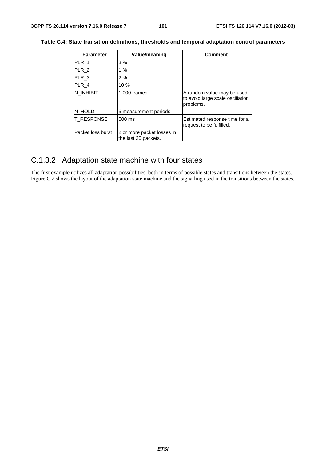| <b>Parameter</b>  | Value/meaning                                      | <b>Comment</b>                                                              |
|-------------------|----------------------------------------------------|-----------------------------------------------------------------------------|
| PLR_1             | 3%                                                 |                                                                             |
| PLR 2             | 1%                                                 |                                                                             |
| $PLR_3$           | 2%                                                 |                                                                             |
| PLR 4             | 10 %                                               |                                                                             |
| N INHIBIT         | 1 000 frames                                       | A random value may be used<br>to avoid large scale oscillation<br>problems. |
| N HOLD            | 5 measurement periods                              |                                                                             |
| <b>T_RESPONSE</b> | 500 ms                                             | Estimated response time for a<br>request to be fulfilled.                   |
| Packet loss burst | 2 or more packet losses in<br>the last 20 packets. |                                                                             |

### **Table C.4: State transition definitions, thresholds and temporal adaptation control parameters**

# C.1.3.2 Adaptation state machine with four states

The first example utilizes all adaptation possibilities, both in terms of possible states and transitions between the states. Figure C.2 shows the layout of the adaptation state machine and the signalling used in the transitions between the states.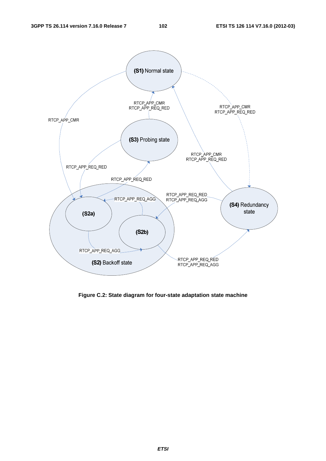

**Figure C.2: State diagram for four-state adaptation state machine**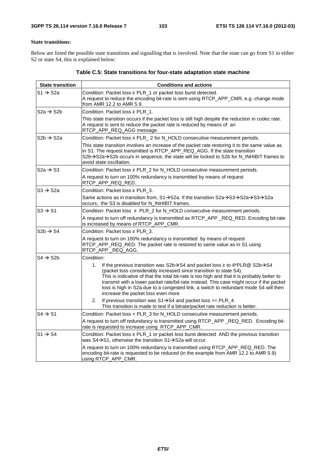### **State transitions:**

Below are listed the possible state transitions and signalling that is involved. Note that the state can go from S1 to either S2 or state S4, this is explained below:

| <b>State transition</b> | <b>Conditions and actions</b>                                                                                                                                                                                                                                                                                                                                                                                                                                                                                 |
|-------------------------|---------------------------------------------------------------------------------------------------------------------------------------------------------------------------------------------------------------------------------------------------------------------------------------------------------------------------------------------------------------------------------------------------------------------------------------------------------------------------------------------------------------|
| $S1 \rightarrow S2a$    | Condition: Packet loss ≥ PLR_1 or packet loss burst detected.<br>A request to reduce the encoding bit-rate is sent using RTCP_APP_CMR, e.g. change mode<br>from AMR 12.2 to AMR 5.9.                                                                                                                                                                                                                                                                                                                          |
| S2a $\rightarrow$ S2b   | Condition: Packet loss $\geq$ PLR 1.                                                                                                                                                                                                                                                                                                                                                                                                                                                                          |
|                         | This state transition occurs if the packet loss is still high despite the reduction in codec rate.<br>A request is sent to reduce the packet rate is reduced by means of an<br>RTCP_APP_REQ_AGG message.                                                                                                                                                                                                                                                                                                      |
| $S2b \rightarrow S2a$   | Condition: Packet loss ≤ PLR_2 for N_HOLD consecutive measurement periods.                                                                                                                                                                                                                                                                                                                                                                                                                                    |
|                         | This state transition involves an increase of the packet rate restoring it to the same value as<br>in S1. The request transmitted is RTCP_APP_REQ_AGG. If the state transition<br>S2b→S2a→S2b occurs in sequence, the state will be locked to S2b for N_INHIBIT frames to<br>avoid state oscillation.                                                                                                                                                                                                         |
| $S2a \rightarrow S3$    | Condition: Packet loss ≤ PLR_2 for N_HOLD consecutive measurement periods.                                                                                                                                                                                                                                                                                                                                                                                                                                    |
|                         | A request to turn on 100% redundancy is transmitted by means of request<br>RTCP_APP_REQ_RED.                                                                                                                                                                                                                                                                                                                                                                                                                  |
| $S3 \rightarrow S2a$    | Condition: Packet loss ≥ PLR 3.                                                                                                                                                                                                                                                                                                                                                                                                                                                                               |
|                         | Same actions as in transition from, S1 $\rightarrow$ S2a. If the transition S2a $\rightarrow$ S3 $\rightarrow$ S2a $\rightarrow$ S3 $\rightarrow$ S2a<br>occurs, the S3 is disabled for N_INHIBIT frames.                                                                                                                                                                                                                                                                                                     |
| $S3 \rightarrow S1$     | Condition: Packet loss $\leq$ PLR_2 for N_HOLD consecutive measurement periods.                                                                                                                                                                                                                                                                                                                                                                                                                               |
|                         | A request to turn off redundancy is transmitted as RTCP_APP_REQ_RED. Encoding bit-rate<br>is increased by means of RTCP_APP_CMR.                                                                                                                                                                                                                                                                                                                                                                              |
| $S2b \rightarrow S4$    | Condition: Packet loss $\geq$ PLR 3.                                                                                                                                                                                                                                                                                                                                                                                                                                                                          |
|                         | A request to turn on 100% redundancy is transmitted by means of request<br>RTCP_APP_REQ_RED. The packet rate is restored to same value as in S1 using<br>RTCP_APP _REQ_AGG.                                                                                                                                                                                                                                                                                                                                   |
| $S4 \rightarrow S2b$    | Condition:                                                                                                                                                                                                                                                                                                                                                                                                                                                                                                    |
|                         | 1.<br>If the previous transition was $S2b \rightarrow S4$ and packet loss $\geq$ to 4*PLR@ S2b $\rightarrow$ S4<br>(packet loss considerably increased since transition to state S4).<br>This is indicative of that the total bit-rate is too high and that it is probably better to<br>transmit with a lower packet rate/bit-rate instead. This case might occur if the packet<br>loss is high in S2a due to a congested link, a switch to redundant mode S4 will then<br>increase the packet loss even more |
|                         | 2.<br>If previous transition was $S1 \rightarrow S4$ and packet loss $>= PLR_4$ .<br>This transition is made to test if a bitrate/packet rate reduction is better.                                                                                                                                                                                                                                                                                                                                            |
| $S4 \rightarrow S1$     | Condition: Packet loss < PLR_3 for N_HOLD consecutive measurement periods.                                                                                                                                                                                                                                                                                                                                                                                                                                    |
|                         | A request to turn off redundancy is transmitted using RTCP_APP_REQ_RED. Encoding bit-<br>rate is requested to increase using RTCP_APP_CMR.                                                                                                                                                                                                                                                                                                                                                                    |
| $S1 \rightarrow S4$     | Condition: Packet loss $\geq$ PLR_1 or packet loss burst detected AND the previous transition<br>was $S4 \rightarrow S1$ , otherwise the transition $S1 \rightarrow S2$ a will occur.                                                                                                                                                                                                                                                                                                                         |
|                         | A request to turn on 100% redundancy is transmitted using RTCP_APP_REQ_RED. The<br>encoding bit-rate is requested to be reduced (in the example from AMR 12.2 to AMR 5.9)<br>using RTCP_APP_CMR.                                                                                                                                                                                                                                                                                                              |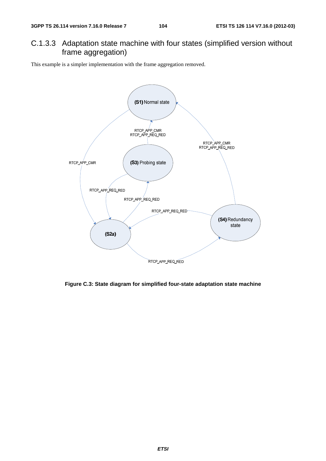### C.1.3.3 Adaptation state machine with four states (simplified version without frame aggregation)

This example is a simpler implementation with the frame aggregation removed.



**Figure C.3: State diagram for simplified four-state adaptation state machine**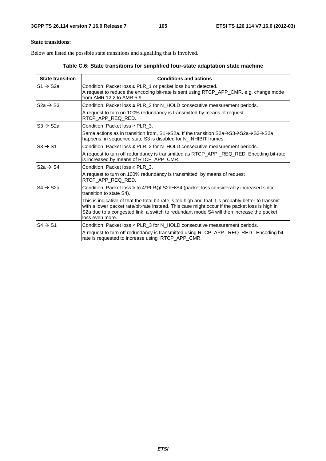### **State transitions:**

Below are listed the possible state transitions and signalling that is involved.

**Table C.6: State transitions for simplified four-state adaptation state machine** 

| <b>State transition</b>                          | <b>Conditions and actions</b>                                                                                                                                                                                                                                                                                         |
|--------------------------------------------------|-----------------------------------------------------------------------------------------------------------------------------------------------------------------------------------------------------------------------------------------------------------------------------------------------------------------------|
| $\mathsf{I}\mathsf{S}1\to \mathsf{S}2\mathsf{a}$ | Condition: Packet loss $\geq$ PLR_1 or packet loss burst detected.<br>A request to reduce the encoding bit-rate is sent using RTCP_APP_CMR, e.g. change mode<br>from AMR 12.2 to AMR 5.9.                                                                                                                             |
| $S2a \rightarrow S3$                             | Condition: Packet loss ≤ PLR_2 for N_HOLD consecutive measurement periods.                                                                                                                                                                                                                                            |
|                                                  | A request to turn on 100% redundancy is transmitted by means of request<br>RTCP_APP_REQ_RED.                                                                                                                                                                                                                          |
| $S3 \rightarrow S2a$                             | Condition: Packet loss $\geq$ PLR 3.                                                                                                                                                                                                                                                                                  |
|                                                  | Same actions as in transition from, $S1 \rightarrow S2a$ . If the transition $S2a \rightarrow S3 \rightarrow S3 \rightarrow S2a$<br>happens in sequence state S3 is disabled for N_INHIBIT frames.                                                                                                                    |
| $\text{IS3} \rightarrow \text{S1}$               | Condition: Packet loss $\leq$ PLR_2 for N_HOLD consecutive measurement periods.                                                                                                                                                                                                                                       |
|                                                  | A request to turn off redundancy is transmitted as RTCP_APP_REQ_RED. Encoding bit-rate<br>is increased by means of RTCP_APP_CMR.                                                                                                                                                                                      |
| $S2a \rightarrow S4$                             | Condition: Packet loss $\geq$ PLR_3.                                                                                                                                                                                                                                                                                  |
|                                                  | A request to turn on 100% redundancy is transmitted by means of request<br>RTCP_APP_REQ_RED.                                                                                                                                                                                                                          |
| $S4 \rightarrow S2a$                             | Condition: Packet loss $\geq$ to 4*PLR @ S2b $\rightarrow$ S4 (packet loss considerably increased since<br>transition to state S4).                                                                                                                                                                                   |
|                                                  | This is indicative of that the total bit-rate is too high and that it is probably better to transmit<br>with a lower packet rate/bit-rate instead. This case might occur if the packet loss is high in<br>S2a due to a congested link, a switch to redundant mode S4 will then increase the packet<br>loss even more. |
| $S4 \rightarrow S1$                              | Condition: Packet loss < PLR_3 for N_HOLD consecutive measurement periods.                                                                                                                                                                                                                                            |
|                                                  | A request to turn off redundancy is transmitted using RTCP_APP_REQ_RED. Encoding bit-<br>rate is requested to increase using RTCP_APP_CMR.                                                                                                                                                                            |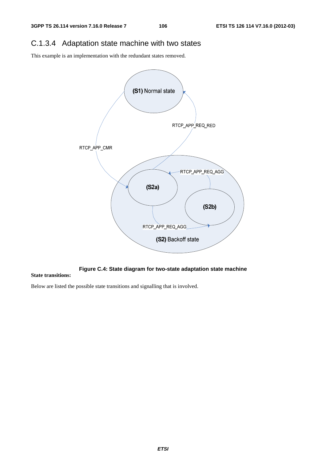## C.1.3.4 Adaptation state machine with two states

This example is an implementation with the redundant states removed.



**Figure C.4: State diagram for two-state adaptation state machine** 

#### **State transitions:**

Below are listed the possible state transitions and signalling that is involved.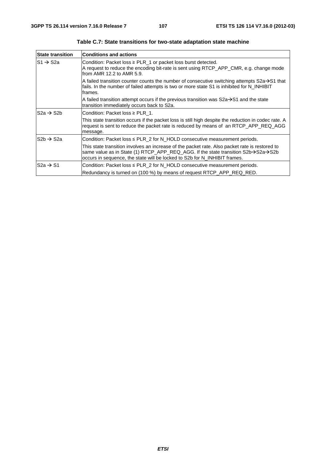| <b>State transition</b> | <b>Conditions and actions</b>                                                                                                                                                                                                                                                             |
|-------------------------|-------------------------------------------------------------------------------------------------------------------------------------------------------------------------------------------------------------------------------------------------------------------------------------------|
| IS1 → S2a               | Condition: Packet loss $\geq$ PLR_1 or packet loss burst detected.<br>A request to reduce the encoding bit-rate is sent using RTCP_APP_CMR, e.g. change mode<br>from AMR 12.2 to AMR 5.9.                                                                                                 |
|                         | A failed transition counter counts the number of consecutive switching attempts $S2a \rightarrow S1$ that<br>fails. In the number of failed attempts is two or more state S1 is inhibited for N_INHIBIT<br>frames.                                                                        |
|                         | A failed transition attempt occurs if the previous transition was $S2a \rightarrow S1$ and the state<br>transition immediately occurs back to S2a.                                                                                                                                        |
| $S2a \rightarrow S2b$   | Condition: Packet loss $\geq$ PLR 1.                                                                                                                                                                                                                                                      |
|                         | This state transition occurs if the packet loss is still high despite the reduction in codec rate. A<br>request is sent to reduce the packet rate is reduced by means of an RTCP_APP_REQ_AGG<br>message.                                                                                  |
| $S2b \rightarrow S2a$   | Condition: Packet loss ≤ PLR_2 for N_HOLD consecutive measurement periods.                                                                                                                                                                                                                |
|                         | This state transition involves an increase of the packet rate. Also packet rate is restored to<br>same value as in State (1) RTCP_APP_REQ_AGG. If the state transition $S2b \rightarrow S2a \rightarrow S2b$<br>occurs in sequence, the state will be locked to S2b for N_INHIBIT frames. |
| $S2a \rightarrow S1$    | Condition: Packet loss ≤ PLR_2 for N_HOLD consecutive measurement periods.                                                                                                                                                                                                                |
|                         | Redundancy is turned on (100 %) by means of request RTCP_APP_REQ_RED.                                                                                                                                                                                                                     |

**Table C.7: State transitions for two-state adaptation state machine**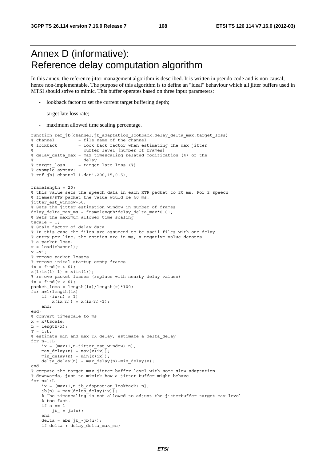### Annex D (informative): Reference delay computation algorithm

In this annex, the reference jitter management algorithm is described. It is written in pseudo code and is non-causal; hence non-implementable. The purpose of this algorithm is to define an "ideal" behaviour which all jitter buffers used in MTSI should strive to mimic. This buffer operates based on three input parameters:

- lookback factor to set the current target buffering depth;
- target late loss rate;
- maximum allowed time scaling percentage.

```
function ref jb(channel,jb adaptation lookback,delay delta max,target loss)
% channel = file name of the channel
% lookback = look back factor when estimating the max jitter
% buffer level [number of frames]
% delay_delta_max = max timescaling related modification (%) of the
\frac{1}{8} delay<br>\frac{1}{8} target loss = target
                 = target late loss (%)
% example syntax:
% ref_jb('channel_1.dat',200,15,0.5);
framelength = 20;
% this value sets the speech data in each RTP packet to 20 ms. For 2 speech
% frames/RTP packet the value would be 40 ms. 
jitter est window=50;
% Sets the jitter estimation window in number of frames
delay delta max ms = framelength*delay delta max*0.01;
% Sets the maximum allowed time scaling
tscale = 1;% Scale factor of delay data
% In this case the files are assumend to be ascii files with one delay
% entry per line, the entries are in ms, a negative value denotes
% a packet loss.
x = load(channel);
x = x':
% remove packet losses
% remove inital startup empty frames
ix = find(x > 0);x(1:ix(1)-1) = x(ix(1));% remove packet losses (replace with nearby delay values)
ix = find(x < 0);packet loss = length(ix)/length(x)*100;
for n=1: length(ix)
    if (ix(n) > 1)
        x(ix(n)) = x(ix(n)-1); end;
end;
% convert timescale to ms
x = x*tscale;L = lenqth(x);T = 1:L;
% estimate min and max TX delay, estimate a delta_delay
for n=1:L
    ix = [max(1, n-jitter_set\_window):n];max\_delay(n) = max(x(ix));min\_delay(n) = min(x(ix));delta delay(n) = max delay(n)-min delay(n);
end
% compute the target max jitter buffer level with some slow adaptation
% downwards, just to mimick how a jitter buffer might behave
for n=1:L
    ix = [max(1, n-jb adaptation lookback):n];jb(n) = max(detia\_delay(ix)); % The timescaling is not allowed to adjust the jitterbuffer target max level
     % too fast.
     if n == 1
       jb_ = jb(n); end 
    delta = abs(jb - jb(n));if delta < delay delta max ms;
```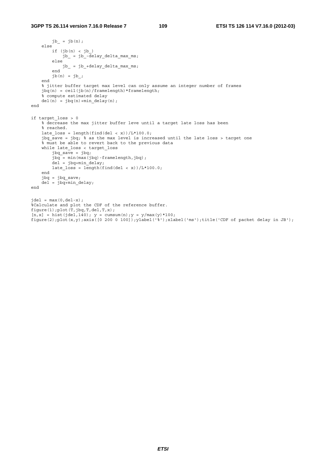```
jb_ = jb(n); else
        if (jb(n) < jb_jb_ = jb_-delay_delta_max_ms;
         else
             jb_ = jb_+delay_delta_max_ms;
         end
        jb(n) = jb; end 
     % jitter buffer target max level can only assume an integer number of frames
    jbq(n) = ceil(jb(n)/framelength)*framelength;
     % compute estimated delay
    del(n) = jbg(n) + min\_delay(n);end
if target_loss > 0
     % decrease the max jitter buffer leve until a target late loss has been
     % reached.
     late_loss = length(find(del < x))/L*100.0;
    jbq_save = jbq; % as the max level is increased until the late loss > target one
    % must be able to revert back to the previous data
     while late_loss < target_loss 
         jbq_save = jbq;
         jbq = min(max(jbq)-framelength,jbq);
        del = jbq + min delay;late_loss = length(find(del < x))/L*100.0;
     end 
 jbq = jbq_save;
 del = jbq+min_delay;
end
\text{del} = \max(0, \text{del-x});%Calculate and plot the CDF of the reference buffer.
figure(1);plot(T,jbq,T,del,T,x);
[n, x] = hist(jdel, 140); y = cumsum(n); y = y/max(y * 100;figure(2);plot(x,y);axis([0 200 0 100]);ylabel('%');xlabel('ms');title('CDF of packet delay in JB');
```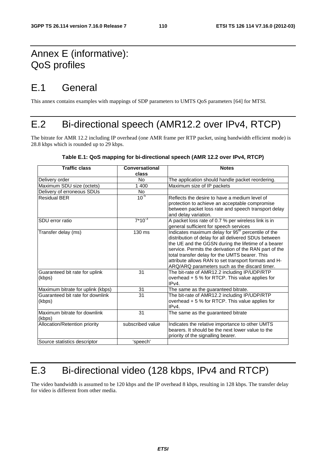### Annex E (informative): QoS profiles

### E.1 General

This annex contains examples with mappings of SDP parameters to UMTS QoS parameters [64] for MTSI.

### E.2 Bi-directional speech (AMR12.2 over IPv4, RTCP)

The bitrate for AMR 12.2 including IP overhead (one AMR frame per RTP packet, using bandwidth efficient mode) is 28.8 kbps which is rounded up to 29 kbps.

| <b>Traffic class</b>              | Conversational   | <b>Notes</b>                                                   |  |  |
|-----------------------------------|------------------|----------------------------------------------------------------|--|--|
|                                   | class            |                                                                |  |  |
| Delivery order                    | No.              | The application should handle packet reordering.               |  |  |
| Maximum SDU size (octets)         | 1400             | Maximum size of IP packets                                     |  |  |
| Delivery of erroneous SDUs        | No.              |                                                                |  |  |
| <b>Residual BER</b>               | $10^{-5}$        | Reflects the desire to have a medium level of                  |  |  |
|                                   |                  | protection to achieve an acceptable compromise                 |  |  |
|                                   |                  | between packet loss rate and speech transport delay            |  |  |
|                                   |                  | and delay variation.                                           |  |  |
| SDU error ratio                   | $7*10^{-3}$      | A packet loss rate of 0.7 % per wireless link is in            |  |  |
|                                   |                  | general sufficient for speech services                         |  |  |
| Transfer delay (ms)               | 130 ms           | Indicates maximum delay for 95 <sup>th</sup> percentile of the |  |  |
|                                   |                  | distribution of delay for all delivered SDUs between           |  |  |
|                                   |                  | the UE and the GGSN during the lifetime of a bearer            |  |  |
|                                   |                  | service. Permits the derivation of the RAN part of the         |  |  |
|                                   |                  | total transfer delay for the UMTS bearer. This                 |  |  |
|                                   |                  | attribute allows RAN to set transport formats and H-           |  |  |
|                                   |                  | ARQ/ARQ parameters such as the discard timer.                  |  |  |
| Guaranteed bit rate for uplink    | 31               | The bit-rate of AMR12.2 including IP/UDP/RTP                   |  |  |
| (kbps)                            |                  | overhead + 5 % for RTCP. This value applies for                |  |  |
|                                   |                  | IPv4.                                                          |  |  |
| Maximum bitrate for uplink (kbps) | 31               | The same as the guaranteed bitrate.                            |  |  |
| Guaranteed bit rate for downlink  | 31               | The bit-rate of AMR12.2 including IP/UDP/RTP                   |  |  |
| (kbps)                            |                  | overhead + 5 % for RTCP. This value applies for                |  |  |
|                                   |                  | IPv4.                                                          |  |  |
| Maximum bitrate for downlink      | 31               | The same as the guaranteed bitrate                             |  |  |
| (kbps)                            |                  |                                                                |  |  |
| Allocation/Retention priority     | subscribed value | Indicates the relative importance to other UMTS                |  |  |
|                                   |                  | bearers. It should be the next lower value to the              |  |  |
|                                   |                  | priority of the signalling bearer.                             |  |  |
| Source statistics descriptor      | 'speech'         |                                                                |  |  |

**Table E.1: QoS mapping for bi-directional speech (AMR 12.2 over IPv4, RTCP)** 

## E.3 Bi-directional video (128 kbps, IPv4 and RTCP)

The video bandwidth is assumed to be 120 kbps and the IP overhead 8 kbps, resulting in 128 kbps. The transfer delay for video is different from other media.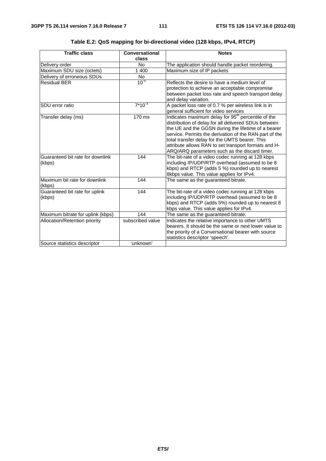| <b>Traffic class</b>                       | Conversational<br>class | <b>Notes</b>                                                                                                                                                                                                                                                                                                                                                                                       |
|--------------------------------------------|-------------------------|----------------------------------------------------------------------------------------------------------------------------------------------------------------------------------------------------------------------------------------------------------------------------------------------------------------------------------------------------------------------------------------------------|
| Delivery order                             | N <sub>o</sub>          | The application should handle packet reordering.                                                                                                                                                                                                                                                                                                                                                   |
| Maximum SDU size (octets)                  | 1 400                   | Maximum size of IP packets                                                                                                                                                                                                                                                                                                                                                                         |
| Delivery of erroneous SDUs                 | No.                     |                                                                                                                                                                                                                                                                                                                                                                                                    |
| <b>Residual BER</b>                        | $10^{-5}$               | Reflects the desire to have a medium level of<br>protection to achieve an acceptable compromise<br>between packet loss rate and speech transport delay<br>and delay variation.                                                                                                                                                                                                                     |
| SDU error ratio                            | $7*10^{-3}$             | A packet loss rate of 0.7 % per wireless link is in<br>general sufficient for video services                                                                                                                                                                                                                                                                                                       |
| Transfer delay (ms)                        | 170 ms                  | Indicates maximum delay for 95 <sup>th</sup> percentile of the<br>distribution of delay for all delivered SDUs between<br>the UE and the GGSN during the lifetime of a bearer<br>service. Permits the derivation of the RAN part of the<br>total transfer delay for the UMTS bearer. This<br>attribute allows RAN to set transport formats and H-<br>ARQ/ARQ parameters such as the discard timer. |
| Guaranteed bit rate for downlink<br>(kbps) | 144                     | The bit-rate of a video codec running at 128 kbps<br>including IP/UDP/RTP overhead (assumed to be 8<br>kbps) and RTCP (adds 5 %) rounded up to nearest<br>8kbps value. This value applies for IPv4.                                                                                                                                                                                                |
| Maximum bit rate for downlink<br>(kbps)    | 144                     | The same as the guaranteed bitrate.                                                                                                                                                                                                                                                                                                                                                                |
| Guaranteed bit rate for uplink<br>(kbps)   | 144                     | The bit-rate of a video codec running at 128 kbps<br>including IP/UDP/RTP overhead (assumed to be 8<br>kbps) and RTCP (adds 5%) rounded up to nearest 8<br>kbps value. This value applies for IPv4.                                                                                                                                                                                                |
| Maximum bitrate for uplink (kbps)          | 144                     | The same as the guaranteed bitrate.                                                                                                                                                                                                                                                                                                                                                                |
| Allocation/Retention priority              | subscribed value        | Indicates the relative importance to other UMTS<br>bearers. It should be the same or next lower value to<br>the priority of a Conversational bearer with source<br>statistics descriptor 'speech'.                                                                                                                                                                                                 |
| Source statistics descriptor               | 'unknown'               |                                                                                                                                                                                                                                                                                                                                                                                                    |

#### **Table E.2: QoS mapping for bi-directional video (128 kbps, IPv4, RTCP)**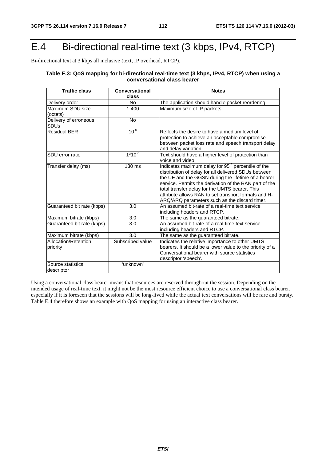### E.4 Bi-directional real-time text (3 kbps, IPv4, RTCP)

Bi-directional text at 3 kbps all inclusive (text, IP overhead, RTCP).

#### **Table E.3: QoS mapping for bi-directional real-time text (3 kbps, IPv4, RTCP) when using a conversational class bearer**

| <b>Traffic class</b>                 | Conversational<br>class | <b>Notes</b>                                                                                                                                                                                                                                                                                                                                                                                       |
|--------------------------------------|-------------------------|----------------------------------------------------------------------------------------------------------------------------------------------------------------------------------------------------------------------------------------------------------------------------------------------------------------------------------------------------------------------------------------------------|
| Delivery order                       | No.                     | The application should handle packet reordering.                                                                                                                                                                                                                                                                                                                                                   |
| Maximum SDU size<br>(octets)         | 1 400                   | Maximum size of IP packets                                                                                                                                                                                                                                                                                                                                                                         |
| Delivery of erroneous<br><b>SDUs</b> | <b>No</b>               |                                                                                                                                                                                                                                                                                                                                                                                                    |
| <b>Residual BER</b>                  | $10^{-5}$               | Reflects the desire to have a medium level of<br>protection to achieve an acceptable compromise<br>between packet loss rate and speech transport delay<br>and delay variation.                                                                                                                                                                                                                     |
| ISDU error ratio                     | $1*10^{3}$              | Text should have a higher level of protection than<br>voice and video.                                                                                                                                                                                                                                                                                                                             |
| Transfer delay (ms)                  | 130 ms                  | Indicates maximum delay for 95 <sup>th</sup> percentile of the<br>distribution of delay for all delivered SDUs between<br>the UE and the GGSN during the lifetime of a bearer<br>service. Permits the derivation of the RAN part of the<br>total transfer delay for the UMTS bearer. This<br>attribute allows RAN to set transport formats and H-<br>ARQ/ARQ parameters such as the discard timer. |
| Guaranteed bit rate (kbps)           | 3.0                     | An assumed bit-rate of a real-time text service<br>including headers and RTCP.                                                                                                                                                                                                                                                                                                                     |
| Maximum bitrate (kbps)               | 3.0                     | The same as the guaranteed bitrate.                                                                                                                                                                                                                                                                                                                                                                |
| Guaranteed bit rate (kbps)           | 3.0                     | An assumed bit-rate of a real-time text service<br>including headers and RTCP.                                                                                                                                                                                                                                                                                                                     |
| Maximum bitrate (kbps)               | 3.0                     | The same as the guaranteed bitrate.                                                                                                                                                                                                                                                                                                                                                                |
| Allocation/Retention<br>priority     | Subscribed value        | Indicates the relative importance to other UMTS<br>bearers. It should be a lower value to the priority of a<br>Conversational bearer with source statistics<br>descriptor 'speech'.                                                                                                                                                                                                                |
| Source statistics<br>descriptor      | 'unknown'               |                                                                                                                                                                                                                                                                                                                                                                                                    |

Using a conversational class bearer means that resources are reserved throughout the session. Depending on the intended usage of real-time text, it might not be the most resource efficient choice to use a conversational class bearer, especially if it is foreseen that the sessions will be long-lived while the actual text conversations will be rare and bursty. Table E.4 therefore shows an example with QoS mapping for using an interactive class bearer.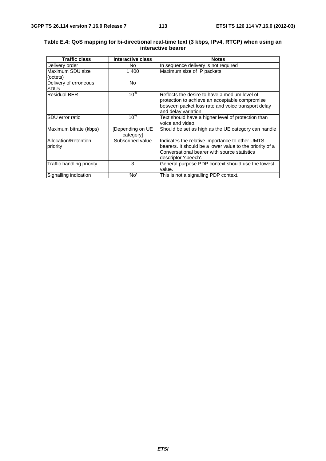#### **Table E.4: QoS mapping for bi-directional real-time text (3 kbps, IPv4, RTCP) when using an interactive bearer**

| <b>Traffic class</b>                 | Interactive class            | <b>Notes</b>                                                                                                                                                                        |
|--------------------------------------|------------------------------|-------------------------------------------------------------------------------------------------------------------------------------------------------------------------------------|
| Delivery order                       | No.                          | In sequence delivery is not required                                                                                                                                                |
| lMaximum SDU size<br>(octets)        | 1400                         | Maximum size of IP packets                                                                                                                                                          |
| Delivery of erroneous<br><b>SDUs</b> | No                           |                                                                                                                                                                                     |
| <b>Residual BER</b>                  | $10^{-5}$                    | Reflects the desire to have a medium level of<br>protection to achieve an acceptable compromise<br>between packet loss rate and voice transport delay<br>and delay variation.       |
| ISDU error ratio                     | $10^{-4}$                    | Text should have a higher level of protection than<br>voice and video.                                                                                                              |
| Maximum bitrate (kbps)               | [Depending on UE<br>category | Should be set as high as the UE category can handle                                                                                                                                 |
| Allocation/Retention<br>priority     | Subscribed value             | Indicates the relative importance to other UMTS<br>bearers. It should be a lower value to the priority of a<br>Conversational bearer with source statistics<br>descriptor 'speech'. |
| Traffic handling priority            | 3                            | General purpose PDP context should use the lowest<br>value.                                                                                                                         |
| Signalling indication                | 'No                          | This is not a signalling PDP context.                                                                                                                                               |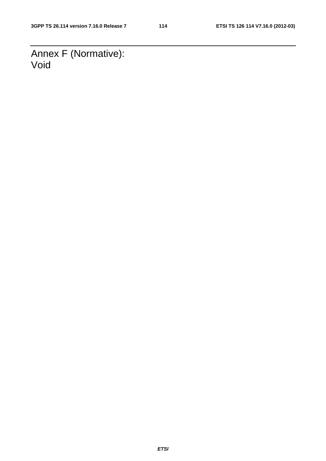Annex F (Normative): Void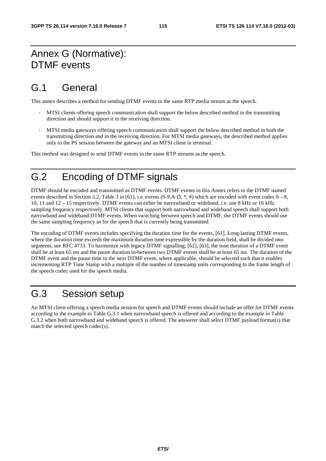#### Annex G (Normative): DTMF events

### G.1 General

This annex describes a method for sending DTMF events in the same RTP media stream as the speech.

- MTSI clients offering speech communication shall support the below described method in the transmitting direction and should support it in the receiving direction.
- MTSI media gateways offering speech communication shall support the below described method in both the transmitting direction and in the receiving direction. For MTSI media gateways, the described method applies only to the PS session between the gateway and an MTSI client in terminal.

This method was designed to send DTMF events in the same RTP streams as the speech.

#### G.2 Encoding of DTMF signals

DTMF should be encoded and transmitted as DTMF events. DTMF events in this Annex refers to the DTMF named events described in Section 3.2, Table 3 in [61], i.e. events (0-9,A-D, \*, #) which are encoded with event codes 0—9, 10, 11 and 12 – 15 respectively. DTMF events can either be narrowband or wideband, i.e. use 8 kHz or 16 kHz sampling frequency respectively. MTSI clients that support both narrowband and wideband speech shall support both narrowband and wideband DTMF events. When switching between speech and DTMF, the DTMF events should use the same sampling frequency as for the speech that is currently being transmitted.

The encoding of DTMF events includes specifying the duration time for the events, [61]. Long-lasting DTMF events, where the duration time exceeds the maximum duration time expressible by the duration field, shall be divided into segments, see RFC 4733. To harmonize with legacy DTMF signalling, [62], [63], the tone duration of a DTMF event shall be at least 65 ms and the pause duration in-between two DTMF events shall be at least 65 ms. The duration of the DTMF event and the pause time to the next DTMF event, where applicable, should be selected such that it enables incrementing RTP Time Stamp with a multiple of the number of timestamp units corresponding to the frame length of the speech codec used for the speech media.

### G.3 Session setup

An MTSI client offering a speech media session for speech and DTMF events should include an offer for DTMF events according to the example in Table G.3.1 when narrowband speech is offered and according to the example in Table G.3.2 when both narrowband and wideband speech is offered. The answerer shall select DTMF payload format(s) that match the selected speech codec(s).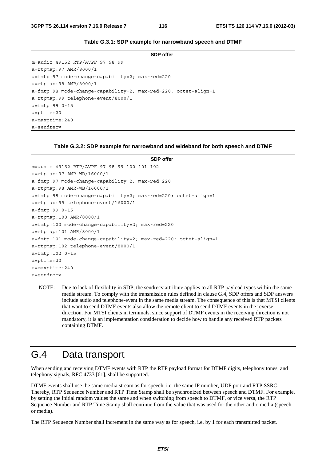|                                                                             | <b>SDP</b> offer |  |
|-----------------------------------------------------------------------------|------------------|--|
| m=audio 49152 RTP/AVPF 97 98 99                                             |                  |  |
| $a = r$ tpmap: 97 AMR/8000/1                                                |                  |  |
| $a = f m t p: 97$ mode-change-capability=2; max-red=220                     |                  |  |
| $a = r$ tpmap: 98 AMR/8000/1                                                |                  |  |
| $ a = \text{fmtp:} 98$ mode-change-capability=2; max-red=220; octet-align=1 |                  |  |
| a=rtpmap:99 telephone-event/8000/1                                          |                  |  |
| $a = f m t p: 99 0 - 15$                                                    |                  |  |
| $a = p$ time: 20                                                            |                  |  |
| $a = maxptime: 240$                                                         |                  |  |
| a=sendrecy                                                                  |                  |  |

#### **Table G.3.1: SDP example for narrowband speech and DTMF**

#### **Table G.3.2: SDP example for narrowband and wideband for both speech and DTMF**

| <b>SDP</b> offer                                                        |
|-------------------------------------------------------------------------|
| m=audio 49152 RTP/AVPF 97 98 99 100 101 102                             |
| $a = rtpmap: 97$ AMR-WB/16000/1                                         |
| $a = \text{fmtp:97}$ mode-change-capability=2; max-red=220              |
| $a = r$ tpmap: 98 AMR-WB/16000/1                                        |
| $a = f m t p : 98$ mode-change-capability=2; max-red=220; octet-align=1 |
| a=rtpmap:99 telephone-event/16000/1                                     |
| $a = f m t p: 99 0 - 15$                                                |
| $a = r$ tpmap:100 AMR/8000/1                                            |
| $a = \text{fmtp:100 mode-change-capability=2; max-red=220}$             |
| $a = r$ tpmap: 101 AMR/8000/1                                           |
| $a = f m t p: 101$ mode-change-capability=2; max-red=220; octet-align=1 |
| $a = r$ tpmap: 102 telephone-event/8000/1                               |
| $a = f m t p: 102 0 - 15$                                               |
| $a = p$ time: 20                                                        |
| $a = maxptime: 240$                                                     |
| a=sendrecy                                                              |

NOTE: Due to lack of flexibility in SDP, the sendrecv attribute applies to all RTP payload types within the same media stream. To comply with the transmission rules defined in clause G.4, SDP offers and SDP answers include audio and telephone-event in the same media stream. The consequence of this is that MTSI clients that want to send DTMF events also allow the remote client to send DTMF events in the reverse direction. For MTSI clients in terminals, since support of DTMF events in the receiving direction is not mandatory, it is an implementation consideration to decide how to handle any received RTP packets containing DTMF.

#### G.4 Data transport

When sending and receiving DTMF events with RTP the RTP payload format for DTMF digits, telephony tones, and telephony signals, RFC 4733 [61], shall be supported.

DTMF events shall use the same media stream as for speech, i.e. the same IP number, UDP port and RTP SSRC. Thereby, RTP Sequence Number and RTP Time Stamp shall be synchronized between speech and DTMF. For example, by setting the initial random values the same and when switching from speech to DTMF, or vice versa, the RTP Sequence Number and RTP Time Stamp shall continue from the value that was used for the other audio media (speech or media).

The RTP Sequence Number shall increment in the same way as for speech, i.e. by 1 for each transmitted packet.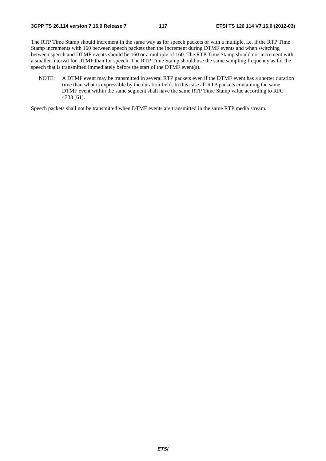The RTP Time Stamp should increment in the same way as for speech packets or with a multiple, i.e. if the RTP Time Stamp increments with 160 between speech packets then the increment during DTMF events and when switching between speech and DTMF events should be 160 or a multiple of 160. The RTP Time Stamp should not increment with a smaller interval for DTMF than for speech. The RTP Time Stamp should use the same sampling frequency as for the speech that is transmitted immediately before the start of the DTMF event(s).

NOTE: A DTMF event may be transmitted in several RTP packets even if the DTMF event has a shorter duration time than what is expressible by the duration field. In this case all RTP packets containing the same DTMF event within the same segment shall have the same RTP Time Stamp value according to RFC 4733 [61].

Speech packets shall not be transmitted when DTMF events are transmitted in the same RTP media stream.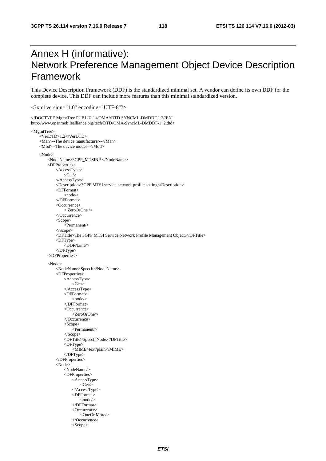### Annex H (informative): Network Preference Management Object Device Description Framework

This Device Description Framework (DDF) is the standardized minimal set. A vendor can define its own DDF for the complete device. This DDF can include more features than this minimal standardized version.

<?xml version="1.0" encoding="UTF-8"?>

<!DOCTYPE MgmtTree PUBLIC "-//OMA//DTD SYNCML-DMDDF 1.2//EN"

```
http://www.openmobilealliance.org/tech/DTD/OMA-SyncML-DMDDF-1_2.dtd> 
<MgmtTree> 
     <VerDTD>1.2</VerDTD> 
     <Man>--The device manufacturer--</Man> 
     <Mod>--The device model--</Mod> 
     <Node> 
          <NodeName>3GPP_MTSINP </NodeName> 
          <DFProperties> 
              <AccessType> 
                 \langleGet\rangle </AccessType> 
              <Description>3GPP MTSI service network profile setting</Description> 
              <DFFormat> 
                   <node/> 
              </DFFormat> 
              <Occurrence> 
                   < ZeroOrOne /> 
              </Occurrence> 
              <Scope> 
                   <Permanent/> 
              </Scope> 
              <DFTitle>The 3GPP MTSI Service Network Profile Management Object.</DFTitle> 
              <DFType> 
                   <DDFName/> 
              </DFType> 
          </DFProperties> 
          <Node> 
              <NodeName>Speech</NodeName> 
              <DFProperties> 
                   <AccessType> 
                      <Get> </AccessType> 
                   <DFFormat> 
                       <node/> 
                   </DFFormat> 
                   <Occurrence> 
                       <ZeroOrOne/> 
                   </Occurrence> 
                   <Scope> 
                       <Permanent/> 
                   </Scope> 
                   <DFTitle>Speech Node.</DFTitle> 
                   <DFType> 
                       <MIME>text/plain</MIME> 
                   </DFType> 
              </DFProperties> 
              <Node> 
                   <NodeName/> 
                   <DFProperties> 
                       <AccessType> 
                          \langleGet/ </AccessType> 
                       <DFFormat> 
                           <node/> 
                       </DFFormat> 
                       <Occurrence> 
                            <OneOr More/> 
                       </Occurrence> 
                       <Scope>
```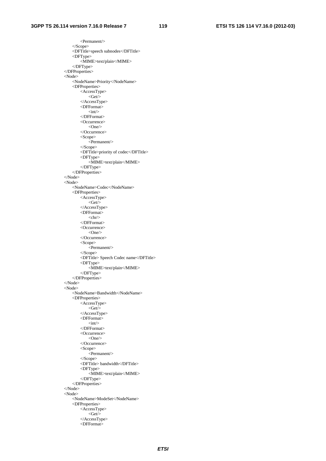<Permanent/> </Scope> <DFTitle>speech subnodes</DFTitle> <DFType> <MIME>text/plain</MIME> </DFType> </DFProperties> <Node> <NodeName>Priority</NodeName> <DFProperties> <AccessType>  $\leq$ Get $\geq$  </AccessType> <DFFormat>  $\langle \text{int} \rangle$  </DFFormat> <Occurrence>  $<$ One $/$  </Occurrence> <Scope> <Permanent/> </Scope> <DFTitle>priority of codec</DFTitle> <DFType> <MIME>text/plain</MIME> </DFType> </DFProperties> </Node> <Node> <NodeName>Codec</NodeName> <DFProperties> <AccessType>  $\langle$ Get $\rangle$  </AccessType> <DFFormat>  $\n  
\n $<$$  </DFFormat> <Occurrence>  $<$ One $/$ > </Occurrence> <Scope> <Permanent/> </Scope> <DFTitle> Speech Codec name</DFTitle> <DFType> <MIME>text/plain</MIME> </DFType> </DFProperties> </Node> <Node> <NodeName>Bandwidth</NodeName> <DFProperties> <AccessType>  $\langle$ Get $\rangle$  </AccessType> <DFFormat>  $\langle \text{int} \rangle$  </DFFormat> <Occurrence>  $<$ One $/$ > </Occurrence> <Scope> <Permanent/> </Scope> <DFTitle> bandwidth</DFTitle> <DFType> <MIME>text/plain</MIME> </DFType> </DFProperties> </Node> <Node> <NodeName>ModeSet</NodeName> <DFProperties> <AccessType>  $\langle$ Get $\rangle$  </AccessType> <DFFormat>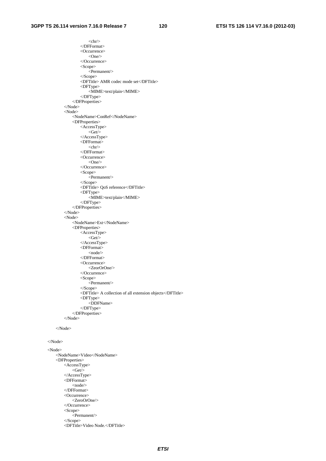$\langle$ chr $/$  </DFFormat> <Occurrence>  $<$ One $/$  </Occurrence> <Scope> <Permanent/> </Scope> <DFTitle> AMR codec mode set</DFTitle> <DFType> <MIME>text/plain</MIME> </DFType> </DFProperties>  $\langle$ Node $\rangle$  <Node> <NodeName>ConRef</NodeName> <DFProperties> <AccessType>  $<$ Get $>$  </AccessType> <DFFormat>  $\langle$ chr $>$  </DFFormat> <Occurrence>  $<$ One $/$  </Occurrence> <Scope>  $\leq$ Permanent $\geq$  </Scope> <DFTitle> QoS reference</DFTitle> <DFType> <MIME>text/plain</MIME> </DFType> </DFProperties> </Node> <Node> <NodeName>Ext</NodeName> <DFProperties> <AccessType>  $\langle$ Get $/$  $>$  </AccessType> <DFFormat> <node/> </DFFormat> <Occurrence> <ZeorOrOne/> </Occurrence> <Scope> <Permanent/> </Scope> <DFTitle> A collection of all extension objects</DFTitle> <DFType> <DDFName> </DFType> </DFProperties> </Node>

</Node>

#### </Node>

<Node>

 <NodeName>Video</NodeName> <DFProperties> <AccessType>  $\leq$ Get $\geq$  </AccessType> <DFFormat> <node/> </DFFormat> <Occurrence> <ZeroOrOne/> </Occurrence> <Scope> <Permanent/> </Scope> <DFTitle>Video Node.</DFTitle>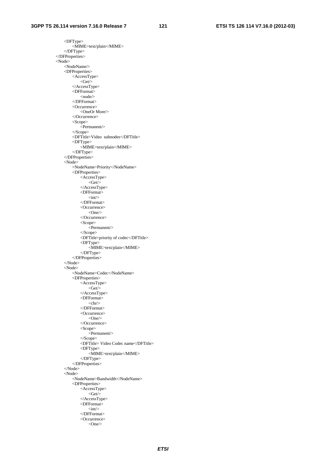<DFType> <MIME>text/plain</MIME> </DFType> </DFProperties> <Node> <NodeName/> <DFProperties> <AccessType>  $\langle$ Get $\rangle$  </AccessType> <DFFormat> <node/> </DFFormat> <Occurrence> <OneOr More/> </Occurrence> <Scope> <Permanent/> </Scope> <DFTitle>Video subnodes</DFTitle> <DFType> <MIME>text/plain</MIME> </DFType> </DFProperties> <Node> <NodeName>Priority</NodeName> <DFProperties> <AccessType>  $<\hspace{-1.5mm}{\rm Get}\hspace{-1.5mm}/\hspace{1.5mm}>$  </AccessType> <DFFormat>  $\langle \text{int} \rangle$  </DFFormat> <Occurrence>  $<$ One $/$  </Occurrence> <Scope>  $\text{zPermanent}$  </Scope> <DFTitle>priority of codec</DFTitle> <DFType> <MIME>text/plain</MIME> </DFType> </DFProperties> </Node> <Node> <NodeName>Codec</NodeName> <DFProperties> <AccessType>  $\langle$ Get $\rangle$  </AccessType> <DFFormat>  $\langle$ chr $\rangle$  </DFFormat> <Occurrence>  $<$ One $/$  </Occurrence> <Scope> <Permanent/> </Scope> <DFTitle> Video Codec name</DFTitle> <DFType> <MIME>text/plain</MIME> </DFType> </DFProperties> </Node> <Node> <NodeName>Bandwidth</NodeName> <DFProperties> <AccessType>  $\langle$ Get $/$ > </AccessType> <DFFormat>  $\langle \text{int} \rangle$  </DFFormat> <Occurrence>  $<$ One $/$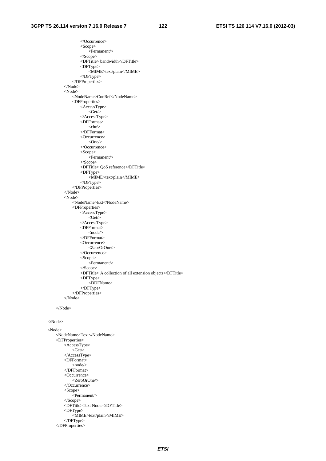</Occurrence> <Scope> <Permanent/> </Scope> <DFTitle> bandwidth</DFTitle> <DFType> <MIME>text/plain</MIME> </DFType> </DFProperties> </Node> <Node> <NodeName>ConRef</NodeName> <DFProperties> <AccessType>  $<$ Get $/$  $>$  </AccessType> <DFFormat>  $\langle \text{chr} \rangle$  </DFFormat> <Occurrence>  $<$ One $/$  </Occurrence> <Scope>  $\epsilon$ Permanent $\geq$  </Scope> <DFTitle> QoS reference</DFTitle> <DFType> <MIME>text/plain</MIME> </DFType> </DFProperties> </Node> <Node> <NodeName>Ext</NodeName> <DFProperties> <AccessType>  $\langle~\text{Get}\rangle$  </AccessType> <DFFormat> <node/> </DFFormat> <Occurrence> <ZeorOrOne/> </Occurrence> <Scope>  $\leq$ Permanent $\geq$  </Scope> <DFTitle> A collection of all extension objects</DFTitle> <DFType> <DDFName> </DFType> </DFProperties> </Node>

</Node>

#### </Node>

 <Node> <NodeName>Text</NodeName> <DFProperties> <AccessType>  $\leq$ Get $\geq$  </AccessType> <DFFormat> <node/> </DFFormat> <Occurrence> <ZeroOrOne/> </Occurrence> <Scope> <Permanent/> </Scope> <DFTitle>Text Node.</DFTitle> <DFType> <MIME>text/plain</MIME> </DFType> </DFProperties>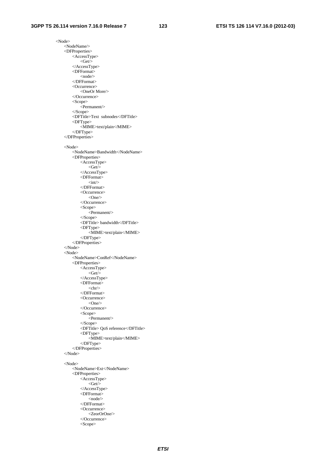<Node> <NodeName/> <DFProperties> <AccessType>  $\langle$ Get $\rangle$  </AccessType> <DFFormat> <node/> </DFFormat> <Occurrence> <OneOr More/> </Occurrence> <Scope> <Permanent/> </Scope> <DFTitle>Text subnodes</DFTitle> <DFType> <MIME>text/plain</MIME> </DFType> </DFProperties> <Node> <NodeName>Bandwidth</NodeName> <DFProperties> <AccessType>  $\langle$ Get $/$  </AccessType> <DFFormat>  $\langle \text{int} \rangle$  </DFFormat> <Occurrence>  $<$ One $/$  </Occurrence> <Scope> <Permanent/> </Scope> <DFTitle> bandwidth</DFTitle> <DFType> <MIME>text/plain</MIME> </DFType> </DFProperties> </Node> <Node> <NodeName>ConRef</NodeName> <DFProperties> <AccessType>  $\langle~\text{Get}\rangle$  </AccessType> <DFFormat>  $\langle$ chr $\rangle$  </DFFormat> <Occurrence>  $<$ One $/$ > </Occurrence> <Scope> <Permanent/> </Scope> <DFTitle> QoS reference</DFTitle> <DFType> <MIME>text/plain</MIME> </DFType> </DFProperties> </Node> <Node> <NodeName>Ext</NodeName> <DFProperties> <AccessType>  $\langle~\text{Get}\rangle$  </AccessType> <DFFormat> <node/> </DFFormat> <Occurrence> <ZeorOrOne/> </Occurrence>

<Scope>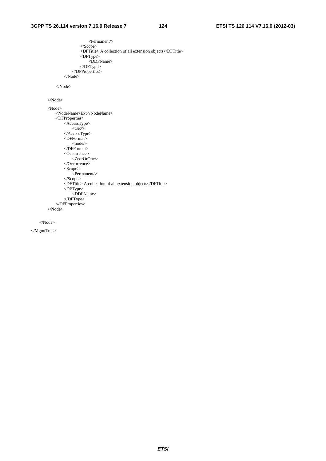```
 <Permanent/> 
                   </Scope> 
                   <DFTitle> A collection of all extension objects</DFTitle> 
                   <DFType> 
                       <DDFName> 
                   </DFType> 
               </DFProperties> 
         \langleNode\rangle </Node> 
 </Node> 
 <Node> 
     <NodeName>Ext</NodeName> 
     <DFProperties> 
         <AccessType> 
            \langleGet\rangle </AccessType> 
          <DFFormat> 
             \langle node\rangle </DFFormat> 
          <Occurrence> 
              <ZeorOrOne/> 
          </Occurrence> 
          <Scope> 
              <Permanent/> 
          </Scope> 
          <DFTitle> A collection of all extension objects</DFTitle> 
          <DFType> 
               <DDFName> 
          </DFType> 
     </DFProperties> 
 </Node>
```
</Node>

</MgmtTree>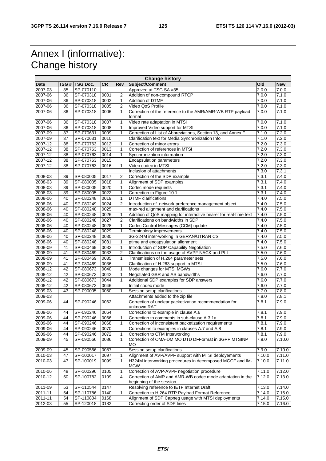### Annex I (informative): Change history

 $\blacksquare$ 

| <b>Change history</b> |    |                 |           |                |                                                                                       |                    |            |
|-----------------------|----|-----------------|-----------|----------------|---------------------------------------------------------------------------------------|--------------------|------------|
| <b>Date</b>           |    | TSG #  TSG Doc. | <b>CR</b> | Rev            | Subject/Comment                                                                       | Old                | <b>New</b> |
| 2007-03               | 35 | SP-070110       |           |                | Approved at TSG SA #35                                                                | 2.0.0              | 7.0.0      |
| 2007-06               | 36 | SP-070318       | 0001      | 2              | Addition of non-compound RTCP                                                         | 7.0.0              | 7.1.0      |
| 2007-06               | 36 | SP-070318       | 0002      | $\mathbf{1}$   | Addition of DTMF                                                                      | 7.0.0              | 7.1.0      |
| 2007-06               | 36 | SP-070318       | 0005      | $\overline{2}$ | Video QoS Profile                                                                     | 7.0.0              | 7.1.0      |
| 2007-06               | 36 | SP-070318       | 0006      | $\mathbf{1}$   | Correction of the reference to the AMR/AMR-WB RTP payload<br>format                   | 7.0.0              | 7.1.0      |
| 2007-06               | 36 | SP-070318       | 0007      | $\mathbf{1}$   | Video rate adaptation in MTSI                                                         | 7.0.0              | 7.1.0      |
| 2007-06               | 36 | SP-070318       | 0008      | $\mathbf{1}$   | Improved Video support for MTSI                                                       | 7.0.0              | 7.1.0      |
| 2007-09               | 37 | SP-070631       | 0009      | $\mathbf{1}$   | Correction of List of Abbreviations, Section 13, and Annex F                          | 7.1.0              | 7.2.0      |
| 2007-09               | 37 | SP-070631       | 0010      |                | Clarification text for Media Synchronization Info                                     | 7.1.0              | 7.2.0      |
| 2007-12               | 38 | SP-070763       | 0012      | $\mathbf{1}$   | Correction of minor errors                                                            | 7.2.0              | 7.3.0      |
| 2007-12               | 38 | SP-070763       | 0013      | $\mathbf{1}$   | Correction of references in MTSI                                                      | 7.2.0              | 7.3.0      |
| 2007-12               | 38 | SP-070763       | 0014      | $\mathbf{1}$   | Synchronization information                                                           | 7.2.0              | 7.3.0      |
| 2007-12               | 38 | SP-070763       | 0015      |                | <b>Encapsulation parameters</b>                                                       | 7.2.0              | 7.3.0      |
| 2007-12               | 38 | SP-070763       | 0016      | $\mathbf{1}$   | Video codec in MTSI                                                                   | 7.2.0              | 7.3.0      |
|                       |    |                 |           |                | Inclusion of attachments                                                              | 7.3.0              | 7.3.1      |
| 2008-03               | 39 | SP-080005       | 0017      | $\overline{2}$ | Correction of the SDP example                                                         | 7.3.1              | 7.4.0      |
| 2008-03               | 39 | SP-080005       | 0018      | 1              | Alignment of SDP examples                                                             | 7.3.1              | 7.4.0      |
| 2008-03               | 39 | SP-080005       | 0020      | $\mathbf{1}$   | Codec mode requests                                                                   | 7.3.1              | 7.4.0      |
| 2008-03               | 39 | SP-080005       | 0022      | 1              | Correction to Figure 10.1                                                             | 7.3.1              | 7.4.0      |
| 2008-06               | 40 | SP-080248       | 0019      | $\mathbf{1}$   | <b>DTMF</b> clarifications                                                            | 7.4.0              | 7.5.0      |
| 2008-06               | 40 | SP-080249       | 0024      | $\overline{2}$ | Introduction of network preference management object                                  | 7.4.0              | 7.5.0      |
| 2008-06               | 40 | SP-080248       | 0025      |                | max-red alignment and clarifications                                                  | 7.4.0              | 7.5.0      |
| 2008-06               | 40 | SP-080248       | 0026      | $\mathbf{1}$   | Addition of QoS mapping for interactive bearer for real-time text                     | 7.4.0              | 7.5.0      |
| 2008-06               | 40 | SP-080248       | 0027      | $\overline{2}$ | Clarifications on bandwidths in SDP                                                   | 7.4.0              | 7.5.0      |
| 2008-06               | 40 | SP-080248       | 0028      | $\mathbf{1}$   | Codec Control Messages (CCM) update                                                   | $\overline{7}.4.0$ | 7.5.0      |
| 2008-06               | 40 | SP-080248       | 0029      | 1              | Terminology improvements                                                              | 7.4.0              | 7.5.0      |
| 2008-06               | 40 | SP-080248       | 0030      |                | 3G-324M inter-working in GERAN/UTRAN CS                                               | 7.4.0              | 7.5.0      |
| 2008-06               | 40 | SP-080248       | 0031      | 1              | ptime and encapsulation alignment                                                     | 7.4.0              | 7.5.0      |
| 2008-09               | 41 | SP-080469       | 0032      | $\mathbf{1}$   | Introduction of SDP Capability Negotiation                                            | 7.5.0              | 7.6.0      |
| 2008-09               | 41 | SP-080469       | 0033      | 2              | Clarifications on the usage of AVPF NACK and PLI                                      | 7.5.0              | 7.6.0      |
| 2008-09               | 41 | SP-080469       | 0035      | $\mathbf{1}$   | Transmission of H.264 parameter sets                                                  | 7.5.0              | 7.6.0      |
| 2008-09               | 41 | SP-080469       | 0036      |                | Clarification of H.263 support in MTSI                                                | 7.5.0              | 7.6.0      |
| 2008-12               | 42 | SP-080673       | 0040      | $\mathbf{1}$   | Mode changes for MTSI MGWs                                                            | 7.6.0              | 7.7.0      |
| 2008-12               | 42 | SP-080673       | 0042      | $\mathbf{1}$   | Negotiated GBR and AS bandwidths                                                      | 7.6.0              | 7.7.0      |
| 2008-12               | 42 | SP-080673       | 0044      | $\mathbf{1}$   | Additional SDP examples for SDP answers                                               | 7.6.0              | 7.7.0      |
| 2008-12               | 42 | SP-080673       | 0046      |                | Initial codec mode                                                                    | 7.6.0              | 7.7.0      |
| 2009-03               | 43 | SP-090005       | 0050      | $\mathbf{1}$   | Session setup clarifications                                                          | 7.7.0              | 7.8.0      |
| 2009-03               |    |                 |           |                | Attachments added to the zip file                                                     | 7.8.0              | 7.8.1      |
| 2009-06               | 44 | SP-090246       | 0062      |                | Correction of unclear packetization recommendation for<br>unknown RAT                 | 7.8.1              | 7.9.0      |
| 2009-06               | 44 | SP-090246       | 0064      |                | Corrections to example in clause A.6                                                  | 7.8.1              | 7.9.0      |
| 2009-06               | 44 | SP-090246       | 0066      | 1              | Correction to comments in sub-clause A.3.1a                                           | 7.8.1              | 7.9.0      |
| 2009-06               | 44 | SP-090246       | 0068      |                | Correction of inconsistent packetization requirements                                 | 7.8.1              | 7.9.0      |
| 2009-06               | 44 | SP-090246       | 0070      |                | Corrections to examples in clauses A.7 and A.8                                        | 7.8.1              | 7.9.0      |
| 2009-06               | 44 | SP-090246       | 0072      | 1              | Correction to CTM Interworking                                                        | 7.8.1              | 7.9.0      |
| 2009-09               | 45 | SP-090566       | 0086      | $\mathbf{1}$   | Correction of OMA-DM MO DTD DFFormat in 3GPP MTSINP<br><b>MO</b>                      | 7.9.0              | 7.10.0     |
| 2009-09               | 45 | SP-090566       | 0087      |                | Session setup clarifications                                                          | 7.9.0              | 7.10.0     |
| 2010-03               | 47 | SP-100017       | 0097      | 1              | Alignment of AVP/AVPF support with MTSI deployements                                  | 7.10.0             | 7.11.0     |
| 2010-03               | 47 | SP-100019       | 0099      | $\mathbf{1}$   | H324M interworking procedures in decomposed MGCF and IM-<br><b>MGW</b>                | 7.10.0             | 7.11.0     |
| 2010-06               | 48 | SP-100296       | 0105      | $\mathbf{1}$   | Correction of AVP-AVPF negotiation procedure                                          | 7.11.0             | 7.12.0     |
| 2010-12               | 50 | SP-100782       | 0109      | 4              | Correction of AMR and AMR-WB codec mode adaptation in the<br>beginning of the session | 7.12.0             | 7.13.0     |
| 2011-09               | 53 | SP-110544       | 0147      |                | Resolving reference to IETF Internet Draft                                            | 7.13.0             | 7.14.0     |
| 2011-11               | 54 | SP-110786       | 0140      | 1              | Correction to H.264 RTP Payload Format Reference                                      | 7.14.0             | 7.15.0     |
| 2011-11               | 54 | SP-110804       | 0168      |                | Alignment of SDP Capneg usage with MTSI deployments                                   | 7.14.0             | 7.15.0     |
| 2012-03               | 55 | SP-120018       | 0182      |                | Correcting order of SDP lines                                                         | 7.15.0             | 7.16.0     |